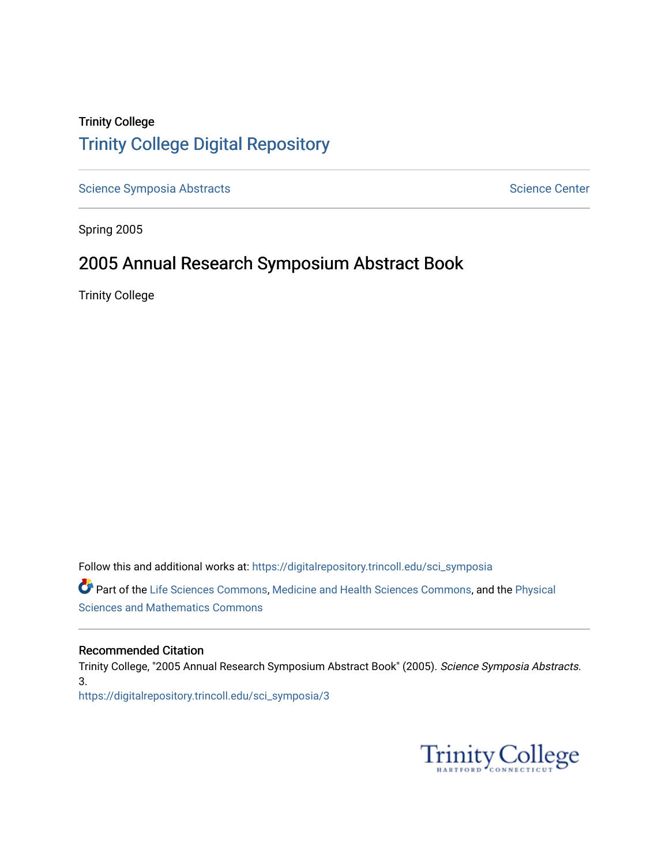#### Trinity College [Trinity College Digital Repository](https://digitalrepository.trincoll.edu/)

[Science Symposia Abstracts](https://digitalrepository.trincoll.edu/sci_symposia) **Science Center** Science Center

Spring 2005

#### 2005 Annual Research Symposium Abstract Book

Trinity College

Follow this and additional works at: [https://digitalrepository.trincoll.edu/sci\\_symposia](https://digitalrepository.trincoll.edu/sci_symposia?utm_source=digitalrepository.trincoll.edu%2Fsci_symposia%2F3&utm_medium=PDF&utm_campaign=PDFCoverPages)  Part of the [Life Sciences Commons,](http://network.bepress.com/hgg/discipline/1016?utm_source=digitalrepository.trincoll.edu%2Fsci_symposia%2F3&utm_medium=PDF&utm_campaign=PDFCoverPages) [Medicine and Health Sciences Commons,](http://network.bepress.com/hgg/discipline/648?utm_source=digitalrepository.trincoll.edu%2Fsci_symposia%2F3&utm_medium=PDF&utm_campaign=PDFCoverPages) and the [Physical](http://network.bepress.com/hgg/discipline/114?utm_source=digitalrepository.trincoll.edu%2Fsci_symposia%2F3&utm_medium=PDF&utm_campaign=PDFCoverPages)  [Sciences and Mathematics Commons](http://network.bepress.com/hgg/discipline/114?utm_source=digitalrepository.trincoll.edu%2Fsci_symposia%2F3&utm_medium=PDF&utm_campaign=PDFCoverPages) 

#### Recommended Citation

Trinity College, "2005 Annual Research Symposium Abstract Book" (2005). Science Symposia Abstracts. 3. [https://digitalrepository.trincoll.edu/sci\\_symposia/3](https://digitalrepository.trincoll.edu/sci_symposia/3?utm_source=digitalrepository.trincoll.edu%2Fsci_symposia%2F3&utm_medium=PDF&utm_campaign=PDFCoverPages) 

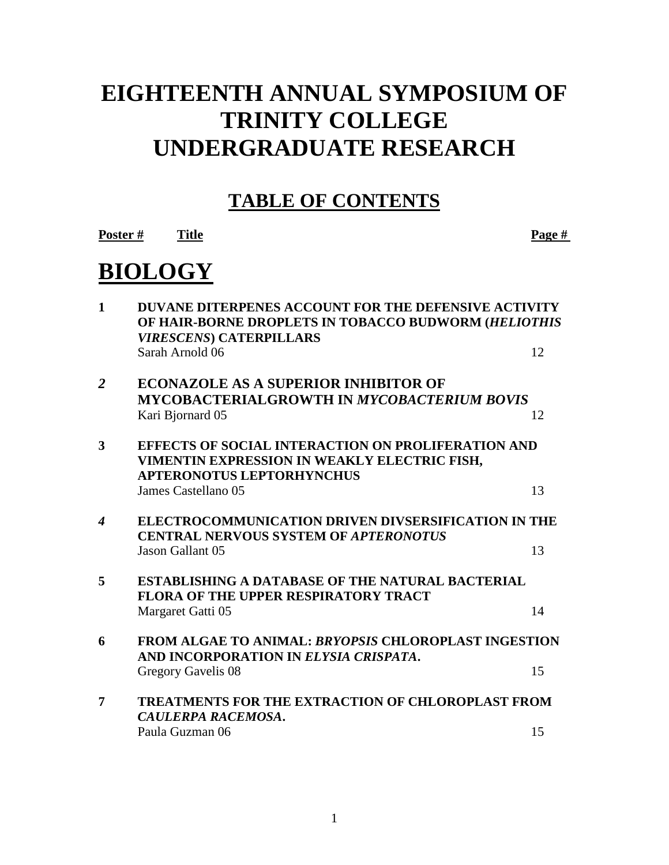### **EIGHTEENTH ANNUAL SYMPOSIUM OF TRINITY COLLEGE UNDERGRADUATE RESEARCH**

### **TABLE OF CONTENTS**

| Poster#      | <b>Title</b>                                                                                                                                                             | Page # |
|--------------|--------------------------------------------------------------------------------------------------------------------------------------------------------------------------|--------|
|              | <b>BIOLOGY</b>                                                                                                                                                           |        |
| $\mathbf{1}$ | <b>DUVANE DITERPENES ACCOUNT FOR THE DEFENSIVE ACTIVITY</b><br>OF HAIR-BORNE DROPLETS IN TOBACCO BUDWORM (HELIOTHIS<br><b>VIRESCENS) CATERPILLARS</b><br>Sarah Arnold 06 | 12     |
| 2            | <b>ECONAZOLE AS A SUPERIOR INHIBITOR OF</b><br>MYCOBACTERIALGROWTH IN MYCOBACTERIUM BOVIS<br>Kari Bjornard 05                                                            | 12     |
| 3            | <b>EFFECTS OF SOCIAL INTERACTION ON PROLIFERATION AND</b><br>VIMENTIN EXPRESSION IN WEAKLY ELECTRIC FISH,<br><b>APTERONOTUS LEPTORHYNCHUS</b><br>James Castellano 05     | 13     |
| 4            | <b>ELECTROCOMMUNICATION DRIVEN DIVSERSIFICATION IN THE</b><br><b>CENTRAL NERVOUS SYSTEM OF APTERONOTUS</b><br>Jason Gallant 05                                           | 13     |
| 5            | <b>ESTABLISHING A DATABASE OF THE NATURAL BACTERIAL</b><br><b>FLORA OF THE UPPER RESPIRATORY TRACT</b><br>Margaret Gatti 05                                              | 14     |
| 6            | FROM ALGAE TO ANIMAL: BRYOPSIS CHLOROPLAST INGESTION<br>AND INCORPORATION IN ELYSIA CRISPATA.<br>Gregory Gavelis 08                                                      | 15     |
| 7            | TREATMENTS FOR THE EXTRACTION OF CHLOROPLAST FROM<br>CAULERPA RACEMOSA.<br>Paula Guzman 06                                                                               | 15     |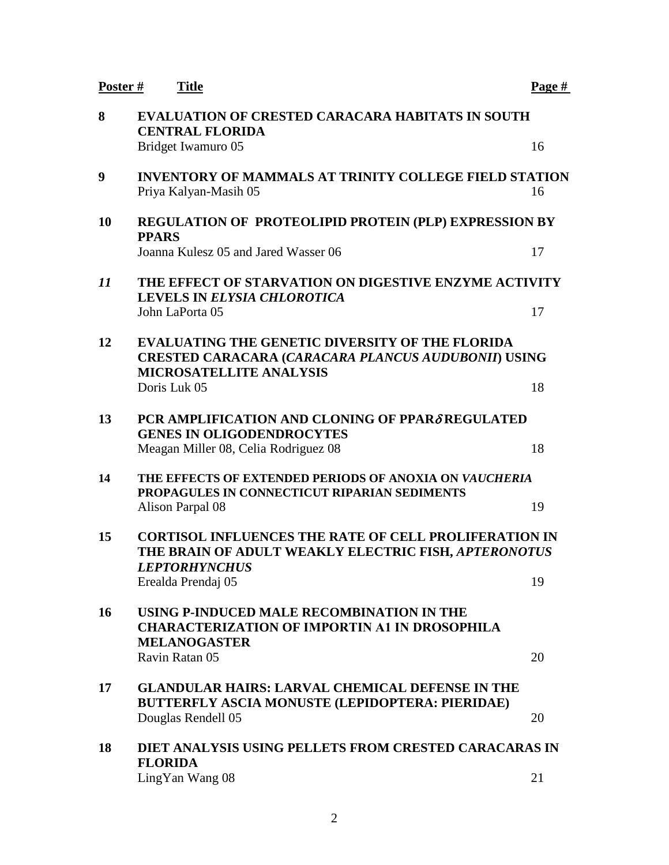| Poster#   | <b>Title</b>                                                                                                                                           | Page # |
|-----------|--------------------------------------------------------------------------------------------------------------------------------------------------------|--------|
| 8         | <b>EVALUATION OF CRESTED CARACARA HABITATS IN SOUTH</b><br><b>CENTRAL FLORIDA</b>                                                                      | 16     |
|           | Bridget Iwamuro 05                                                                                                                                     |        |
| 9         | <b>INVENTORY OF MAMMALS AT TRINITY COLLEGE FIELD STATION</b><br>Priya Kalyan-Masih 05                                                                  | 16     |
| <b>10</b> | REGULATION OF PROTEOLIPID PROTEIN (PLP) EXPRESSION BY<br><b>PPARS</b>                                                                                  |        |
|           | Joanna Kulesz 05 and Jared Wasser 06                                                                                                                   | 17     |
| 11        | THE EFFECT OF STARVATION ON DIGESTIVE ENZYME ACTIVITY<br><b>LEVELS IN ELYSIA CHLOROTICA</b>                                                            |        |
|           | John LaPorta 05                                                                                                                                        | 17     |
| 12        | <b>EVALUATING THE GENETIC DIVERSITY OF THE FLORIDA</b><br><b>CRESTED CARACARA (CARACARA PLANCUS AUDUBONII) USING</b><br><b>MICROSATELLITE ANALYSIS</b> |        |
|           | Doris Luk 05                                                                                                                                           | 18     |
| 13        | PCR AMPLIFICATION AND CLONING OF PPARSREGULATED<br><b>GENES IN OLIGODENDROCYTES</b>                                                                    |        |
|           | Meagan Miller 08, Celia Rodriguez 08                                                                                                                   | 18     |
| 14        | THE EFFECTS OF EXTENDED PERIODS OF ANOXIA ON VAUCHERIA<br>PROPAGULES IN CONNECTICUT RIPARIAN SEDIMENTS                                                 |        |
|           | Alison Parpal 08                                                                                                                                       | 19     |
| 15        | <b>CORTISOL INFLUENCES THE RATE OF CELL PROLIFERATION IN</b><br>THE BRAIN OF ADULT WEAKLY ELECTRIC FISH, APTERONOTUS<br><i><b>LEPTORHYNCHUS</b></i>    |        |
|           | Erealda Prendaj 05                                                                                                                                     | 19     |
| 16        | USING P-INDUCED MALE RECOMBINATION IN THE<br><b>CHARACTERIZATION OF IMPORTIN A1 IN DROSOPHILA</b><br><b>MELANOGASTER</b>                               |        |
|           | Ravin Ratan 05                                                                                                                                         | 20     |
| 17        | <b>GLANDULAR HAIRS: LARVAL CHEMICAL DEFENSE IN THE</b><br><b>BUTTERFLY ASCIA MONUSTE (LEPIDOPTERA: PIERIDAE)</b>                                       |        |
|           | Douglas Rendell 05                                                                                                                                     | 20     |
| 18        | DIET ANALYSIS USING PELLETS FROM CRESTED CARACARAS IN<br><b>FLORIDA</b>                                                                                |        |
|           | Ling Yan Wang 08                                                                                                                                       | 21     |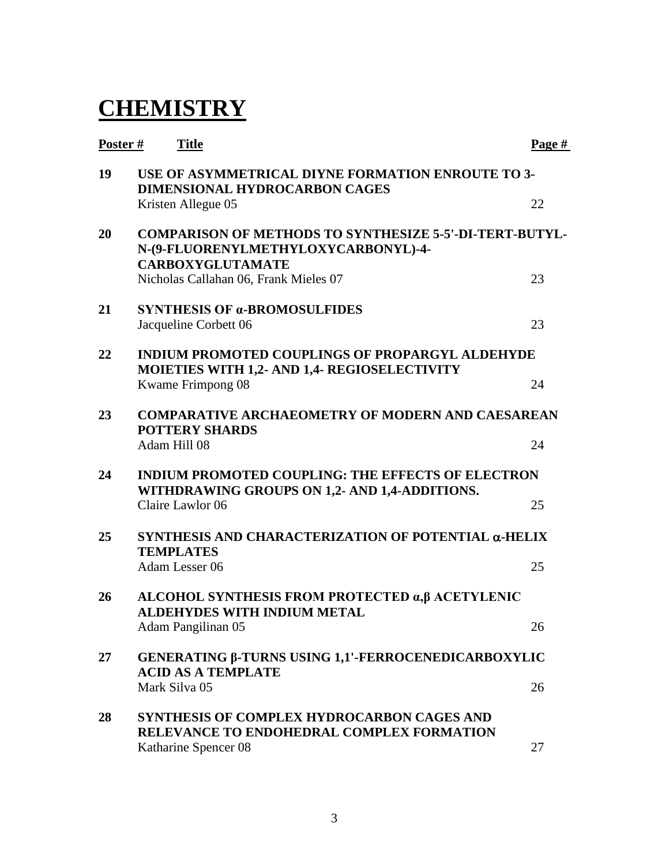## **CHEMISTRY**

| Poster# | <b>Title</b>                                                                                                                     | Page # |
|---------|----------------------------------------------------------------------------------------------------------------------------------|--------|
| 19      | USE OF ASYMMETRICAL DIYNE FORMATION ENROUTE TO 3-<br>DIMENSIONAL HYDROCARBON CAGES                                               |        |
|         | Kristen Allegue 05                                                                                                               | 22     |
| 20      | <b>COMPARISON OF METHODS TO SYNTHESIZE 5-5'-DI-TERT-BUTYL-</b><br>N-(9-FLUORENYLMETHYLOXYCARBONYL)-4-<br><b>CARBOXYGLUTAMATE</b> |        |
|         | Nicholas Callahan 06, Frank Mieles 07                                                                                            | 23     |
| 21      | <b>SYNTHESIS OF a-BROMOSULFIDES</b><br>Jacqueline Corbett 06                                                                     | 23     |
| 22      | <b>INDIUM PROMOTED COUPLINGS OF PROPARGYL ALDEHYDE</b><br><b>MOIETIES WITH 1,2- AND 1,4- REGIOSELECTIVITY</b>                    |        |
|         | Kwame Frimpong 08                                                                                                                | 24     |
| 23      | <b>COMPARATIVE ARCHAEOMETRY OF MODERN AND CAESAREAN</b><br><b>POTTERY SHARDS</b>                                                 |        |
|         | Adam Hill 08                                                                                                                     | 24     |
| 24      | <b>INDIUM PROMOTED COUPLING: THE EFFECTS OF ELECTRON</b><br>WITHDRAWING GROUPS ON 1,2- AND 1,4-ADDITIONS.                        |        |
|         | Claire Lawlor 06                                                                                                                 | 25     |
| 25      | SYNTHESIS AND CHARACTERIZATION OF POTENTIAL $\alpha$ -HELIX<br><b>TEMPLATES</b>                                                  |        |
|         | Adam Lesser 06                                                                                                                   | 25     |
| 26      | ALCOHOL SYNTHESIS FROM PROTECTED α,β ACETYLENIC<br><b>ALDEHYDES WITH INDIUM METAL</b>                                            |        |
|         | Adam Pangilinan 05                                                                                                               | 26     |
| 27      | GENERATING β-TURNS USING 1,1'-FERROCENEDICARBOXYLIC<br><b>ACID AS A TEMPLATE</b>                                                 |        |
|         | Mark Silva 05                                                                                                                    | 26     |
| 28      | SYNTHESIS OF COMPLEX HYDROCARBON CAGES AND<br>RELEVANCE TO ENDOHEDRAL COMPLEX FORMATION                                          |        |
|         | Katharine Spencer 08                                                                                                             | 27     |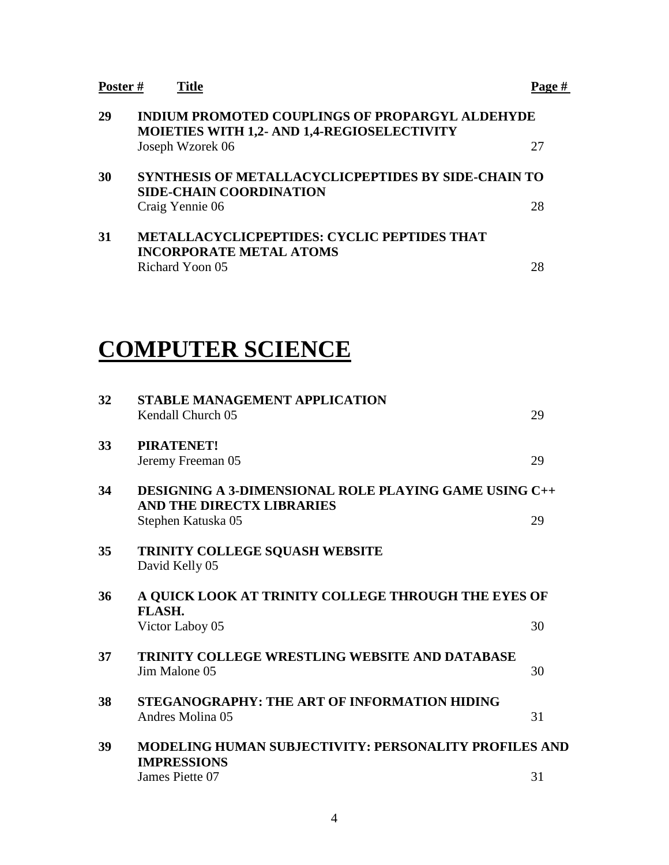| Poster# | Title                                                                                                        | Page# |
|---------|--------------------------------------------------------------------------------------------------------------|-------|
| 29      | <b>INDIUM PROMOTED COUPLINGS OF PROPARGYL ALDEHYDE</b><br><b>MOIETIES WITH 1,2- AND 1,4-REGIOSELECTIVITY</b> |       |
|         | Joseph Wzorek 06                                                                                             | 27    |
| 30      | <b>SYNTHESIS OF METALLACYCLICPEPTIDES BY SIDE-CHAIN TO</b><br><b>SIDE-CHAIN COORDINATION</b>                 |       |
|         | Craig Yennie 06                                                                                              | 28    |
| 31      | <b>METALLACYCLICPEPTIDES: CYCLIC PEPTIDES THAT</b>                                                           |       |
|         | <b>INCORPORATE METAL ATOMS</b>                                                                               |       |
|         | Richard Yoon 05                                                                                              | 28    |
|         |                                                                                                              |       |

## **COMPUTER SCIENCE**

| 32 | <b>STABLE MANAGEMENT APPLICATION</b><br>Kendall Church 05                                                       | 29 |
|----|-----------------------------------------------------------------------------------------------------------------|----|
| 33 | PIRATENET!<br>Jeremy Freeman 05                                                                                 | 29 |
| 34 | <b>DESIGNING A 3-DIMENSIONAL ROLE PLAYING GAME USING C++</b><br>AND THE DIRECTX LIBRARIES<br>Stephen Katuska 05 | 29 |
| 35 | <b>TRINITY COLLEGE SQUASH WEBSITE</b><br>David Kelly 05                                                         |    |
| 36 | A QUICK LOOK AT TRINITY COLLEGE THROUGH THE EYES OF<br>FLASH.<br>Victor Laboy 05                                | 30 |
| 37 | <b>TRINITY COLLEGE WRESTLING WEBSITE AND DATABASE</b><br>Jim Malone 05                                          | 30 |
| 38 | <b>STEGANOGRAPHY: THE ART OF INFORMATION HIDING</b><br>Andres Molina 05                                         | 31 |
| 39 | <b>MODELING HUMAN SUBJECTIVITY: PERSONALITY PROFILES AND</b><br><b>IMPRESSIONS</b>                              |    |
|    | James Piette 07                                                                                                 | 31 |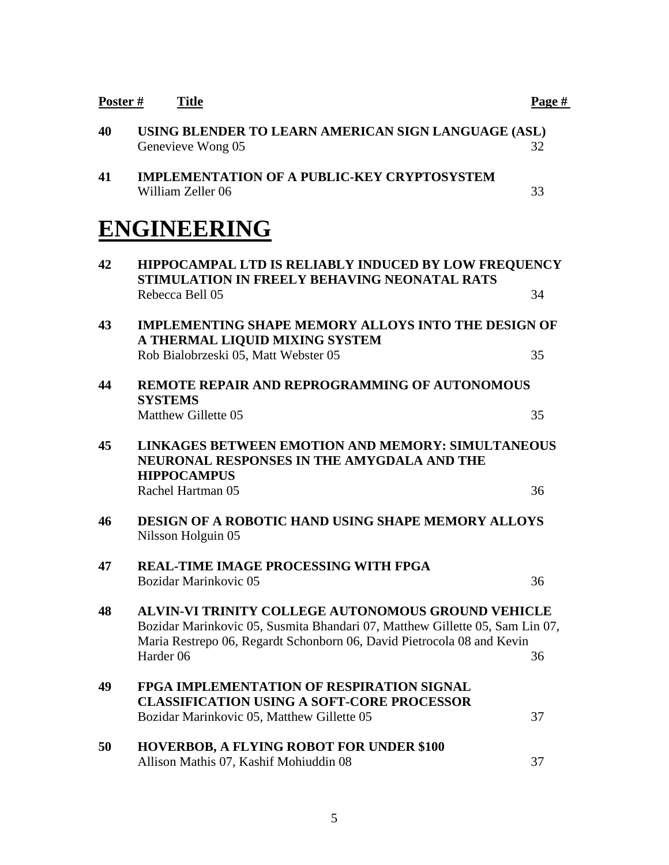| Poster# | <b>Title</b>                                                                                                                                                                                                                         | Page # |
|---------|--------------------------------------------------------------------------------------------------------------------------------------------------------------------------------------------------------------------------------------|--------|
| 40      | USING BLENDER TO LEARN AMERICAN SIGN LANGUAGE (ASL)<br>Genevieve Wong 05                                                                                                                                                             | 32     |
| 41      | <b>IMPLEMENTATION OF A PUBLIC-KEY CRYPTOSYSTEM</b><br>William Zeller 06                                                                                                                                                              | 33     |
|         | <b>ENGINEERING</b>                                                                                                                                                                                                                   |        |
| 42      | <b>HIPPOCAMPAL LTD IS RELIABLY INDUCED BY LOW FREQUENCY</b><br>STIMULATION IN FREELY BEHAVING NEONATAL RATS                                                                                                                          |        |
|         | Rebecca Bell 05                                                                                                                                                                                                                      | 34     |
| 43      | <b>IMPLEMENTING SHAPE MEMORY ALLOYS INTO THE DESIGN OF</b><br>A THERMAL LIQUID MIXING SYSTEM<br>Rob Bialobrzeski 05, Matt Webster 05                                                                                                 | 35     |
|         |                                                                                                                                                                                                                                      |        |
| 44      | <b>REMOTE REPAIR AND REPROGRAMMING OF AUTONOMOUS</b><br><b>SYSTEMS</b>                                                                                                                                                               |        |
|         | Matthew Gillette 05                                                                                                                                                                                                                  | 35     |
| 45      | <b>LINKAGES BETWEEN EMOTION AND MEMORY: SIMULTANEOUS</b><br>NEURONAL RESPONSES IN THE AMYGDALA AND THE<br><b>HIPPOCAMPUS</b>                                                                                                         |        |
|         | Rachel Hartman 05                                                                                                                                                                                                                    | 36     |
| 46      | <b>DESIGN OF A ROBOTIC HAND USING SHAPE MEMORY ALLOYS</b><br>Nilsson Holguin 05                                                                                                                                                      |        |
| 47      | <b>REAL-TIME IMAGE PROCESSING WITH FPGA</b><br>Bozidar Marinkovic 05                                                                                                                                                                 | 36     |
| 48      | ALVIN-VI TRINITY COLLEGE AUTONOMOUS GROUND VEHICLE<br>Bozidar Marinkovic 05, Susmita Bhandari 07, Matthew Gillette 05, Sam Lin 07,<br>Maria Restrepo 06, Regardt Schonborn 06, David Pietrocola 08 and Kevin<br>Harder <sub>06</sub> | 36     |
|         |                                                                                                                                                                                                                                      |        |
| 49      | FPGA IMPLEMENTATION OF RESPIRATION SIGNAL<br><b>CLASSIFICATION USING A SOFT-CORE PROCESSOR</b><br>Bozidar Marinkovic 05, Matthew Gillette 05                                                                                         | 37     |
| 50      | <b>HOVERBOB, A FLYING ROBOT FOR UNDER \$100</b>                                                                                                                                                                                      |        |
|         | Allison Mathis 07, Kashif Mohiuddin 08                                                                                                                                                                                               | 37     |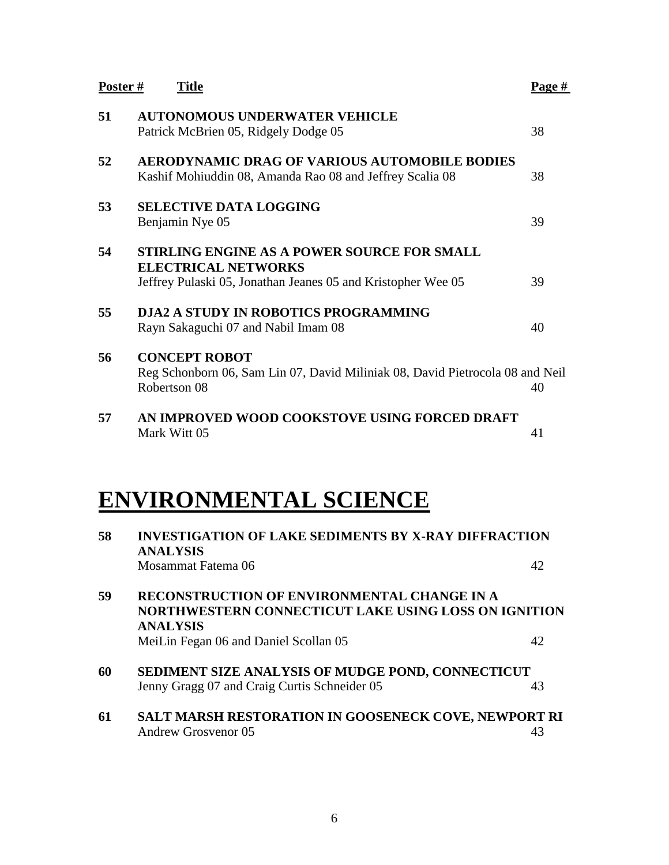| Poster # | <b>Title</b>                                                                                                                                     | Page # |
|----------|--------------------------------------------------------------------------------------------------------------------------------------------------|--------|
| 51       | <b>AUTONOMOUS UNDERWATER VEHICLE</b><br>Patrick McBrien 05, Ridgely Dodge 05                                                                     | 38     |
| 52       | <b>AERODYNAMIC DRAG OF VARIOUS AUTOMOBILE BODIES</b><br>Kashif Mohiuddin 08, Amanda Rao 08 and Jeffrey Scalia 08                                 | 38     |
| 53       | <b>SELECTIVE DATA LOGGING</b><br>Benjamin Nye 05                                                                                                 | 39     |
| 54       | <b>STIRLING ENGINE AS A POWER SOURCE FOR SMALL</b><br><b>ELECTRICAL NETWORKS</b><br>Jeffrey Pulaski 05, Jonathan Jeanes 05 and Kristopher Wee 05 | 39     |
| 55       | <b>DJA2 A STUDY IN ROBOTICS PROGRAMMING</b><br>Rayn Sakaguchi 07 and Nabil Imam 08                                                               | 40     |
| 56       | <b>CONCEPT ROBOT</b><br>Reg Schonborn 06, Sam Lin 07, David Miliniak 08, David Pietrocola 08 and Neil<br>Robertson 08                            | 40     |
| 57       | AN IMPROVED WOOD COOKSTOVE USING FORCED DRAFT<br>Mark Witt 05                                                                                    | 41     |
|          | <b>ENVIRONMENTAL SCIENCE</b>                                                                                                                     |        |

| 58 | <b>INVESTIGATION OF LAKE SEDIMENTS BY X-RAY DIFFRACTION</b><br><b>ANALYSIS</b>                                                       |    |
|----|--------------------------------------------------------------------------------------------------------------------------------------|----|
|    | Mosammat Fatema 06                                                                                                                   | 42 |
| 59 | <b>RECONSTRUCTION OF ENVIRONMENTAL CHANGE IN A</b><br><b>NORTHWESTERN CONNECTICUT LAKE USING LOSS ON IGNITION</b><br><b>ANALYSIS</b> |    |
|    | MeiLin Fegan 06 and Daniel Scollan 05                                                                                                | 42 |
| 60 | SEDIMENT SIZE ANALYSIS OF MUDGE POND, CONNECTICUT                                                                                    |    |
|    | Jenny Gragg 07 and Craig Curtis Schneider 05                                                                                         | 43 |
| 61 | <b>SALT MARSH RESTORATION IN GOOSENECK COVE, NEWPORT RI</b>                                                                          |    |
|    | Andrew Grosvenor 05                                                                                                                  | 43 |
|    |                                                                                                                                      |    |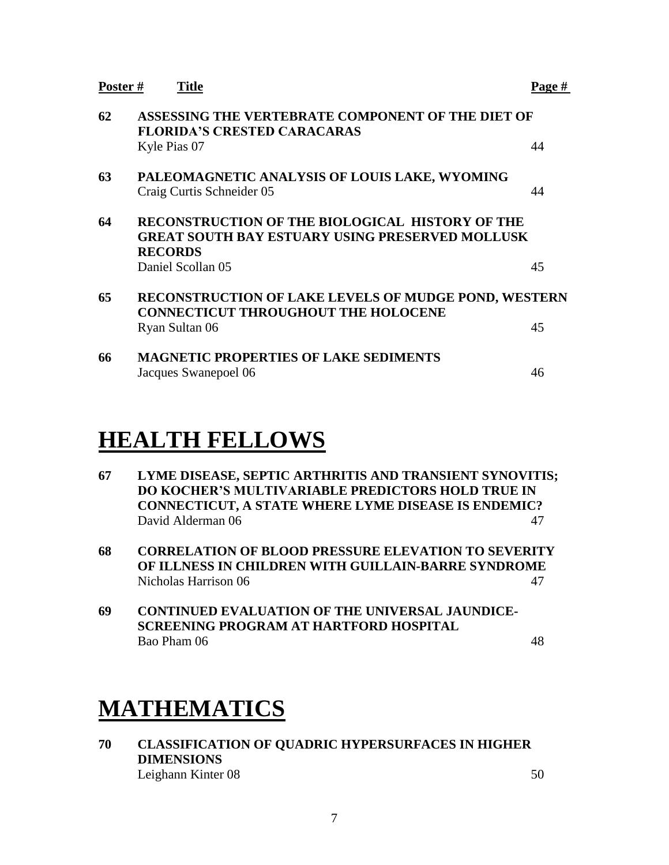| Poster# | Title                                                                                                                              | Page # |
|---------|------------------------------------------------------------------------------------------------------------------------------------|--------|
| 62      | ASSESSING THE VERTEBRATE COMPONENT OF THE DIET OF<br><b>FLORIDA'S CRESTED CARACARAS</b>                                            |        |
|         | Kyle Pias 07                                                                                                                       | 44     |
| 63      | PALEOMAGNETIC ANALYSIS OF LOUIS LAKE, WYOMING<br>Craig Curtis Schneider 05                                                         | 44     |
| 64      | <b>RECONSTRUCTION OF THE BIOLOGICAL HISTORY OF THE</b><br><b>GREAT SOUTH BAY ESTUARY USING PRESERVED MOLLUSK</b><br><b>RECORDS</b> |        |
|         | Daniel Scollan 05                                                                                                                  | 45     |
| 65      | <b>RECONSTRUCTION OF LAKE LEVELS OF MUDGE POND, WESTERN</b><br><b>CONNECTICUT THROUGHOUT THE HOLOCENE</b>                          |        |
|         | Ryan Sultan 06                                                                                                                     | 45     |
| 66      | <b>MAGNETIC PROPERTIES OF LAKE SEDIMENTS</b>                                                                                       |        |
|         | Jacques Swanepoel 06                                                                                                               | 46     |

### **HEALTH FELLOWS**

- **67 LYME DISEASE, SEPTIC ARTHRITIS AND TRANSIENT SYNOVITIS; DO KOCHER'S MULTIVARIABLE PREDICTORS HOLD TRUE IN CONNECTICUT, A STATE WHERE LYME DISEASE IS ENDEMIC?** David Alderman 06 47
- **68 CORRELATION OF BLOOD PRESSURE ELEVATION TO SEVERITY OF ILLNESS IN CHILDREN WITH GUILLAIN-BARRE SYNDROME** Nicholas Harrison 06 47
- **69 CONTINUED EVALUATION OF THE UNIVERSAL JAUNDICE-SCREENING PROGRAM AT HARTFORD HOSPITAL** Bao Pham 06 48

### **MATHEMATICS**

**70 CLASSIFICATION OF QUADRIC HYPERSURFACES IN HIGHER DIMENSIONS** Leighann Kinter 08 50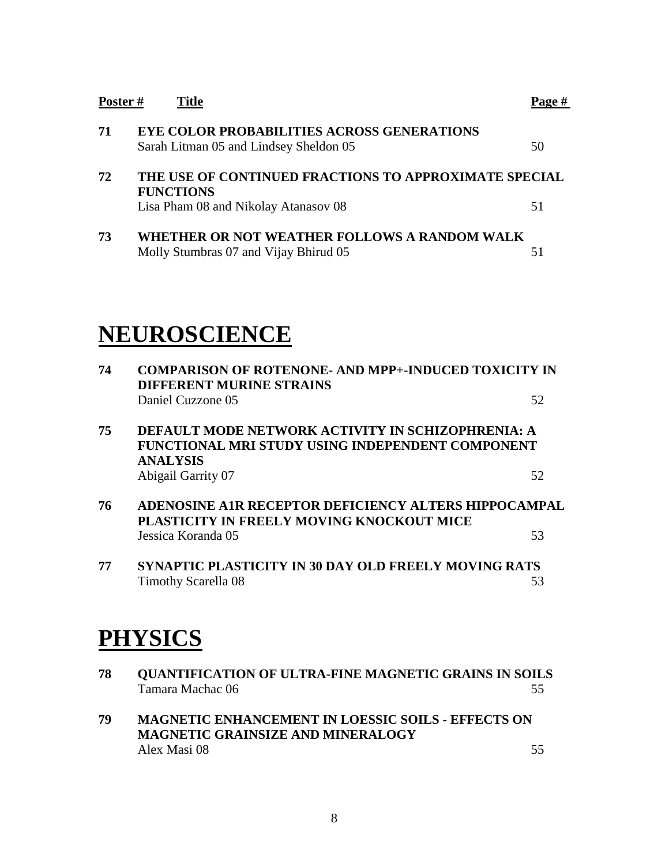| Poster# | <b>Title</b>                                                                                                                    | Page # |
|---------|---------------------------------------------------------------------------------------------------------------------------------|--------|
| 71      | <b>EYE COLOR PROBABILITIES ACROSS GENERATIONS</b><br>Sarah Litman 05 and Lindsey Sheldon 05                                     | 50     |
| 72      | THE USE OF CONTINUED FRACTIONS TO APPROXIMATE SPECIAL<br><b>FUNCTIONS</b>                                                       |        |
|         | Lisa Pham 08 and Nikolay Atanasov 08                                                                                            | 51     |
| 73      | WHETHER OR NOT WEATHER FOLLOWS A RANDOM WALK<br>Molly Stumbras 07 and Vijay Bhirud 05                                           | 51     |
|         | <b>NEUROSCIENCE</b>                                                                                                             |        |
| 74      | <b>COMPARISON OF ROTENONE- AND MPP+-INDUCED TOXICITY IN</b><br><b>DIFFERENT MURINE STRAINS</b>                                  |        |
|         | Daniel Cuzzone 05                                                                                                               | 52     |
| 75      | DEFAULT MODE NETWORK ACTIVITY IN SCHIZOPHRENIA: A<br><b>FUNCTIONAL MRI STUDY USING INDEPENDENT COMPONENT</b><br><b>ANALYSIS</b> |        |
|         | Abigail Garrity 07                                                                                                              | 52     |
| 76      | <b>ADENOSINE A1R RECEPTOR DEFICIENCY ALTERS HIPPOCAMPAL</b><br>PLASTICITY IN FREELY MOVING KNOCKOUT MICE                        |        |
|         | Jessica Koranda 05                                                                                                              | 53     |
| 77      | <b>SYNAPTIC PLASTICITY IN 30 DAY OLD FREELY MOVING RATS</b><br>Timothy Scarella 08                                              | 53     |
|         | <b>PHYSICS</b>                                                                                                                  |        |
| 78      | <b>QUANTIFICATION OF ULTRA-FINE MAGNETIC GRAINS IN SOILS</b><br>Tamara Machac 06                                                | 55     |
| 79      | <b>MAGNETIC ENHANCEMENT IN LOESSIC SOILS - EFFECTS ON</b><br><b>MAGNETIC GRAINSIZE AND MINERALOGY</b>                           |        |
|         | Alex Masi 08                                                                                                                    | 55     |
|         |                                                                                                                                 |        |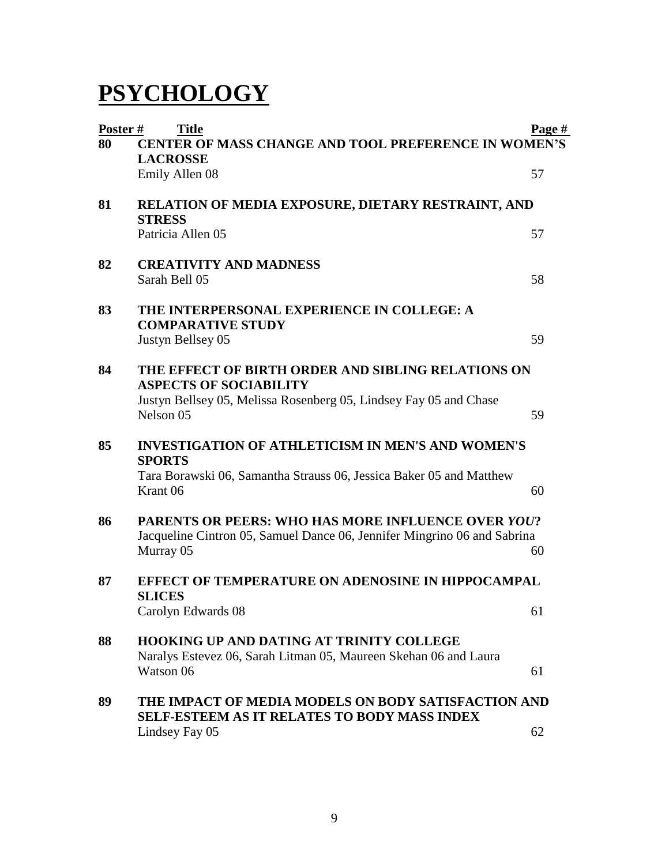## **PSYCHOLOGY**

| Poster# | <b>Title</b>                                                                                                                          | Page # |
|---------|---------------------------------------------------------------------------------------------------------------------------------------|--------|
| 80      | <b>CENTER OF MASS CHANGE AND TOOL PREFERENCE IN WOMEN'S</b>                                                                           |        |
|         | <b>LACROSSE</b>                                                                                                                       |        |
|         | Emily Allen 08                                                                                                                        | 57     |
| 81      | RELATION OF MEDIA EXPOSURE, DIETARY RESTRAINT, AND<br><b>STRESS</b>                                                                   |        |
|         | Patricia Allen 05                                                                                                                     | 57     |
| 82      | <b>CREATIVITY AND MADNESS</b>                                                                                                         |        |
|         | Sarah Bell 05                                                                                                                         | 58     |
| 83      | THE INTERPERSONAL EXPERIENCE IN COLLEGE: A<br><b>COMPARATIVE STUDY</b>                                                                |        |
|         | Justyn Bellsey 05                                                                                                                     | 59     |
| 84      | THE EFFECT OF BIRTH ORDER AND SIBLING RELATIONS ON<br><b>ASPECTS OF SOCIABILITY</b>                                                   |        |
|         | Justyn Bellsey 05, Melissa Rosenberg 05, Lindsey Fay 05 and Chase<br>Nelson <sub>05</sub>                                             | 59     |
| 85      | <b>INVESTIGATION OF ATHLETICISM IN MEN'S AND WOMEN'S</b><br><b>SPORTS</b>                                                             |        |
|         | Tara Borawski 06, Samantha Strauss 06, Jessica Baker 05 and Matthew<br>Krant <sub>06</sub>                                            | 60     |
| 86      | <b>PARENTS OR PEERS: WHO HAS MORE INFLUENCE OVER YOU?</b><br>Jacqueline Cintron 05, Samuel Dance 06, Jennifer Mingrino 06 and Sabrina |        |
|         | Murray 05                                                                                                                             | 60     |
| 87      | <b>EFFECT OF TEMPERATURE ON ADENOSINE IN HIPPOCAMPAL</b><br><b>SLICES</b>                                                             |        |
|         | Carolyn Edwards 08                                                                                                                    | 61     |
| 88      | <b>HOOKING UP AND DATING AT TRINITY COLLEGE</b><br>Naralys Estevez 06, Sarah Litman 05, Maureen Skehan 06 and Laura                   |        |
|         | Watson 06                                                                                                                             | 61     |
| 89      | THE IMPACT OF MEDIA MODELS ON BODY SATISFACTION AND<br><b>SELF-ESTEEM AS IT RELATES TO BODY MASS INDEX</b>                            |        |
|         | Lindsey Fay 05                                                                                                                        | 62     |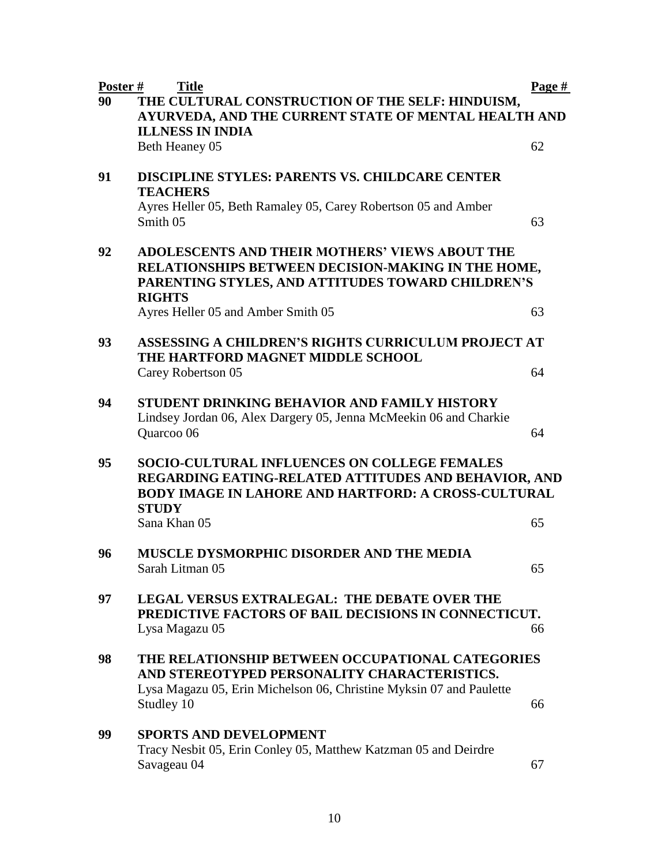| Poster# | <b>Title</b>                                                                                                                                                                                              | Page # |
|---------|-----------------------------------------------------------------------------------------------------------------------------------------------------------------------------------------------------------|--------|
| 90      | THE CULTURAL CONSTRUCTION OF THE SELF: HINDUISM,<br>AYURVEDA, AND THE CURRENT STATE OF MENTAL HEALTH AND<br><b>ILLNESS IN INDIA</b>                                                                       |        |
|         | Beth Heaney 05                                                                                                                                                                                            | 62     |
| 91      | <b>DISCIPLINE STYLES: PARENTS VS. CHILDCARE CENTER</b><br><b>TEACHERS</b>                                                                                                                                 |        |
|         | Ayres Heller 05, Beth Ramaley 05, Carey Robertson 05 and Amber<br>Smith <sub>05</sub>                                                                                                                     | 63     |
| 92      | <b>ADOLESCENTS AND THEIR MOTHERS' VIEWS ABOUT THE</b><br>RELATIONSHIPS BETWEEN DECISION-MAKING IN THE HOME,<br>PARENTING STYLES, AND ATTITUDES TOWARD CHILDREN'S<br><b>RIGHTS</b>                         |        |
|         | Ayres Heller 05 and Amber Smith 05                                                                                                                                                                        | 63     |
| 93      | ASSESSING A CHILDREN'S RIGHTS CURRICULUM PROJECT AT<br>THE HARTFORD MAGNET MIDDLE SCHOOL                                                                                                                  |        |
|         | Carey Robertson 05                                                                                                                                                                                        | 64     |
| 94      | STUDENT DRINKING BEHAVIOR AND FAMILY HISTORY<br>Lindsey Jordan 06, Alex Dargery 05, Jenna McMeekin 06 and Charkie<br>Quarcoo 06                                                                           | 64     |
| 95      | <b>SOCIO-CULTURAL INFLUENCES ON COLLEGE FEMALES</b><br>REGARDING EATING-RELATED ATTITUDES AND BEHAVIOR, AND<br><b>BODY IMAGE IN LAHORE AND HARTFORD: A CROSS-CULTURAL</b><br><b>STUDY</b><br>Sana Khan 05 | 65     |
| 96      | <b>MUSCLE DYSMORPHIC DISORDER AND THE MEDIA</b>                                                                                                                                                           |        |
|         | Sarah Litman 05                                                                                                                                                                                           | 65     |
| 97      | <b>LEGAL VERSUS EXTRALEGAL: THE DEBATE OVER THE</b><br>PREDICTIVE FACTORS OF BAIL DECISIONS IN CONNECTICUT.<br>Lysa Magazu 05                                                                             | 66     |
| 98      | THE RELATIONSHIP BETWEEN OCCUPATIONAL CATEGORIES<br>AND STEREOTYPED PERSONALITY CHARACTERISTICS.<br>Lysa Magazu 05, Erin Michelson 06, Christine Myksin 07 and Paulette<br>Studley 10                     | 66     |
| 99      | <b>SPORTS AND DEVELOPMENT</b>                                                                                                                                                                             |        |
|         | Tracy Nesbit 05, Erin Conley 05, Matthew Katzman 05 and Deirdre<br>Savageau 04                                                                                                                            | 67     |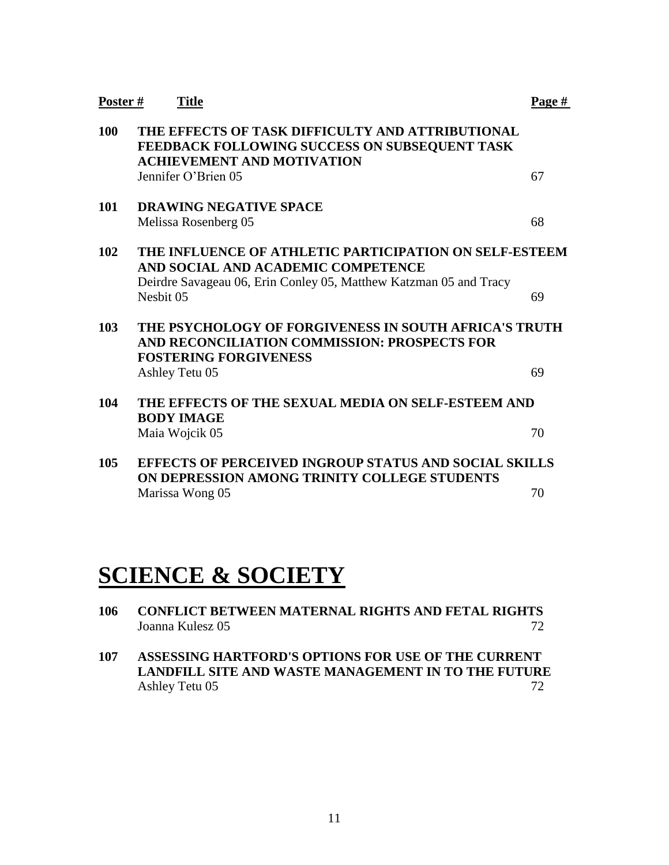| Poster#    | <b>Title</b>                                                                                                                                                      | Page # |
|------------|-------------------------------------------------------------------------------------------------------------------------------------------------------------------|--------|
| <b>100</b> | THE EFFECTS OF TASK DIFFICULTY AND ATTRIBUTIONAL<br>FEEDBACK FOLLOWING SUCCESS ON SUBSEQUENT TASK<br><b>ACHIEVEMENT AND MOTIVATION</b>                            |        |
|            | Jennifer O'Brien 05                                                                                                                                               | 67     |
| 101        | <b>DRAWING NEGATIVE SPACE</b>                                                                                                                                     |        |
|            | Melissa Rosenberg 05                                                                                                                                              | 68     |
| 102        | THE INFLUENCE OF ATHLETIC PARTICIPATION ON SELF-ESTEEM<br>AND SOCIAL AND ACADEMIC COMPETENCE<br>Deirdre Savageau 06, Erin Conley 05, Matthew Katzman 05 and Tracy |        |
|            | Nesbit 05                                                                                                                                                         | 69     |
| 103        | THE PSYCHOLOGY OF FORGIVENESS IN SOUTH AFRICA'S TRUTH<br>AND RECONCILIATION COMMISSION: PROSPECTS FOR<br><b>FOSTERING FORGIVENESS</b>                             |        |
|            | Ashley Tetu 05                                                                                                                                                    | 69     |
| 104        | THE EFFECTS OF THE SEXUAL MEDIA ON SELF-ESTEEM AND<br><b>BODY IMAGE</b>                                                                                           |        |
|            | Maia Wojcik 05                                                                                                                                                    | 70     |
| 105        | <b>EFFECTS OF PERCEIVED INGROUP STATUS AND SOCIAL SKILLS</b><br>ON DEPRESSION AMONG TRINITY COLLEGE STUDENTS                                                      |        |
|            | Marissa Wong 05                                                                                                                                                   | 70     |
|            |                                                                                                                                                                   |        |
|            |                                                                                                                                                                   |        |

## **SCIENCE & SOCIETY**

**106 CONFLICT BETWEEN MATERNAL RIGHTS AND FETAL RIGHTS** Joanna Kulesz 05 72 **107 ASSESSING HARTFORD'S OPTIONS FOR USE OF THE CURRENT LANDFILL SITE AND WASTE MANAGEMENT IN TO THE FUTURE**<br>Ashley Tetu 05 72 Ashley Tetu 05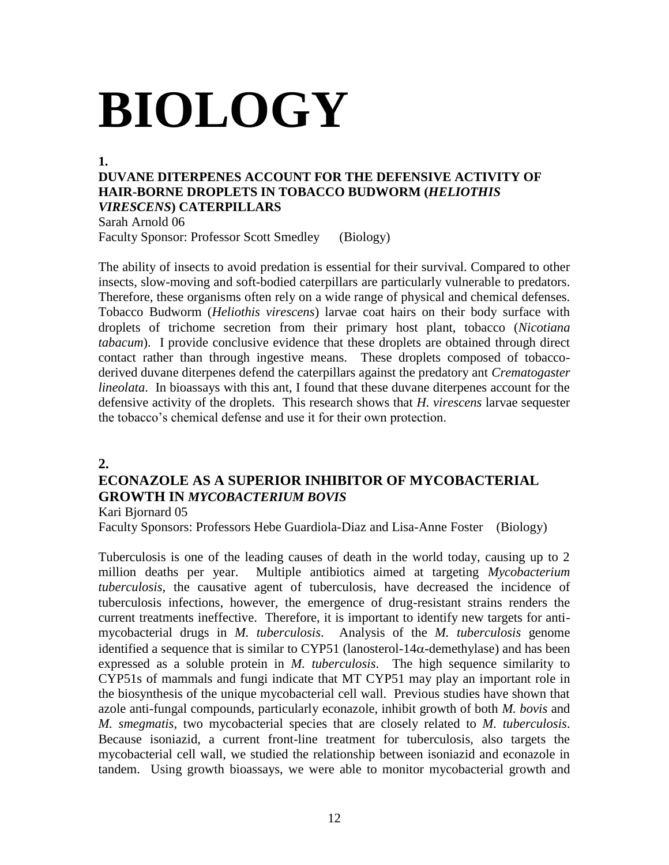# **BIOLOGY**

#### **1. DUVANE DITERPENES ACCOUNT FOR THE DEFENSIVE ACTIVITY OF HAIR-BORNE DROPLETS IN TOBACCO BUDWORM (***HELIOTHIS VIRESCENS***) CATERPILLARS**

Sarah Arnold 06

Faculty Sponsor: Professor Scott Smedley (Biology)

The ability of insects to avoid predation is essential for their survival. Compared to other insects, slow-moving and soft-bodied caterpillars are particularly vulnerable to predators. Therefore, these organisms often rely on a wide range of physical and chemical defenses. Tobacco Budworm (*Heliothis virescens*) larvae coat hairs on their body surface with droplets of trichome secretion from their primary host plant, tobacco (*Nicotiana tabacum*). I provide conclusive evidence that these droplets are obtained through direct contact rather than through ingestive means. These droplets composed of tobaccoderived duvane diterpenes defend the caterpillars against the predatory ant *Crematogaster lineolata*. In bioassays with this ant, I found that these duvane diterpenes account for the defensive activity of the droplets. This research shows that *H. virescens* larvae sequester the tobacco's chemical defense and use it for their own protection.

#### **2.**

#### **ECONAZOLE AS A SUPERIOR INHIBITOR OF MYCOBACTERIAL GROWTH IN** *MYCOBACTERIUM BOVIS*

Kari Bjornard 05

Faculty Sponsors: Professors Hebe Guardiola-Diaz and Lisa-Anne Foster (Biology)

Tuberculosis is one of the leading causes of death in the world today, causing up to 2 million deaths per year. Multiple antibiotics aimed at targeting *Mycobacterium tuberculosis*, the causative agent of tuberculosis, have decreased the incidence of tuberculosis infections, however, the emergence of drug-resistant strains renders the current treatments ineffective. Therefore, it is important to identify new targets for antimycobacterial drugs in *M. tuberculosis*. Analysis of the *M. tuberculosis* genome identified a sequence that is similar to CYP51 (lanosterol-14 $\alpha$ -demethylase) and has been expressed as a soluble protein in *M. tuberculosis*. The high sequence similarity to CYP51s of mammals and fungi indicate that MT CYP51 may play an important role in the biosynthesis of the unique mycobacterial cell wall. Previous studies have shown that azole anti-fungal compounds, particularly econazole, inhibit growth of both *M. bovis* and *M. smegmatis*, two mycobacterial species that are closely related to *M. tuberculosis*. Because isoniazid, a current front-line treatment for tuberculosis, also targets the mycobacterial cell wall, we studied the relationship between isoniazid and econazole in tandem. Using growth bioassays, we were able to monitor mycobacterial growth and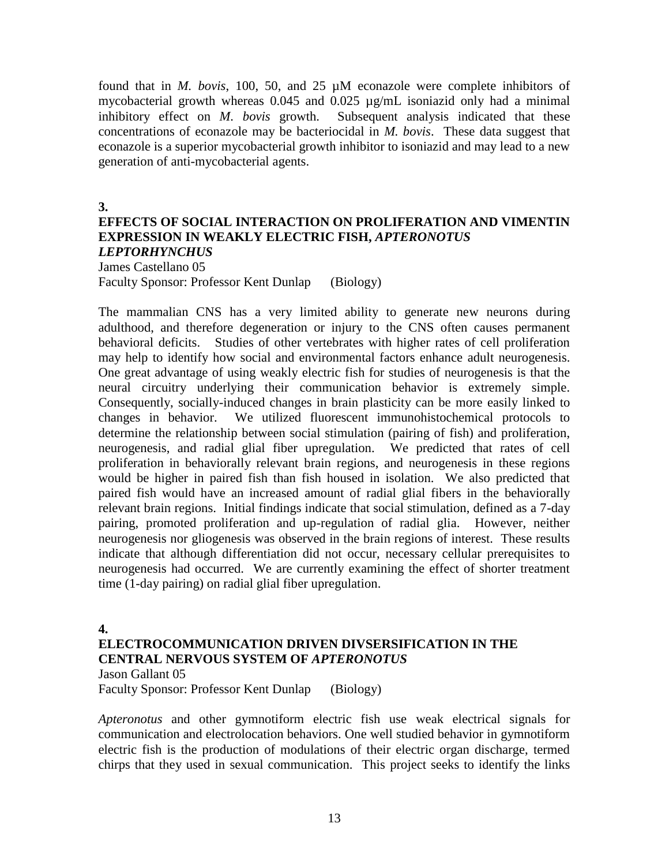found that in *M. bovis*, 100, 50, and 25 µM econazole were complete inhibitors of mycobacterial growth whereas 0.045 and 0.025 µg/mL isoniazid only had a minimal inhibitory effect on *M. bovis* growth. Subsequent analysis indicated that these concentrations of econazole may be bacteriocidal in *M. bovis*. These data suggest that econazole is a superior mycobacterial growth inhibitor to isoniazid and may lead to a new generation of anti-mycobacterial agents.

**3.** 

#### **EFFECTS OF SOCIAL INTERACTION ON PROLIFERATION AND VIMENTIN EXPRESSION IN WEAKLY ELECTRIC FISH,** *APTERONOTUS LEPTORHYNCHUS*

James Castellano 05 Faculty Sponsor: Professor Kent Dunlap (Biology)

The mammalian CNS has a very limited ability to generate new neurons during adulthood, and therefore degeneration or injury to the CNS often causes permanent behavioral deficits. Studies of other vertebrates with higher rates of cell proliferation may help to identify how social and environmental factors enhance adult neurogenesis. One great advantage of using weakly electric fish for studies of neurogenesis is that the neural circuitry underlying their communication behavior is extremely simple. Consequently, socially-induced changes in brain plasticity can be more easily linked to changes in behavior. We utilized fluorescent immunohistochemical protocols to determine the relationship between social stimulation (pairing of fish) and proliferation, neurogenesis, and radial glial fiber upregulation. We predicted that rates of cell proliferation in behaviorally relevant brain regions, and neurogenesis in these regions would be higher in paired fish than fish housed in isolation. We also predicted that paired fish would have an increased amount of radial glial fibers in the behaviorally relevant brain regions. Initial findings indicate that social stimulation, defined as a 7-day pairing, promoted proliferation and up-regulation of radial glia. However, neither neurogenesis nor gliogenesis was observed in the brain regions of interest. These results indicate that although differentiation did not occur, necessary cellular prerequisites to neurogenesis had occurred. We are currently examining the effect of shorter treatment time (1-day pairing) on radial glial fiber upregulation.

#### **4.**

#### **ELECTROCOMMUNICATION DRIVEN DIVSERSIFICATION IN THE CENTRAL NERVOUS SYSTEM OF** *APTERONOTUS*

Jason Gallant 05

Faculty Sponsor: Professor Kent Dunlap (Biology)

*Apteronotus* and other gymnotiform electric fish use weak electrical signals for communication and electrolocation behaviors. One well studied behavior in gymnotiform electric fish is the production of modulations of their electric organ discharge, termed chirps that they used in sexual communication. This project seeks to identify the links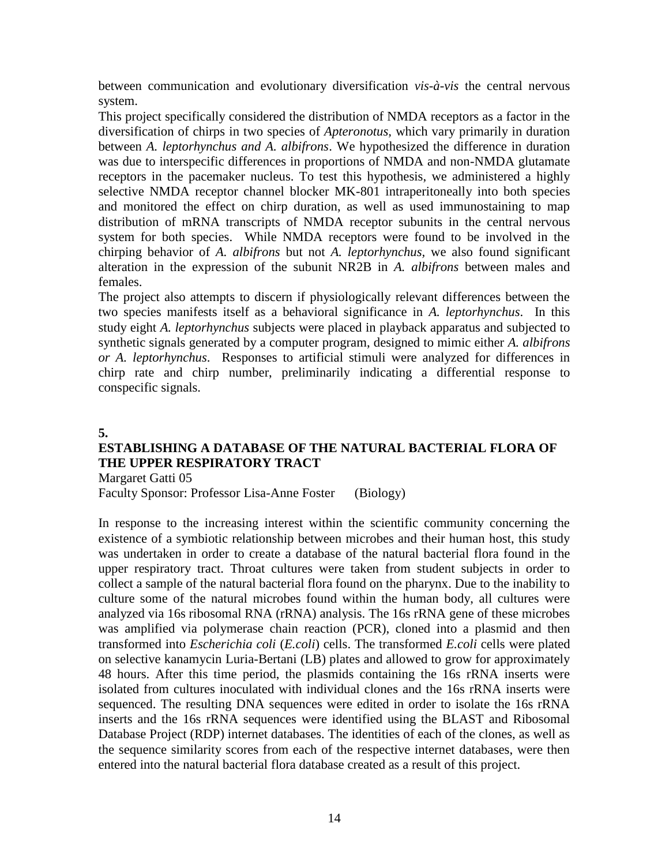between communication and evolutionary diversification *vis-à-vis* the central nervous system.

This project specifically considered the distribution of NMDA receptors as a factor in the diversification of chirps in two species of *Apteronotus,* which vary primarily in duration between *A. leptorhynchus and A. albifrons*. We hypothesized the difference in duration was due to interspecific differences in proportions of NMDA and non-NMDA glutamate receptors in the pacemaker nucleus. To test this hypothesis, we administered a highly selective NMDA receptor channel blocker MK-801 intraperitoneally into both species and monitored the effect on chirp duration, as well as used immunostaining to map distribution of mRNA transcripts of NMDA receptor subunits in the central nervous system for both species. While NMDA receptors were found to be involved in the chirping behavior of *A. albifrons* but not *A. leptorhynchus,* we also found significant alteration in the expression of the subunit NR2B in *A. albifrons* between males and females.

The project also attempts to discern if physiologically relevant differences between the two species manifests itself as a behavioral significance in *A. leptorhynchus*. In this study eight *A. leptorhynchus* subjects were placed in playback apparatus and subjected to synthetic signals generated by a computer program, designed to mimic either *A. albifrons or A. leptorhynchus*. Responses to artificial stimuli were analyzed for differences in chirp rate and chirp number, preliminarily indicating a differential response to conspecific signals.

#### **5.**

#### **ESTABLISHING A DATABASE OF THE NATURAL BACTERIAL FLORA OF THE UPPER RESPIRATORY TRACT**

Margaret Gatti 05

Faculty Sponsor: Professor Lisa-Anne Foster (Biology)

In response to the increasing interest within the scientific community concerning the existence of a symbiotic relationship between microbes and their human host, this study was undertaken in order to create a database of the natural bacterial flora found in the upper respiratory tract. Throat cultures were taken from student subjects in order to collect a sample of the natural bacterial flora found on the pharynx. Due to the inability to culture some of the natural microbes found within the human body, all cultures were analyzed via 16s ribosomal RNA (rRNA) analysis. The 16s rRNA gene of these microbes was amplified via polymerase chain reaction (PCR), cloned into a plasmid and then transformed into *Escherichia coli* (*E.coli*) cells. The transformed *E.coli* cells were plated on selective kanamycin Luria-Bertani (LB) plates and allowed to grow for approximately 48 hours. After this time period, the plasmids containing the 16s rRNA inserts were isolated from cultures inoculated with individual clones and the 16s rRNA inserts were sequenced. The resulting DNA sequences were edited in order to isolate the 16s rRNA inserts and the 16s rRNA sequences were identified using the BLAST and Ribosomal Database Project (RDP) internet databases. The identities of each of the clones, as well as the sequence similarity scores from each of the respective internet databases, were then entered into the natural bacterial flora database created as a result of this project.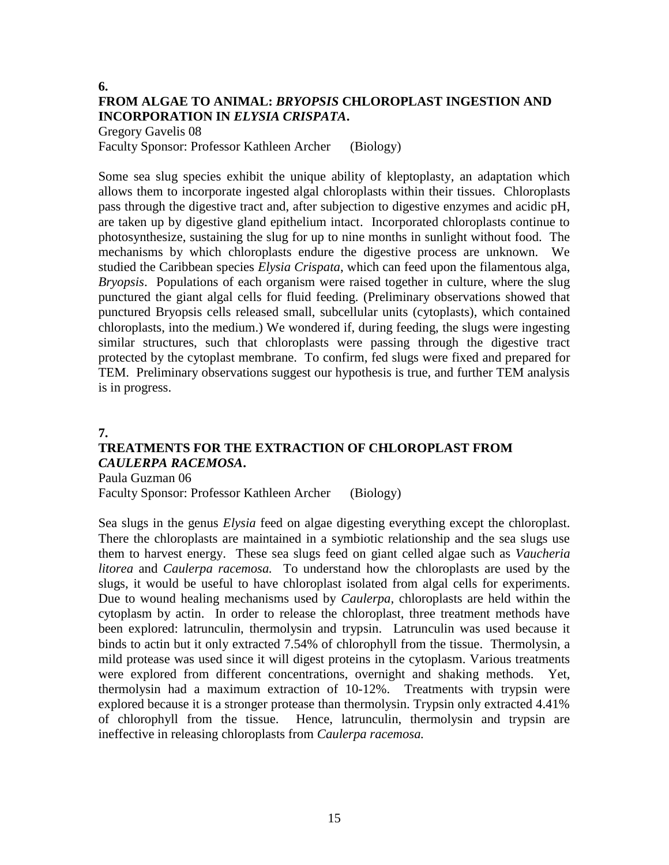#### **6. FROM ALGAE TO ANIMAL:** *BRYOPSIS* **CHLOROPLAST INGESTION AND INCORPORATION IN** *ELYSIA CRISPATA***.**

Gregory Gavelis 08 Faculty Sponsor: Professor Kathleen Archer (Biology)

Some sea slug species exhibit the unique ability of kleptoplasty, an adaptation which allows them to incorporate ingested algal chloroplasts within their tissues. Chloroplasts pass through the digestive tract and, after subjection to digestive enzymes and acidic pH, are taken up by digestive gland epithelium intact. Incorporated chloroplasts continue to photosynthesize, sustaining the slug for up to nine months in sunlight without food. The mechanisms by which chloroplasts endure the digestive process are unknown. We studied the Caribbean species *Elysia Crispata*, which can feed upon the filamentous alga, *Bryopsis*. Populations of each organism were raised together in culture, where the slug punctured the giant algal cells for fluid feeding. (Preliminary observations showed that punctured Bryopsis cells released small, subcellular units (cytoplasts), which contained chloroplasts, into the medium.) We wondered if, during feeding, the slugs were ingesting similar structures, such that chloroplasts were passing through the digestive tract protected by the cytoplast membrane. To confirm, fed slugs were fixed and prepared for TEM. Preliminary observations suggest our hypothesis is true, and further TEM analysis is in progress.

#### **7.**

#### **TREATMENTS FOR THE EXTRACTION OF CHLOROPLAST FROM**  *CAULERPA RACEMOSA***.**

Paula Guzman 06

Faculty Sponsor: Professor Kathleen Archer (Biology)

Sea slugs in the genus *Elysia* feed on algae digesting everything except the chloroplast. There the chloroplasts are maintained in a symbiotic relationship and the sea slugs use them to harvest energy. These sea slugs feed on giant celled algae such as *Vaucheria litorea* and *Caulerpa racemosa.* To understand how the chloroplasts are used by the slugs, it would be useful to have chloroplast isolated from algal cells for experiments. Due to wound healing mechanisms used by *Caulerpa,* chloroplasts are held within the cytoplasm by actin. In order to release the chloroplast, three treatment methods have been explored: latrunculin, thermolysin and trypsin. Latrunculin was used because it binds to actin but it only extracted 7.54% of chlorophyll from the tissue. Thermolysin, a mild protease was used since it will digest proteins in the cytoplasm. Various treatments were explored from different concentrations, overnight and shaking methods. Yet, thermolysin had a maximum extraction of 10-12%. Treatments with trypsin were explored because it is a stronger protease than thermolysin. Trypsin only extracted 4.41% of chlorophyll from the tissue. Hence, latrunculin, thermolysin and trypsin are ineffective in releasing chloroplasts from *Caulerpa racemosa.*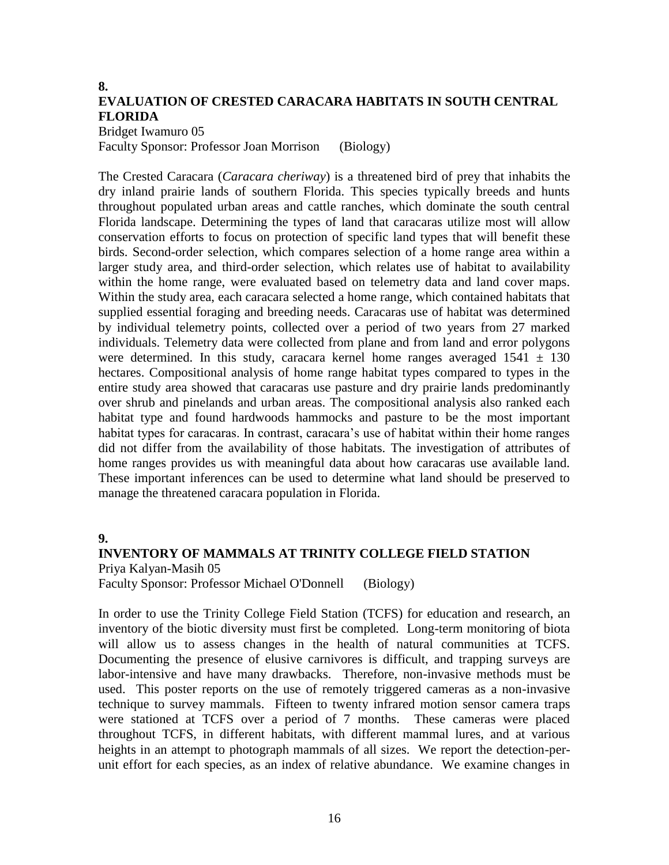#### **8. EVALUATION OF CRESTED CARACARA HABITATS IN SOUTH CENTRAL FLORIDA**

Bridget Iwamuro 05 Faculty Sponsor: Professor Joan Morrison (Biology)

The Crested Caracara (*Caracara cheriway*) is a threatened bird of prey that inhabits the dry inland prairie lands of southern Florida. This species typically breeds and hunts throughout populated urban areas and cattle ranches, which dominate the south central Florida landscape. Determining the types of land that caracaras utilize most will allow conservation efforts to focus on protection of specific land types that will benefit these birds. Second-order selection, which compares selection of a home range area within a larger study area, and third-order selection, which relates use of habitat to availability within the home range, were evaluated based on telemetry data and land cover maps. Within the study area, each caracara selected a home range, which contained habitats that supplied essential foraging and breeding needs. Caracaras use of habitat was determined by individual telemetry points, collected over a period of two years from 27 marked individuals. Telemetry data were collected from plane and from land and error polygons were determined. In this study, caracara kernel home ranges averaged  $1541 \pm 130$ hectares. Compositional analysis of home range habitat types compared to types in the entire study area showed that caracaras use pasture and dry prairie lands predominantly over shrub and pinelands and urban areas. The compositional analysis also ranked each habitat type and found hardwoods hammocks and pasture to be the most important habitat types for caracaras. In contrast, caracara's use of habitat within their home ranges did not differ from the availability of those habitats. The investigation of attributes of home ranges provides us with meaningful data about how caracaras use available land. These important inferences can be used to determine what land should be preserved to manage the threatened caracara population in Florida.

#### **9.**

#### **INVENTORY OF MAMMALS AT TRINITY COLLEGE FIELD STATION** Priya Kalyan-Masih 05

Faculty Sponsor: Professor Michael O'Donnell (Biology)

In order to use the Trinity College Field Station (TCFS) for education and research, an inventory of the biotic diversity must first be completed. Long-term monitoring of biota will allow us to assess changes in the health of natural communities at TCFS. Documenting the presence of elusive carnivores is difficult, and trapping surveys are labor-intensive and have many drawbacks. Therefore, non-invasive methods must be used. This poster reports on the use of remotely triggered cameras as a non-invasive technique to survey mammals. Fifteen to twenty infrared motion sensor camera traps were stationed at TCFS over a period of 7 months. These cameras were placed throughout TCFS, in different habitats, with different mammal lures, and at various heights in an attempt to photograph mammals of all sizes. We report the detection-perunit effort for each species, as an index of relative abundance. We examine changes in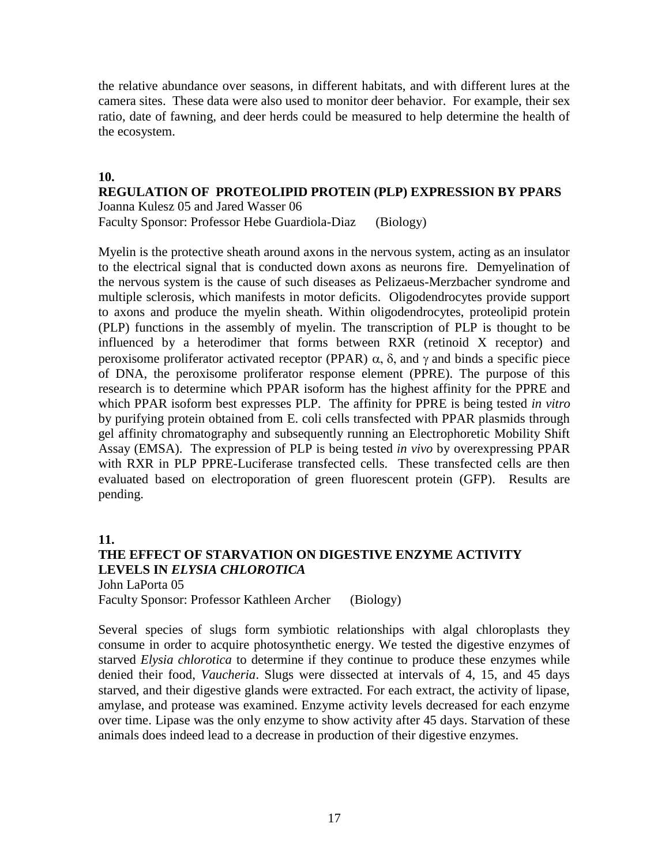the relative abundance over seasons, in different habitats, and with different lures at the camera sites. These data were also used to monitor deer behavior. For example, their sex ratio, date of fawning, and deer herds could be measured to help determine the health of the ecosystem.

#### **10.**

#### **REGULATION OF PROTEOLIPID PROTEIN (PLP) EXPRESSION BY PPARS**

Joanna Kulesz 05 and Jared Wasser 06 Faculty Sponsor: Professor Hebe Guardiola-Diaz (Biology)

Myelin is the protective sheath around axons in the nervous system, acting as an insulator to the electrical signal that is conducted down axons as neurons fire. Demyelination of the nervous system is the cause of such diseases as Pelizaeus-Merzbacher syndrome and multiple sclerosis, which manifests in motor deficits. Oligodendrocytes provide support to axons and produce the myelin sheath. Within oligodendrocytes, proteolipid protein (PLP) functions in the assembly of myelin. The transcription of PLP is thought to be influenced by a heterodimer that forms between RXR (retinoid X receptor) and peroxisome proliferator activated receptor (PPAR)  $\alpha$ ,  $\delta$ , and  $\gamma$  and binds a specific piece of DNA, the peroxisome proliferator response element (PPRE). The purpose of this research is to determine which PPAR isoform has the highest affinity for the PPRE and which PPAR isoform best expresses PLP. The affinity for PPRE is being tested *in vitro* by purifying protein obtained from E. coli cells transfected with PPAR plasmids through gel affinity chromatography and subsequently running an Electrophoretic Mobility Shift Assay (EMSA). The expression of PLP is being tested *in vivo* by overexpressing PPAR with RXR in PLP PPRE-Luciferase transfected cells. These transfected cells are then evaluated based on electroporation of green fluorescent protein (GFP). Results are pending.

#### **11.**

#### **THE EFFECT OF STARVATION ON DIGESTIVE ENZYME ACTIVITY LEVELS IN** *ELYSIA CHLOROTICA*  John LaPorta 05

Faculty Sponsor: Professor Kathleen Archer (Biology)

Several species of slugs form symbiotic relationships with algal chloroplasts they consume in order to acquire photosynthetic energy. We tested the digestive enzymes of starved *Elysia chlorotica* to determine if they continue to produce these enzymes while denied their food, *Vaucheria*. Slugs were dissected at intervals of 4, 15, and 45 days starved, and their digestive glands were extracted. For each extract, the activity of lipase, amylase, and protease was examined. Enzyme activity levels decreased for each enzyme over time. Lipase was the only enzyme to show activity after 45 days. Starvation of these animals does indeed lead to a decrease in production of their digestive enzymes.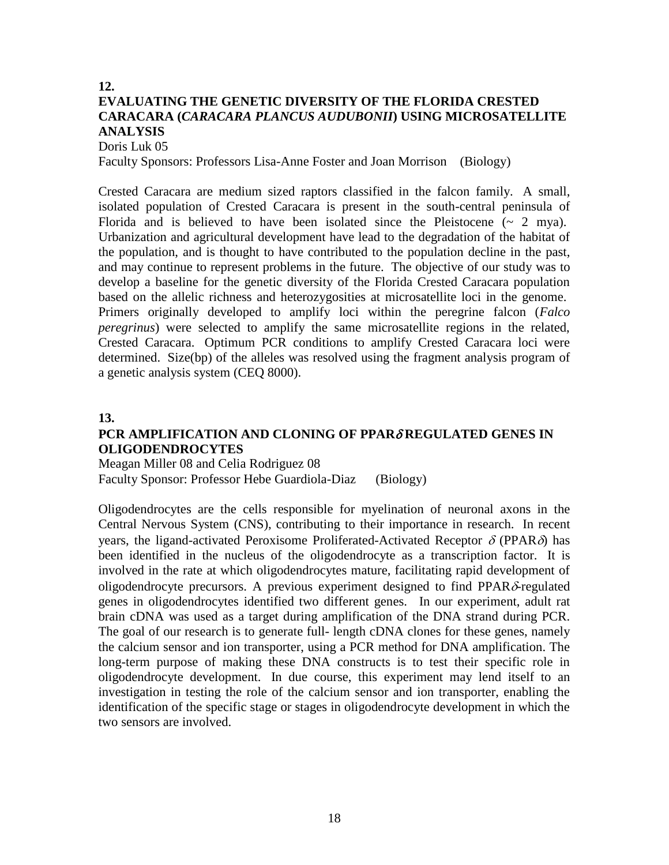#### **12. EVALUATING THE GENETIC DIVERSITY OF THE FLORIDA CRESTED CARACARA (***CARACARA PLANCUS AUDUBONII***) USING MICROSATELLITE ANALYSIS**

Doris Luk 05

Faculty Sponsors: Professors Lisa-Anne Foster and Joan Morrison (Biology)

Crested Caracara are medium sized raptors classified in the falcon family. A small, isolated population of Crested Caracara is present in the south-central peninsula of Florida and is believed to have been isolated since the Pleistocene  $(2 \, mya)$ . Urbanization and agricultural development have lead to the degradation of the habitat of the population, and is thought to have contributed to the population decline in the past, and may continue to represent problems in the future. The objective of our study was to develop a baseline for the genetic diversity of the Florida Crested Caracara population based on the allelic richness and heterozygosities at microsatellite loci in the genome. Primers originally developed to amplify loci within the peregrine falcon (*Falco peregrinus*) were selected to amplify the same microsatellite regions in the related, Crested Caracara. Optimum PCR conditions to amplify Crested Caracara loci were determined. Size(bp) of the alleles was resolved using the fragment analysis program of a genetic analysis system (CEQ 8000).

#### **13.**

#### **PCR AMPLIFICATION AND CLONING OF PPAR REGULATED GENES IN OLIGODENDROCYTES**

Meagan Miller 08 and Celia Rodriguez 08 Faculty Sponsor: Professor Hebe Guardiola-Diaz (Biology)

Oligodendrocytes are the cells responsible for myelination of neuronal axons in the Central Nervous System (CNS), contributing to their importance in research. In recent years, the ligand-activated Peroxisome Proliferated-Activated Receptor  $\delta$  (PPAR $\delta$ ) has been identified in the nucleus of the oligodendrocyte as a transcription factor. It is involved in the rate at which oligodendrocytes mature, facilitating rapid development of oligodendrocyte precursors. A previous experiment designed to find PPAR $\delta$ -regulated genes in oligodendrocytes identified two different genes. In our experiment, adult rat brain cDNA was used as a target during amplification of the DNA strand during PCR. The goal of our research is to generate full- length cDNA clones for these genes, namely the calcium sensor and ion transporter, using a PCR method for DNA amplification. The long-term purpose of making these DNA constructs is to test their specific role in oligodendrocyte development. In due course, this experiment may lend itself to an investigation in testing the role of the calcium sensor and ion transporter, enabling the identification of the specific stage or stages in oligodendrocyte development in which the two sensors are involved.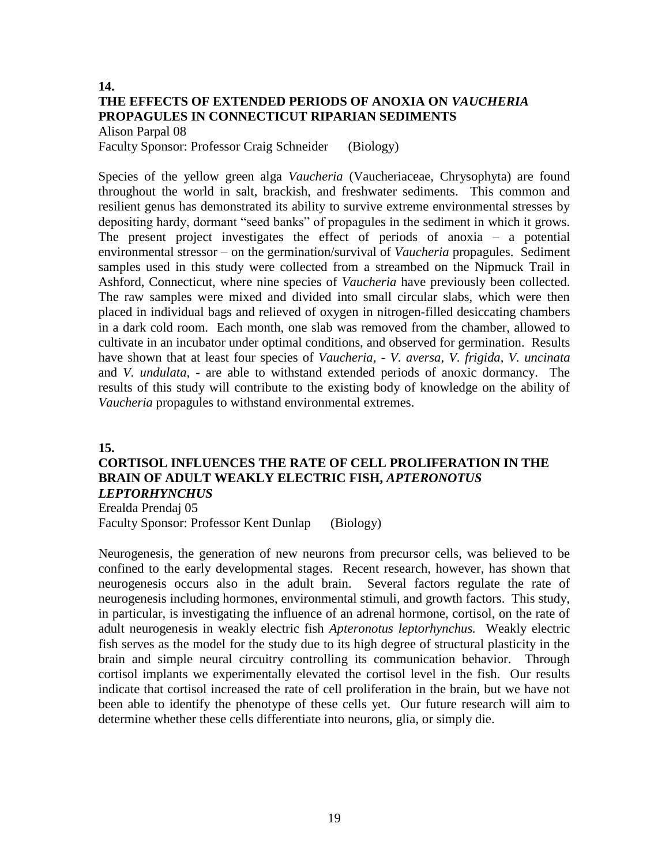#### **14. THE EFFECTS OF EXTENDED PERIODS OF ANOXIA ON** *VAUCHERIA*  **PROPAGULES IN CONNECTICUT RIPARIAN SEDIMENTS** Alison Parpal 08

Faculty Sponsor: Professor Craig Schneider (Biology)

Species of the yellow green alga *Vaucheria* (Vaucheriaceae, Chrysophyta) are found throughout the world in salt, brackish, and freshwater sediments. This common and resilient genus has demonstrated its ability to survive extreme environmental stresses by depositing hardy, dormant "seed banks" of propagules in the sediment in which it grows. The present project investigates the effect of periods of anoxia – a potential environmental stressor – on the germination/survival of *Vaucheria* propagules. Sediment samples used in this study were collected from a streambed on the Nipmuck Trail in Ashford, Connecticut, where nine species of *Vaucheria* have previously been collected. The raw samples were mixed and divided into small circular slabs, which were then placed in individual bags and relieved of oxygen in nitrogen-filled desiccating chambers in a dark cold room. Each month, one slab was removed from the chamber, allowed to cultivate in an incubator under optimal conditions, and observed for germination. Results have shown that at least four species of *Vaucheria,* - *V. aversa, V. frigida, V. uncinata*  and *V. undulata, -* are able to withstand extended periods of anoxic dormancy. The results of this study will contribute to the existing body of knowledge on the ability of *Vaucheria* propagules to withstand environmental extremes.

**15.** 

#### **CORTISOL INFLUENCES THE RATE OF CELL PROLIFERATION IN THE BRAIN OF ADULT WEAKLY ELECTRIC FISH,** *APTERONOTUS LEPTORHYNCHUS*

Erealda Prendaj 05

Faculty Sponsor: Professor Kent Dunlap (Biology)

Neurogenesis, the generation of new neurons from precursor cells, was believed to be confined to the early developmental stages. Recent research, however, has shown that neurogenesis occurs also in the adult brain. Several factors regulate the rate of neurogenesis including hormones, environmental stimuli, and growth factors. This study, in particular, is investigating the influence of an adrenal hormone, cortisol, on the rate of adult neurogenesis in weakly electric fish *Apteronotus leptorhynchus.* Weakly electric fish serves as the model for the study due to its high degree of structural plasticity in the brain and simple neural circuitry controlling its communication behavior. Through cortisol implants we experimentally elevated the cortisol level in the fish. Our results indicate that cortisol increased the rate of cell proliferation in the brain, but we have not been able to identify the phenotype of these cells yet. Our future research will aim to determine whether these cells differentiate into neurons, glia, or simply die.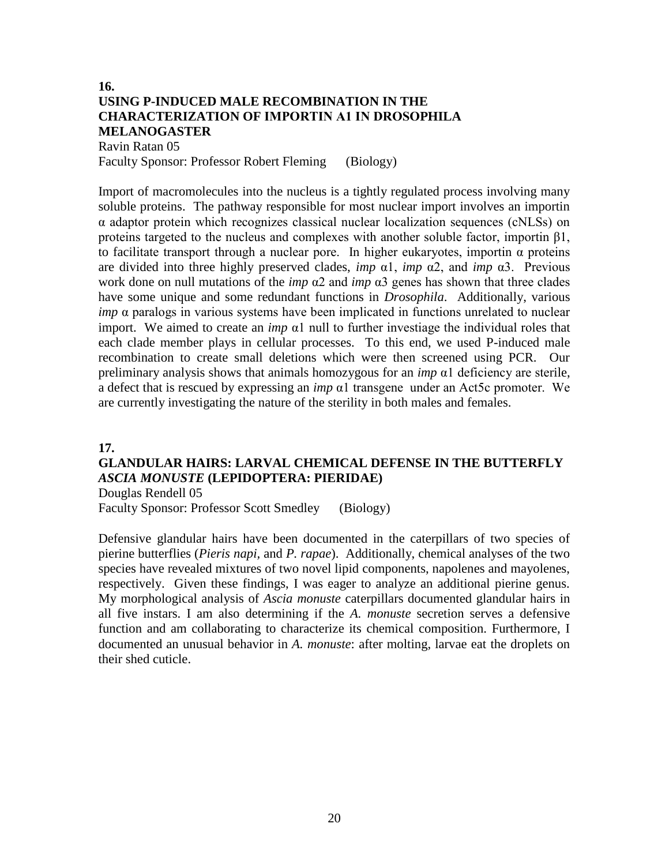#### **16. USING P-INDUCED MALE RECOMBINATION IN THE CHARACTERIZATION OF IMPORTIN Α1 IN DROSOPHILA MELANOGASTER** Ravin Ratan 05

Faculty Sponsor: Professor Robert Fleming (Biology)

Import of macromolecules into the nucleus is a tightly regulated process involving many soluble proteins. The pathway responsible for most nuclear import involves an importin  $\alpha$  adaptor protein which recognizes classical nuclear localization sequences (cNLSs) on proteins targeted to the nucleus and complexes with another soluble factor, importin β1, to facilitate transport through a nuclear pore. In higher eukaryotes, importin  $\alpha$  proteins are divided into three highly preserved clades, *imp* α1, *imp* α2, and *imp* α3. Previous work done on null mutations of the *imp* α2 and *imp* α3 genes has shown that three clades have some unique and some redundant functions in *Drosophila*. Additionally, various *imp* α paralogs in various systems have been implicated in functions unrelated to nuclear import. We aimed to create an *imp* α1 null to further investiage the individual roles that each clade member plays in cellular processes. To this end, we used P-induced male recombination to create small deletions which were then screened using PCR. Our preliminary analysis shows that animals homozygous for an *imp* α1 deficiency are sterile, a defect that is rescued by expressing an *imp* α1 transgene under an Act5c promoter. We are currently investigating the nature of the sterility in both males and females.

#### **17.**

#### **GLANDULAR HAIRS: LARVAL CHEMICAL DEFENSE IN THE BUTTERFLY**  *ASCIA MONUSTE* **(LEPIDOPTERA: PIERIDAE)**

Douglas Rendell 05 Faculty Sponsor: Professor Scott Smedley (Biology)

Defensive glandular hairs have been documented in the caterpillars of two species of pierine butterflies (*Pieris napi,* and *P. rapae*). Additionally, chemical analyses of the two species have revealed mixtures of two novel lipid components, napolenes and mayolenes, respectively. Given these findings, I was eager to analyze an additional pierine genus. My morphological analysis of *Ascia monuste* caterpillars documented glandular hairs in all five instars. I am also determining if the *A. monuste* secretion serves a defensive function and am collaborating to characterize its chemical composition. Furthermore, I documented an unusual behavior in *A. monuste*: after molting, larvae eat the droplets on their shed cuticle.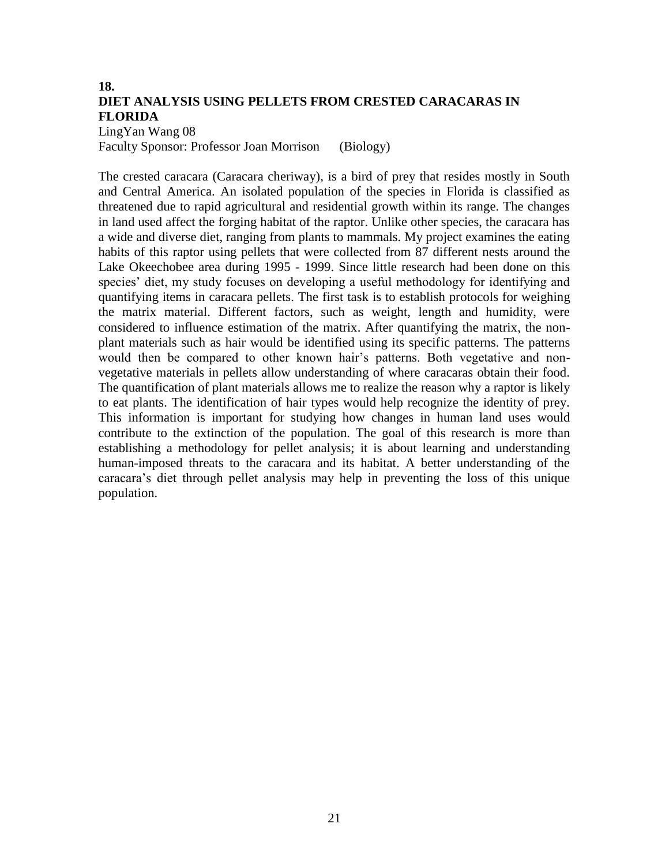#### **18. DIET ANALYSIS USING PELLETS FROM CRESTED CARACARAS IN FLORIDA**

LingYan Wang 08 Faculty Sponsor: Professor Joan Morrison (Biology)

The crested caracara (Caracara cheriway), is a bird of prey that resides mostly in South and Central America. An isolated population of the species in Florida is classified as threatened due to rapid agricultural and residential growth within its range. The changes in land used affect the forging habitat of the raptor. Unlike other species, the caracara has a wide and diverse diet, ranging from plants to mammals. My project examines the eating habits of this raptor using pellets that were collected from 87 different nests around the Lake Okeechobee area during 1995 - 1999. Since little research had been done on this species' diet, my study focuses on developing a useful methodology for identifying and quantifying items in caracara pellets. The first task is to establish protocols for weighing the matrix material. Different factors, such as weight, length and humidity, were considered to influence estimation of the matrix. After quantifying the matrix, the nonplant materials such as hair would be identified using its specific patterns. The patterns would then be compared to other known hair's patterns. Both vegetative and nonvegetative materials in pellets allow understanding of where caracaras obtain their food. The quantification of plant materials allows me to realize the reason why a raptor is likely to eat plants. The identification of hair types would help recognize the identity of prey. This information is important for studying how changes in human land uses would contribute to the extinction of the population. The goal of this research is more than establishing a methodology for pellet analysis; it is about learning and understanding human-imposed threats to the caracara and its habitat. A better understanding of the caracara's diet through pellet analysis may help in preventing the loss of this unique population.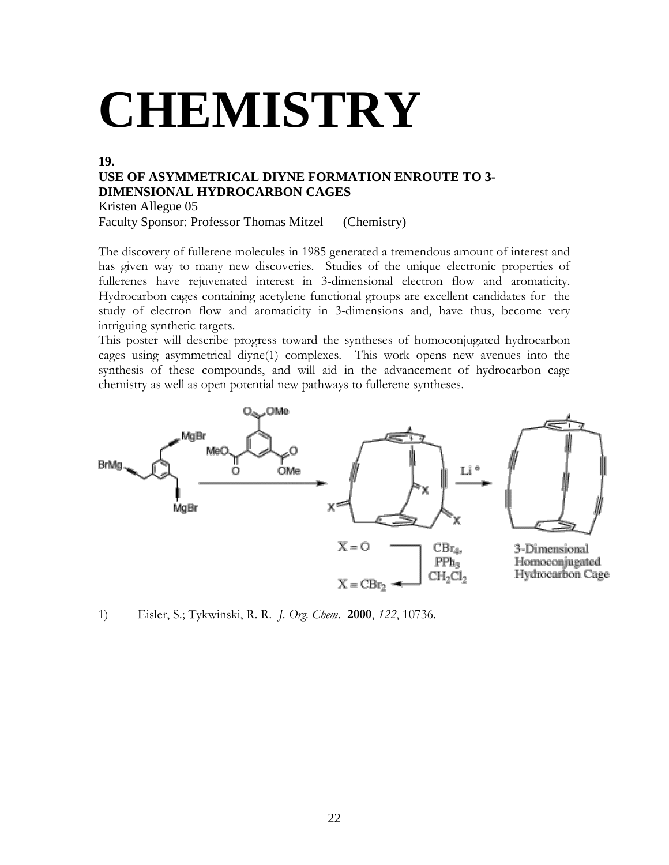## **CHEMISTRY**

#### **19.**

#### **USE OF ASYMMETRICAL DIYNE FORMATION ENROUTE TO 3- DIMENSIONAL HYDROCARBON CAGES**

Kristen Allegue 05

Faculty Sponsor: Professor Thomas Mitzel (Chemistry)

The discovery of fullerene molecules in 1985 generated a tremendous amount of interest and has given way to many new discoveries. Studies of the unique electronic properties of fullerenes have rejuvenated interest in 3-dimensional electron flow and aromaticity. Hydrocarbon cages containing acetylene functional groups are excellent candidates for the study of electron flow and aromaticity in 3-dimensions and, have thus, become very intriguing synthetic targets.

This poster will describe progress toward the syntheses of homoconjugated hydrocarbon cages using asymmetrical diyne(1) complexes. This work opens new avenues into the synthesis of these compounds, and will aid in the advancement of hydrocarbon cage chemistry as well as open potential new pathways to fullerene syntheses.



#### 1) Eisler, S.; Tykwinski, R. R. *J. Org. Chem*. **2000**, *122*, 10736.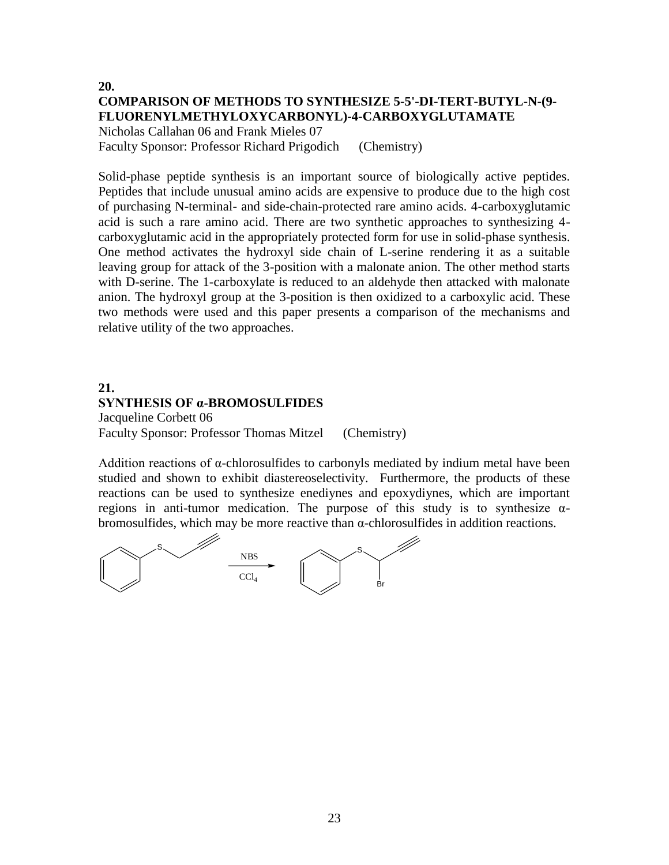#### **20. COMPARISON OF METHODS TO SYNTHESIZE 5-5'-DI-TERT-BUTYL-N-(9- FLUORENYLMETHYLOXYCARBONYL)-4-CARBOXYGLUTAMATE**

Nicholas Callahan 06 and Frank Mieles 07 Faculty Sponsor: Professor Richard Prigodich (Chemistry)

Solid-phase peptide synthesis is an important source of biologically active peptides. Peptides that include unusual amino acids are expensive to produce due to the high cost of purchasing N-terminal- and side-chain-protected rare amino acids. 4-carboxyglutamic acid is such a rare amino acid. There are two synthetic approaches to synthesizing 4 carboxyglutamic acid in the appropriately protected form for use in solid-phase synthesis. One method activates the hydroxyl side chain of L-serine rendering it as a suitable leaving group for attack of the 3-position with a malonate anion. The other method starts with D-serine. The 1-carboxylate is reduced to an aldehyde then attacked with malonate anion. The hydroxyl group at the 3-position is then oxidized to a carboxylic acid. These two methods were used and this paper presents a comparison of the mechanisms and relative utility of the two approaches.

#### **21. SYNTHESIS OF α-BROMOSULFIDES** Jacqueline Corbett 06

Faculty Sponsor: Professor Thomas Mitzel (Chemistry)

Addition reactions of  $\alpha$ -chlorosulfides to carbonyls mediated by indium metal have been studied and shown to exhibit diastereoselectivity. Furthermore, the products of these reactions can be used to synthesize enediynes and epoxydiynes, which are important regions in anti-tumor medication. The purpose of this study is to synthesize  $\alpha$ bromosulfides, which may be more reactive than α-chlorosulfides in addition reactions.

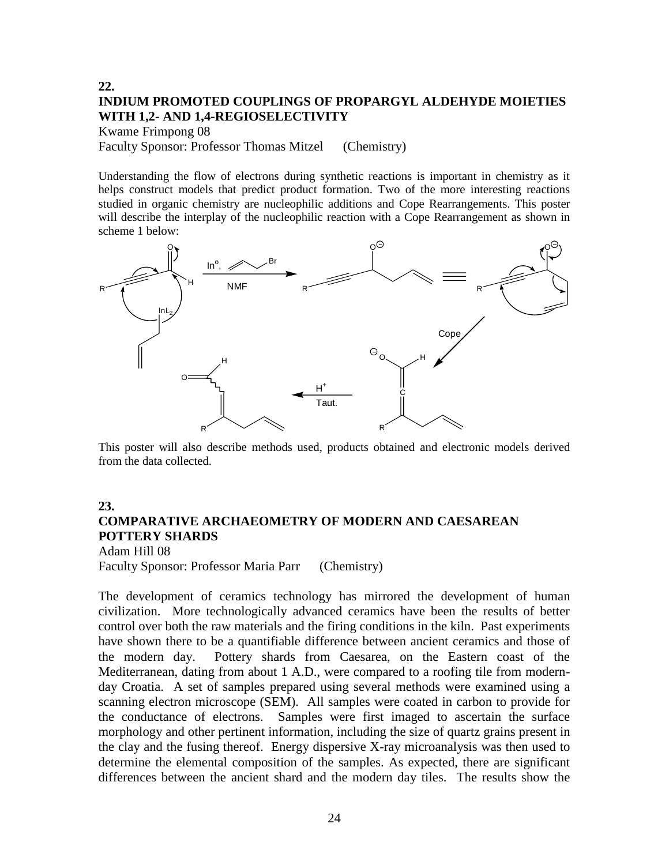#### **22. INDIUM PROMOTED COUPLINGS OF PROPARGYL ALDEHYDE MOIETIES WITH 1,2- AND 1,4-REGIOSELECTIVITY**

Kwame Frimpong 08

Faculty Sponsor: Professor Thomas Mitzel (Chemistry)

Understanding the flow of electrons during synthetic reactions is important in chemistry as it helps construct models that predict product formation. Two of the more interesting reactions studied in organic chemistry are nucleophilic additions and Cope Rearrangements. This poster will describe the interplay of the nucleophilic reaction with a Cope Rearrangement as shown in scheme 1 below:



This poster will also describe methods used, products obtained and electronic models derived from the data collected.

#### **23.**

#### **COMPARATIVE ARCHAEOMETRY OF MODERN AND CAESAREAN POTTERY SHARDS** Adam Hill 08

Faculty Sponsor: Professor Maria Parr (Chemistry)

The development of ceramics technology has mirrored the development of human civilization. More technologically advanced ceramics have been the results of better control over both the raw materials and the firing conditions in the kiln. Past experiments have shown there to be a quantifiable difference between ancient ceramics and those of the modern day. Pottery shards from Caesarea, on the Eastern coast of the Mediterranean, dating from about 1 A.D., were compared to a roofing tile from modernday Croatia. A set of samples prepared using several methods were examined using a scanning electron microscope (SEM). All samples were coated in carbon to provide for the conductance of electrons. Samples were first imaged to ascertain the surface morphology and other pertinent information, including the size of quartz grains present in the clay and the fusing thereof. Energy dispersive X-ray microanalysis was then used to determine the elemental composition of the samples. As expected, there are significant differences between the ancient shard and the modern day tiles. The results show the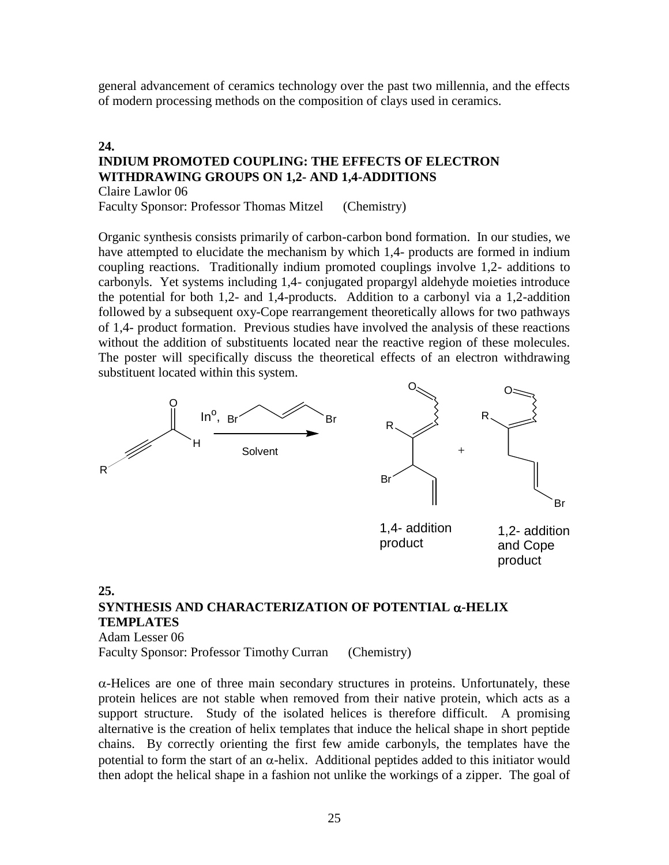general advancement of ceramics technology over the past two millennia, and the effects of modern processing methods on the composition of clays used in ceramics.

#### **24. INDIUM PROMOTED COUPLING: THE EFFECTS OF ELECTRON WITHDRAWING GROUPS ON 1,2- AND 1,4-ADDITIONS** Claire Lawlor 06

Faculty Sponsor: Professor Thomas Mitzel (Chemistry)

Organic synthesis consists primarily of carbon-carbon bond formation. In our studies, we have attempted to elucidate the mechanism by which 1,4- products are formed in indium coupling reactions. Traditionally indium promoted couplings involve 1,2- additions to carbonyls. Yet systems including 1,4- conjugated propargyl aldehyde moieties introduce the potential for both 1,2- and 1,4-products. Addition to a carbonyl via a 1,2-addition followed by a subsequent oxy-Cope rearrangement theoretically allows for two pathways of 1,4- product formation. Previous studies have involved the analysis of these reactions without the addition of substituents located near the reactive region of these molecules. The poster will specifically discuss the theoretical effects of an electron withdrawing substituent located within this system.



#### SYNTHESIS AND CHARACTERIZATION OF POTENTIAL  $\alpha$ -HELIX **TEMPLATES** Adam Lesser 06

Faculty Sponsor: Professor Timothy Curran (Chemistry)

-Helices are one of three main secondary structures in proteins. Unfortunately, these protein helices are not stable when removed from their native protein, which acts as a support structure. Study of the isolated helices is therefore difficult. A promising alternative is the creation of helix templates that induce the helical shape in short peptide chains. By correctly orienting the first few amide carbonyls, the templates have the potential to form the start of an  $\alpha$ -helix. Additional peptides added to this initiator would then adopt the helical shape in a fashion not unlike the workings of a zipper. The goal of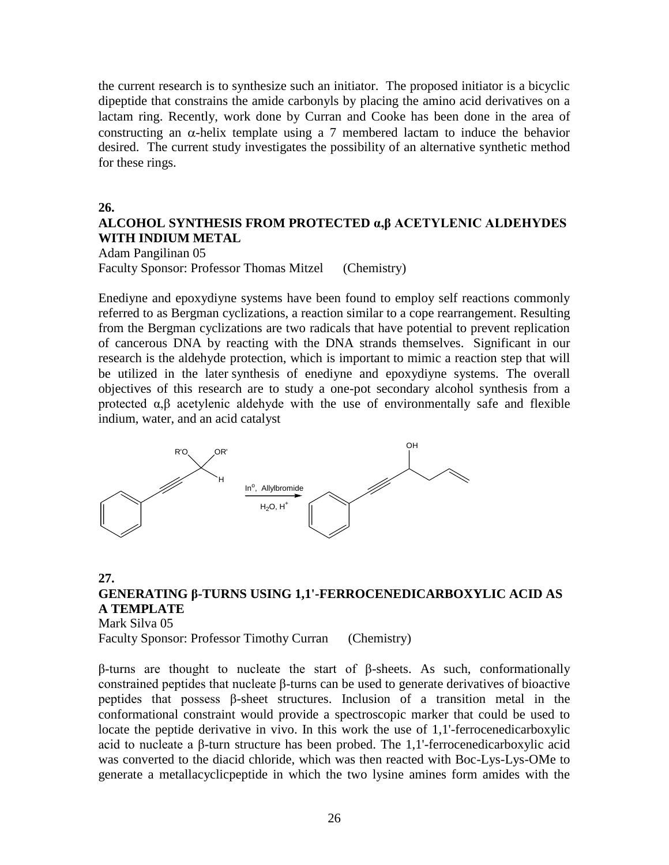the current research is to synthesize such an initiator. The proposed initiator is a bicyclic dipeptide that constrains the amide carbonyls by placing the amino acid derivatives on a lactam ring. Recently, work done by Curran and Cooke has been done in the area of constructing an  $\alpha$ -helix template using a 7 membered lactam to induce the behavior desired. The current study investigates the possibility of an alternative synthetic method for these rings.

#### **26. ALCOHOL SYNTHESIS FROM PROTECTED α,β ACETYLENIC ALDEHYDES WITH INDIUM METAL**

Adam Pangilinan 05 Faculty Sponsor: Professor Thomas Mitzel (Chemistry)

Enediyne and epoxydiyne systems have been found to employ self reactions commonly referred to as Bergman cyclizations, a reaction similar to a cope rearrangement. Resulting from the Bergman cyclizations are two radicals that have potential to prevent replication of cancerous DNA by reacting with the DNA strands themselves. Significant in our research is the aldehyde protection, which is important to mimic a reaction step that will be utilized in the later synthesis of enediyne and epoxydiyne systems. The overall objectives of this research are to study a one-pot secondary alcohol synthesis from a protected  $\alpha, \beta$  acetylenic aldehyde with the use of environmentally safe and flexible indium, water, and an acid catalyst



#### **27. GENERATING β-TURNS USING 1,1'-FERROCENEDICARBOXYLIC ACID AS A TEMPLATE** Mark Silva 05 Faculty Sponsor: Professor Timothy Curran (Chemistry)

β-turns are thought to nucleate the start of β-sheets. As such, conformationally constrained peptides that nucleate β-turns can be used to generate derivatives of bioactive peptides that possess β-sheet structures. Inclusion of a transition metal in the conformational constraint would provide a spectroscopic marker that could be used to locate the peptide derivative in vivo. In this work the use of 1,1'-ferrocenedicarboxylic acid to nucleate a β-turn structure has been probed. The 1,1'-ferrocenedicarboxylic acid was converted to the diacid chloride, which was then reacted with Boc-Lys-Lys-OMe to generate a metallacyclicpeptide in which the two lysine amines form amides with the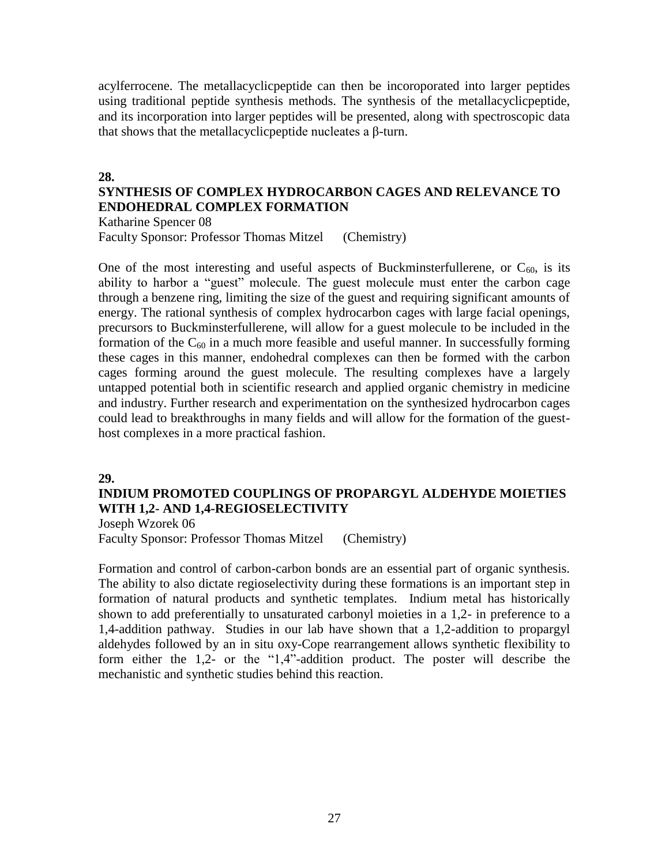acylferrocene. The metallacyclicpeptide can then be incoroporated into larger peptides using traditional peptide synthesis methods. The synthesis of the metallacyclicpeptide, and its incorporation into larger peptides will be presented, along with spectroscopic data that shows that the metallacyclicpeptide nucleates a β-turn.

#### **28.**

#### **SYNTHESIS OF COMPLEX HYDROCARBON CAGES AND RELEVANCE TO ENDOHEDRAL COMPLEX FORMATION**

Katharine Spencer 08

Faculty Sponsor: Professor Thomas Mitzel (Chemistry)

One of the most interesting and useful aspects of Buckminsterfullerene, or  $C_{60}$ , is its ability to harbor a "guest" molecule. The guest molecule must enter the carbon cage through a benzene ring, limiting the size of the guest and requiring significant amounts of energy. The rational synthesis of complex hydrocarbon cages with large facial openings, precursors to Buckminsterfullerene, will allow for a guest molecule to be included in the formation of the  $C_{60}$  in a much more feasible and useful manner. In successfully forming these cages in this manner, endohedral complexes can then be formed with the carbon cages forming around the guest molecule. The resulting complexes have a largely untapped potential both in scientific research and applied organic chemistry in medicine and industry. Further research and experimentation on the synthesized hydrocarbon cages could lead to breakthroughs in many fields and will allow for the formation of the guesthost complexes in a more practical fashion.

#### **29.**

#### **INDIUM PROMOTED COUPLINGS OF PROPARGYL ALDEHYDE MOIETIES WITH 1,2- AND 1,4-REGIOSELECTIVITY**

Joseph Wzorek 06

Faculty Sponsor: Professor Thomas Mitzel (Chemistry)

Formation and control of carbon-carbon bonds are an essential part of organic synthesis. The ability to also dictate regioselectivity during these formations is an important step in formation of natural products and synthetic templates. Indium metal has historically shown to add preferentially to unsaturated carbonyl moieties in a 1,2- in preference to a 1,4-addition pathway. Studies in our lab have shown that a 1,2-addition to propargyl aldehydes followed by an in situ oxy-Cope rearrangement allows synthetic flexibility to form either the 1,2- or the "1,4"-addition product. The poster will describe the mechanistic and synthetic studies behind this reaction.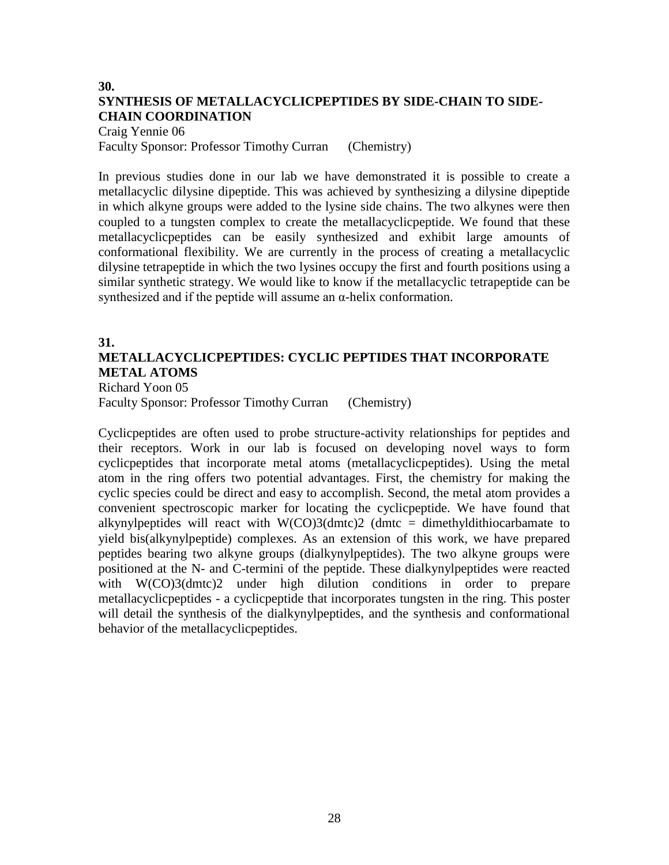#### **30. SYNTHESIS OF METALLACYCLICPEPTIDES BY SIDE-CHAIN TO SIDE-CHAIN COORDINATION**

Craig Yennie 06 Faculty Sponsor: Professor Timothy Curran (Chemistry)

In previous studies done in our lab we have demonstrated it is possible to create a metallacyclic dilysine dipeptide. This was achieved by synthesizing a dilysine dipeptide in which alkyne groups were added to the lysine side chains. The two alkynes were then coupled to a tungsten complex to create the metallacyclicpeptide. We found that these metallacyclicpeptides can be easily synthesized and exhibit large amounts of conformational flexibility. We are currently in the process of creating a metallacyclic dilysine tetrapeptide in which the two lysines occupy the first and fourth positions using a similar synthetic strategy. We would like to know if the metallacyclic tetrapeptide can be synthesized and if the peptide will assume an α-helix conformation.

#### **31.**

#### **METALLACYCLICPEPTIDES: CYCLIC PEPTIDES THAT INCORPORATE METAL ATOMS**

Richard Yoon 05

Faculty Sponsor: Professor Timothy Curran (Chemistry)

Cyclicpeptides are often used to probe structure-activity relationships for peptides and their receptors. Work in our lab is focused on developing novel ways to form cyclicpeptides that incorporate metal atoms (metallacyclicpeptides). Using the metal atom in the ring offers two potential advantages. First, the chemistry for making the cyclic species could be direct and easy to accomplish. Second, the metal atom provides a convenient spectroscopic marker for locating the cyclicpeptide. We have found that alkynylpeptides will react with  $W(CO)3(dmtc)2$  (dmtc = dimethyldithiocarbamate to yield bis(alkynylpeptide) complexes. As an extension of this work, we have prepared peptides bearing two alkyne groups (dialkynylpeptides). The two alkyne groups were positioned at the N- and C-termini of the peptide. These dialkynylpeptides were reacted with W(CO)3(dmtc)2 under high dilution conditions in order to prepare metallacyclicpeptides - a cyclicpeptide that incorporates tungsten in the ring. This poster will detail the synthesis of the dialkynylpeptides, and the synthesis and conformational behavior of the metallacyclicpeptides.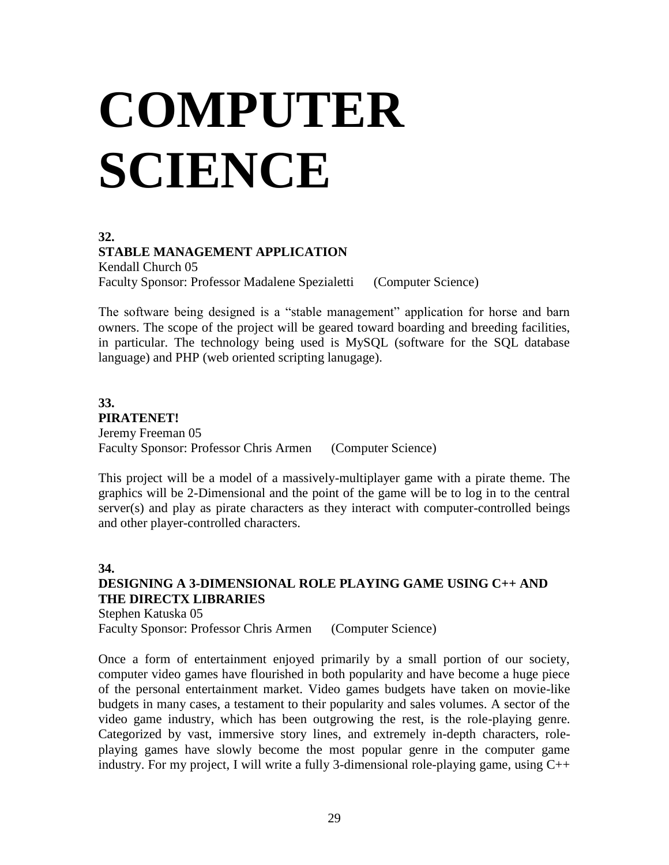## **COMPUTER SCIENCE**

**32. STABLE MANAGEMENT APPLICATION** Kendall Church 05 Faculty Sponsor: Professor Madalene Spezialetti (Computer Science)

The software being designed is a "stable management" application for horse and barn owners. The scope of the project will be geared toward boarding and breeding facilities, in particular. The technology being used is MySQL (software for the SQL database language) and PHP (web oriented scripting lanugage).

**33. PIRATENET!** Jeremy Freeman 05 Faculty Sponsor: Professor Chris Armen (Computer Science)

This project will be a model of a massively-multiplayer game with a pirate theme. The graphics will be 2-Dimensional and the point of the game will be to log in to the central server(s) and play as pirate characters as they interact with computer-controlled beings and other player-controlled characters.

#### **34. DESIGNING A 3-DIMENSIONAL ROLE PLAYING GAME USING C++ AND THE DIRECTX LIBRARIES**

Stephen Katuska 05 Faculty Sponsor: Professor Chris Armen (Computer Science)

Once a form of entertainment enjoyed primarily by a small portion of our society, computer video games have flourished in both popularity and have become a huge piece of the personal entertainment market. Video games budgets have taken on movie-like budgets in many cases, a testament to their popularity and sales volumes. A sector of the video game industry, which has been outgrowing the rest, is the role-playing genre. Categorized by vast, immersive story lines, and extremely in-depth characters, roleplaying games have slowly become the most popular genre in the computer game industry. For my project, I will write a fully 3-dimensional role-playing game, using  $C_{++}$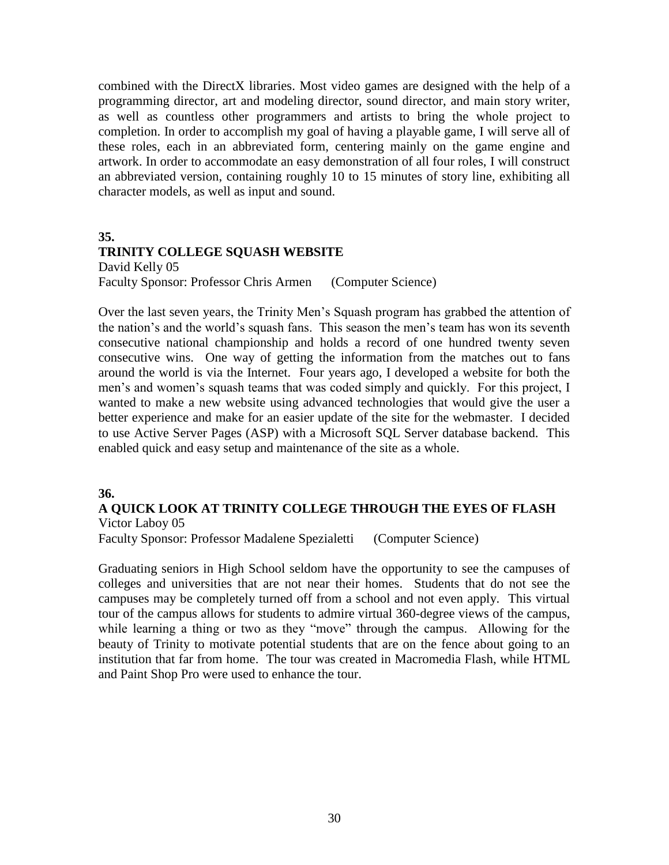combined with the DirectX libraries. Most video games are designed with the help of a programming director, art and modeling director, sound director, and main story writer, as well as countless other programmers and artists to bring the whole project to completion. In order to accomplish my goal of having a playable game, I will serve all of these roles, each in an abbreviated form, centering mainly on the game engine and artwork. In order to accommodate an easy demonstration of all four roles, I will construct an abbreviated version, containing roughly 10 to 15 minutes of story line, exhibiting all character models, as well as input and sound.

#### **35.**

#### **TRINITY COLLEGE SQUASH WEBSITE** David Kelly 05 Faculty Sponsor: Professor Chris Armen (Computer Science)

Over the last seven years, the Trinity Men's Squash program has grabbed the attention of the nation's and the world's squash fans. This season the men's team has won its seventh consecutive national championship and holds a record of one hundred twenty seven consecutive wins. One way of getting the information from the matches out to fans around the world is via the Internet. Four years ago, I developed a website for both the men's and women's squash teams that was coded simply and quickly. For this project, I wanted to make a new website using advanced technologies that would give the user a better experience and make for an easier update of the site for the webmaster. I decided to use Active Server Pages (ASP) with a Microsoft SQL Server database backend. This enabled quick and easy setup and maintenance of the site as a whole.

#### **36.**

#### **A QUICK LOOK AT TRINITY COLLEGE THROUGH THE EYES OF FLASH** Victor Laboy 05

Faculty Sponsor: Professor Madalene Spezialetti (Computer Science)

Graduating seniors in High School seldom have the opportunity to see the campuses of colleges and universities that are not near their homes. Students that do not see the campuses may be completely turned off from a school and not even apply. This virtual tour of the campus allows for students to admire virtual 360-degree views of the campus, while learning a thing or two as they "move" through the campus. Allowing for the beauty of Trinity to motivate potential students that are on the fence about going to an institution that far from home. The tour was created in Macromedia Flash, while HTML and Paint Shop Pro were used to enhance the tour.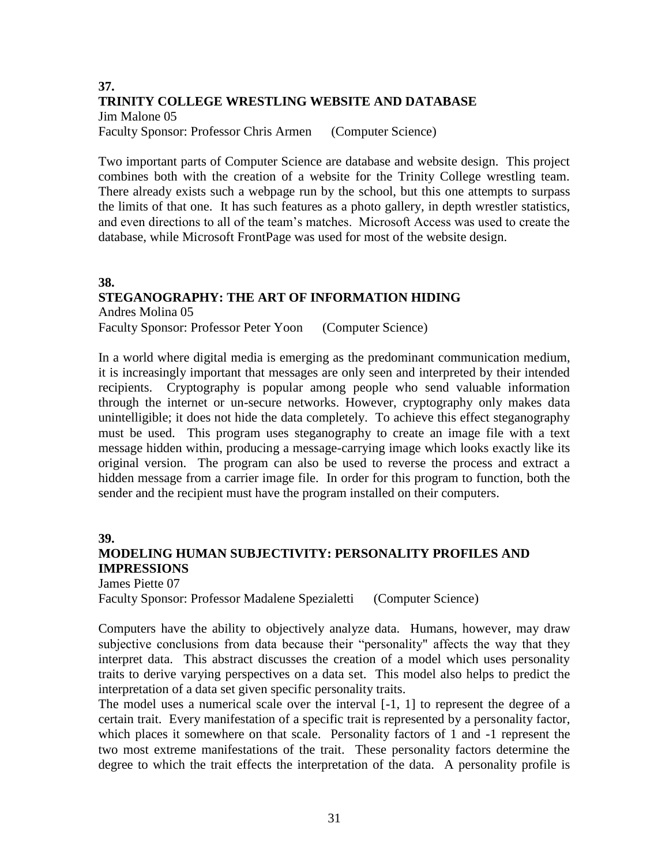#### **37. TRINITY COLLEGE WRESTLING WEBSITE AND DATABASE** Jim Malone 05 Faculty Sponsor: Professor Chris Armen (Computer Science)

Two important parts of Computer Science are database and website design. This project combines both with the creation of a website for the Trinity College wrestling team. There already exists such a webpage run by the school, but this one attempts to surpass the limits of that one. It has such features as a photo gallery, in depth wrestler statistics, and even directions to all of the team's matches. Microsoft Access was used to create the database, while Microsoft FrontPage was used for most of the website design.

**38. STEGANOGRAPHY: THE ART OF INFORMATION HIDING** Andres Molina 05

Faculty Sponsor: Professor Peter Yoon (Computer Science)

In a world where digital media is emerging as the predominant communication medium, it is increasingly important that messages are only seen and interpreted by their intended recipients. Cryptography is popular among people who send valuable information through the internet or un-secure networks. However, cryptography only makes data unintelligible; it does not hide the data completely. To achieve this effect steganography must be used. This program uses steganography to create an image file with a text message hidden within, producing a message-carrying image which looks exactly like its original version. The program can also be used to reverse the process and extract a hidden message from a carrier image file. In order for this program to function, both the sender and the recipient must have the program installed on their computers.

**39.**

#### **MODELING HUMAN SUBJECTIVITY: PERSONALITY PROFILES AND IMPRESSIONS**

James Piette 07 Faculty Sponsor: Professor Madalene Spezialetti (Computer Science)

Computers have the ability to objectively analyze data. Humans, however, may draw subjective conclusions from data because their "personality" affects the way that they interpret data. This abstract discusses the creation of a model which uses personality traits to derive varying perspectives on a data set. This model also helps to predict the interpretation of a data set given specific personality traits.

The model uses a numerical scale over the interval [-1, 1] to represent the degree of a certain trait. Every manifestation of a specific trait is represented by a personality factor, which places it somewhere on that scale. Personality factors of 1 and -1 represent the two most extreme manifestations of the trait. These personality factors determine the degree to which the trait effects the interpretation of the data. A personality profile is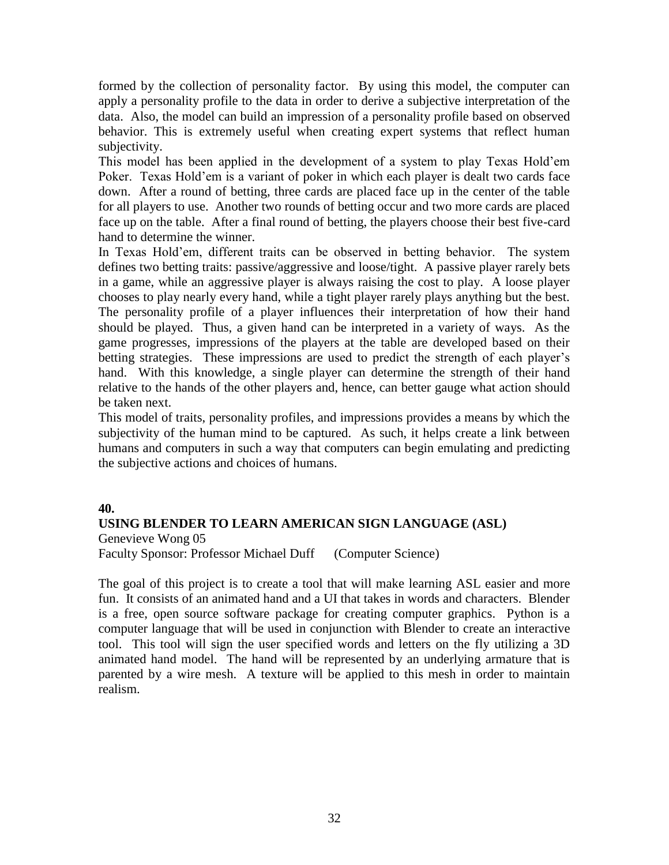formed by the collection of personality factor. By using this model, the computer can apply a personality profile to the data in order to derive a subjective interpretation of the data. Also, the model can build an impression of a personality profile based on observed behavior. This is extremely useful when creating expert systems that reflect human subjectivity.

This model has been applied in the development of a system to play Texas Hold'em Poker. Texas Hold'em is a variant of poker in which each player is dealt two cards face down. After a round of betting, three cards are placed face up in the center of the table for all players to use. Another two rounds of betting occur and two more cards are placed face up on the table. After a final round of betting, the players choose their best five-card hand to determine the winner.

In Texas Hold'em, different traits can be observed in betting behavior. The system defines two betting traits: passive/aggressive and loose/tight. A passive player rarely bets in a game, while an aggressive player is always raising the cost to play. A loose player chooses to play nearly every hand, while a tight player rarely plays anything but the best. The personality profile of a player influences their interpretation of how their hand should be played. Thus, a given hand can be interpreted in a variety of ways. As the game progresses, impressions of the players at the table are developed based on their betting strategies. These impressions are used to predict the strength of each player's hand. With this knowledge, a single player can determine the strength of their hand relative to the hands of the other players and, hence, can better gauge what action should be taken next.

This model of traits, personality profiles, and impressions provides a means by which the subjectivity of the human mind to be captured. As such, it helps create a link between humans and computers in such a way that computers can begin emulating and predicting the subjective actions and choices of humans.

#### **40.**

#### **USING BLENDER TO LEARN AMERICAN SIGN LANGUAGE (ASL)**

Genevieve Wong 05

Faculty Sponsor: Professor Michael Duff (Computer Science)

The goal of this project is to create a tool that will make learning ASL easier and more fun. It consists of an animated hand and a UI that takes in words and characters. Blender is a free, open source software package for creating computer graphics. Python is a computer language that will be used in conjunction with Blender to create an interactive tool. This tool will sign the user specified words and letters on the fly utilizing a 3D animated hand model. The hand will be represented by an underlying armature that is parented by a wire mesh. A texture will be applied to this mesh in order to maintain realism.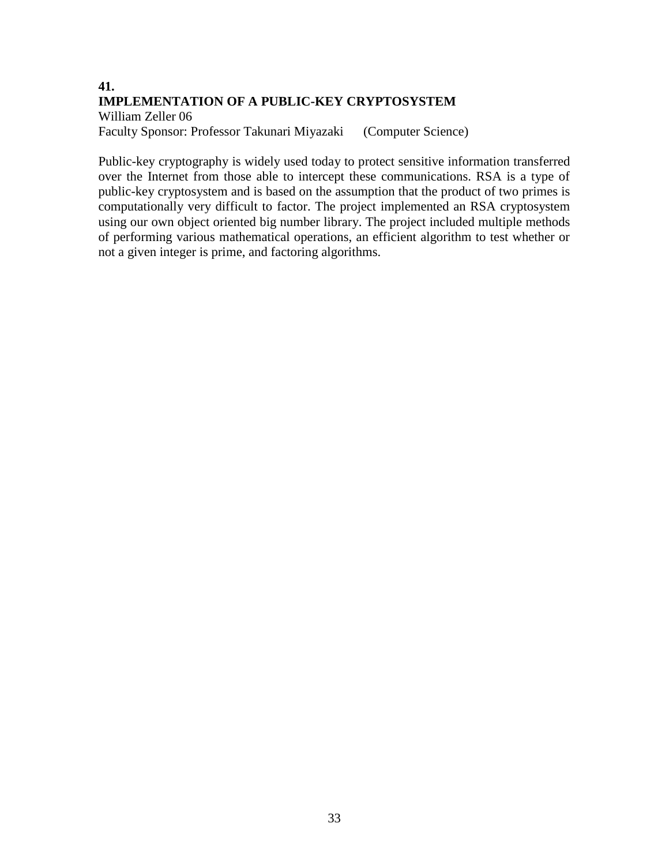#### **41. IMPLEMENTATION OF A PUBLIC-KEY CRYPTOSYSTEM** William Zeller 06 Faculty Sponsor: Professor Takunari Miyazaki (Computer Science)

Public-key cryptography is widely used today to protect sensitive information transferred over the Internet from those able to intercept these communications. RSA is a type of public-key cryptosystem and is based on the assumption that the product of two primes is computationally very difficult to factor. The project implemented an RSA cryptosystem using our own object oriented big number library. The project included multiple methods of performing various mathematical operations, an efficient algorithm to test whether or not a given integer is prime, and factoring algorithms.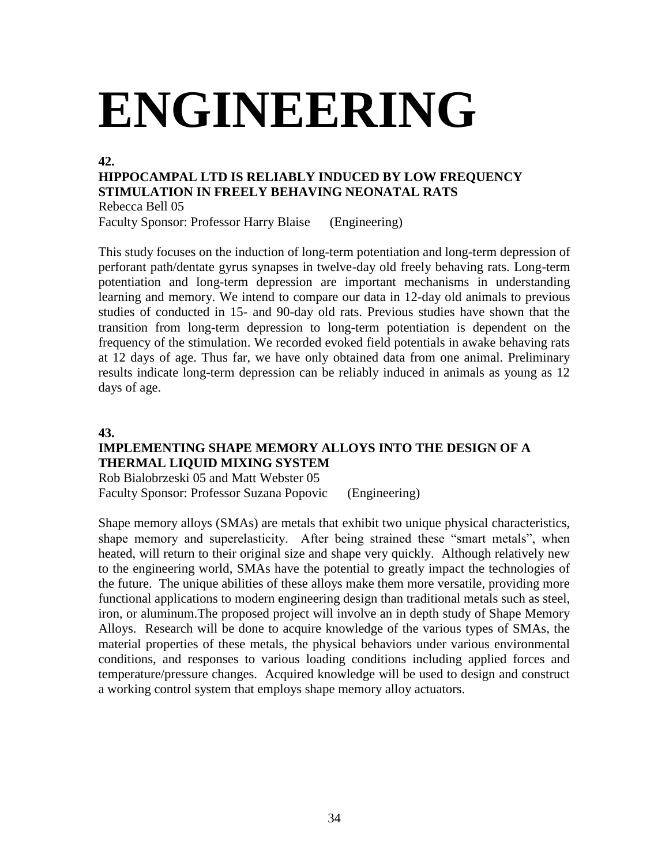## **ENGINEERING**

#### **42.**

#### **HIPPOCAMPAL LTD IS RELIABLY INDUCED BY LOW FREQUENCY STIMULATION IN FREELY BEHAVING NEONATAL RATS**

Rebecca Bell 05

Faculty Sponsor: Professor Harry Blaise (Engineering)

This study focuses on the induction of long-term potentiation and long-term depression of perforant path/dentate gyrus synapses in twelve-day old freely behaving rats. Long-term potentiation and long-term depression are important mechanisms in understanding learning and memory. We intend to compare our data in 12-day old animals to previous studies of conducted in 15- and 90-day old rats. Previous studies have shown that the transition from long-term depression to long-term potentiation is dependent on the frequency of the stimulation. We recorded evoked field potentials in awake behaving rats at 12 days of age. Thus far, we have only obtained data from one animal. Preliminary results indicate long-term depression can be reliably induced in animals as young as 12 days of age.

#### **43.**

#### **IMPLEMENTING SHAPE MEMORY ALLOYS INTO THE DESIGN OF A THERMAL LIQUID MIXING SYSTEM**

Rob Bialobrzeski 05 and Matt Webster 05 Faculty Sponsor: Professor Suzana Popovic (Engineering)

Shape memory alloys (SMAs) are metals that exhibit two unique physical characteristics, shape memory and superelasticity. After being strained these "smart metals", when heated, will return to their original size and shape very quickly. Although relatively new to the engineering world, SMAs have the potential to greatly impact the technologies of the future. The unique abilities of these alloys make them more versatile, providing more functional applications to modern engineering design than traditional metals such as steel, iron, or aluminum.The proposed project will involve an in depth study of Shape Memory Alloys. Research will be done to acquire knowledge of the various types of SMAs, the material properties of these metals, the physical behaviors under various environmental conditions, and responses to various loading conditions including applied forces and temperature/pressure changes. Acquired knowledge will be used to design and construct a working control system that employs shape memory alloy actuators.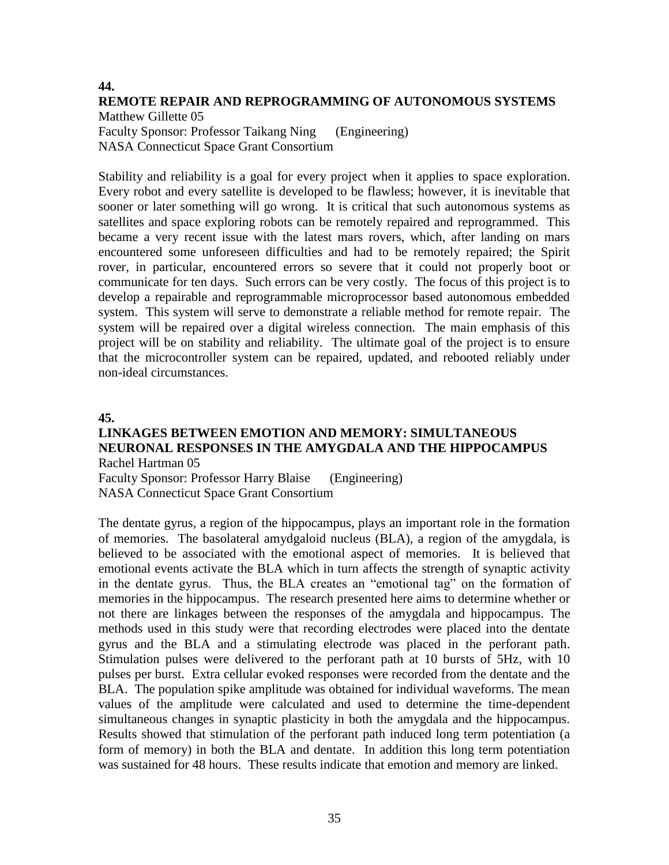#### **44. REMOTE REPAIR AND REPROGRAMMING OF AUTONOMOUS SYSTEMS** Matthew Gillette 05

Faculty Sponsor: Professor Taikang Ning (Engineering) NASA Connecticut Space Grant Consortium

Stability and reliability is a goal for every project when it applies to space exploration. Every robot and every satellite is developed to be flawless; however, it is inevitable that sooner or later something will go wrong. It is critical that such autonomous systems as satellites and space exploring robots can be remotely repaired and reprogrammed. This became a very recent issue with the latest mars rovers, which, after landing on mars encountered some unforeseen difficulties and had to be remotely repaired; the Spirit rover, in particular, encountered errors so severe that it could not properly boot or communicate for ten days. Such errors can be very costly. The focus of this project is to develop a repairable and reprogrammable microprocessor based autonomous embedded system. This system will serve to demonstrate a reliable method for remote repair. The system will be repaired over a digital wireless connection. The main emphasis of this project will be on stability and reliability. The ultimate goal of the project is to ensure that the microcontroller system can be repaired, updated, and rebooted reliably under non-ideal circumstances.

#### **45.**

#### **LINKAGES BETWEEN EMOTION AND MEMORY: SIMULTANEOUS NEURONAL RESPONSES IN THE AMYGDALA AND THE HIPPOCAMPUS** Rachel Hartman 05

Faculty Sponsor: Professor Harry Blaise (Engineering) NASA Connecticut Space Grant Consortium

The dentate gyrus, a region of the hippocampus, plays an important role in the formation of memories. The basolateral amydgaloid nucleus (BLA), a region of the amygdala, is believed to be associated with the emotional aspect of memories. It is believed that emotional events activate the BLA which in turn affects the strength of synaptic activity in the dentate gyrus. Thus, the BLA creates an "emotional tag" on the formation of memories in the hippocampus. The research presented here aims to determine whether or not there are linkages between the responses of the amygdala and hippocampus. The methods used in this study were that recording electrodes were placed into the dentate gyrus and the BLA and a stimulating electrode was placed in the perforant path. Stimulation pulses were delivered to the perforant path at 10 bursts of 5Hz, with 10 pulses per burst. Extra cellular evoked responses were recorded from the dentate and the BLA. The population spike amplitude was obtained for individual waveforms. The mean values of the amplitude were calculated and used to determine the time-dependent simultaneous changes in synaptic plasticity in both the amygdala and the hippocampus. Results showed that stimulation of the perforant path induced long term potentiation (a form of memory) in both the BLA and dentate. In addition this long term potentiation was sustained for 48 hours. These results indicate that emotion and memory are linked.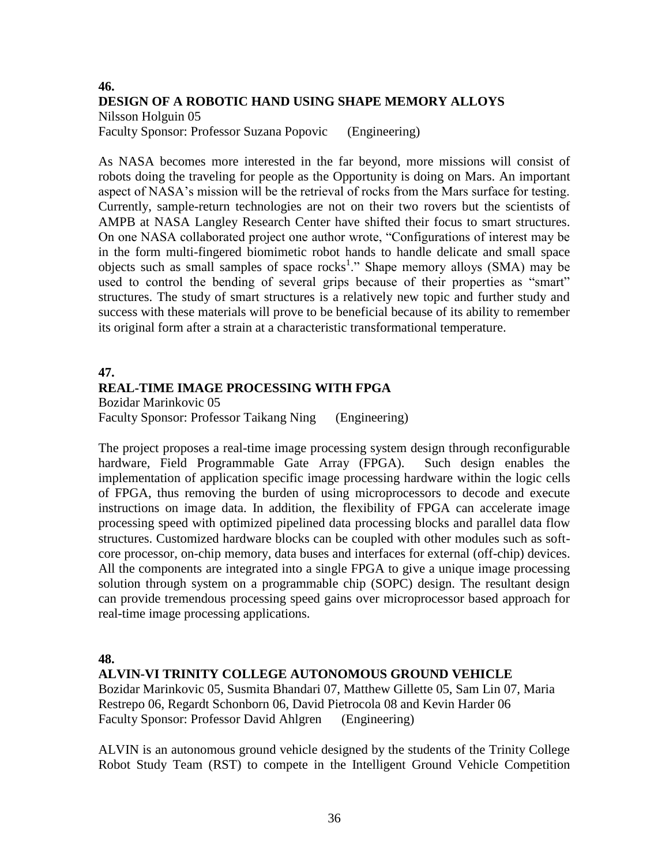# **46. DESIGN OF A ROBOTIC HAND USING SHAPE MEMORY ALLOYS**

Nilsson Holguin 05 Faculty Sponsor: Professor Suzana Popovic (Engineering)

As NASA becomes more interested in the far beyond, more missions will consist of robots doing the traveling for people as the Opportunity is doing on Mars. An important aspect of NASA's mission will be the retrieval of rocks from the Mars surface for testing. Currently, sample-return technologies are not on their two rovers but the scientists of AMPB at NASA Langley Research Center have shifted their focus to smart structures. On one NASA collaborated project one author wrote, "Configurations of interest may be in the form multi-fingered biomimetic robot hands to handle delicate and small space objects such as small samples of space rocks<sup>1</sup>." Shape memory alloys (SMA) may be used to control the bending of several grips because of their properties as "smart" structures. The study of smart structures is a relatively new topic and further study and success with these materials will prove to be beneficial because of its ability to remember its original form after a strain at a characteristic transformational temperature.

# **47.**

# **REAL-TIME IMAGE PROCESSING WITH FPGA**

Bozidar Marinkovic 05

Faculty Sponsor: Professor Taikang Ning (Engineering)

The project proposes a real-time image processing system design through reconfigurable hardware, Field Programmable Gate Array (FPGA). Such design enables the implementation of application specific image processing hardware within the logic cells of FPGA, thus removing the burden of using microprocessors to decode and execute instructions on image data. In addition, the flexibility of FPGA can accelerate image processing speed with optimized pipelined data processing blocks and parallel data flow structures. Customized hardware blocks can be coupled with other modules such as softcore processor, on-chip memory, data buses and interfaces for external (off-chip) devices. All the components are integrated into a single FPGA to give a unique image processing solution through system on a programmable chip (SOPC) design. The resultant design can provide tremendous processing speed gains over microprocessor based approach for real-time image processing applications.

**48.**

# **ALVIN-VI TRINITY COLLEGE AUTONOMOUS GROUND VEHICLE**

Bozidar Marinkovic 05, Susmita Bhandari 07, Matthew Gillette 05, Sam Lin 07, Maria Restrepo 06, Regardt Schonborn 06, David Pietrocola 08 and Kevin Harder 06 Faculty Sponsor: Professor David Ahlgren (Engineering)

ALVIN is an autonomous ground vehicle designed by the students of the Trinity College Robot Study Team (RST) to compete in the Intelligent Ground Vehicle Competition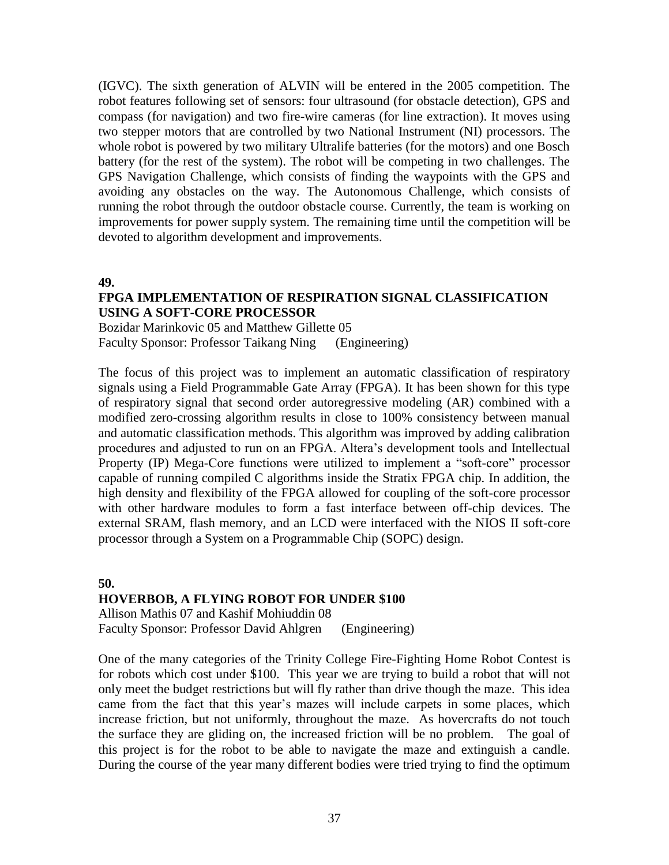(IGVC). The sixth generation of ALVIN will be entered in the 2005 competition. The robot features following set of sensors: four ultrasound (for obstacle detection), GPS and compass (for navigation) and two fire-wire cameras (for line extraction). It moves using two stepper motors that are controlled by two National Instrument (NI) processors. The whole robot is powered by two military Ultralife batteries (for the motors) and one Bosch battery (for the rest of the system). The robot will be competing in two challenges. The GPS Navigation Challenge, which consists of finding the waypoints with the GPS and avoiding any obstacles on the way. The Autonomous Challenge, which consists of running the robot through the outdoor obstacle course. Currently, the team is working on improvements for power supply system. The remaining time until the competition will be devoted to algorithm development and improvements.

#### **49.**

# **FPGA IMPLEMENTATION OF RESPIRATION SIGNAL CLASSIFICATION USING A SOFT-CORE PROCESSOR**

Bozidar Marinkovic 05 and Matthew Gillette 05 Faculty Sponsor: Professor Taikang Ning (Engineering)

The focus of this project was to implement an automatic classification of respiratory signals using a Field Programmable Gate Array (FPGA). It has been shown for this type of respiratory signal that second order autoregressive modeling (AR) combined with a modified zero-crossing algorithm results in close to 100% consistency between manual and automatic classification methods. This algorithm was improved by adding calibration procedures and adjusted to run on an FPGA. Altera's development tools and Intellectual Property (IP) Mega-Core functions were utilized to implement a "soft-core" processor capable of running compiled C algorithms inside the Stratix FPGA chip. In addition, the high density and flexibility of the FPGA allowed for coupling of the soft-core processor with other hardware modules to form a fast interface between off-chip devices. The external SRAM, flash memory, and an LCD were interfaced with the NIOS II soft-core processor through a System on a Programmable Chip (SOPC) design.

**50.**

## **HOVERBOB, A FLYING ROBOT FOR UNDER \$100**

Allison Mathis 07 and Kashif Mohiuddin 08 Faculty Sponsor: Professor David Ahlgren (Engineering)

One of the many categories of the Trinity College Fire-Fighting Home Robot Contest is for robots which cost under \$100. This year we are trying to build a robot that will not only meet the budget restrictions but will fly rather than drive though the maze. This idea came from the fact that this year's mazes will include carpets in some places, which increase friction, but not uniformly, throughout the maze. As hovercrafts do not touch the surface they are gliding on, the increased friction will be no problem. The goal of this project is for the robot to be able to navigate the maze and extinguish a candle. During the course of the year many different bodies were tried trying to find the optimum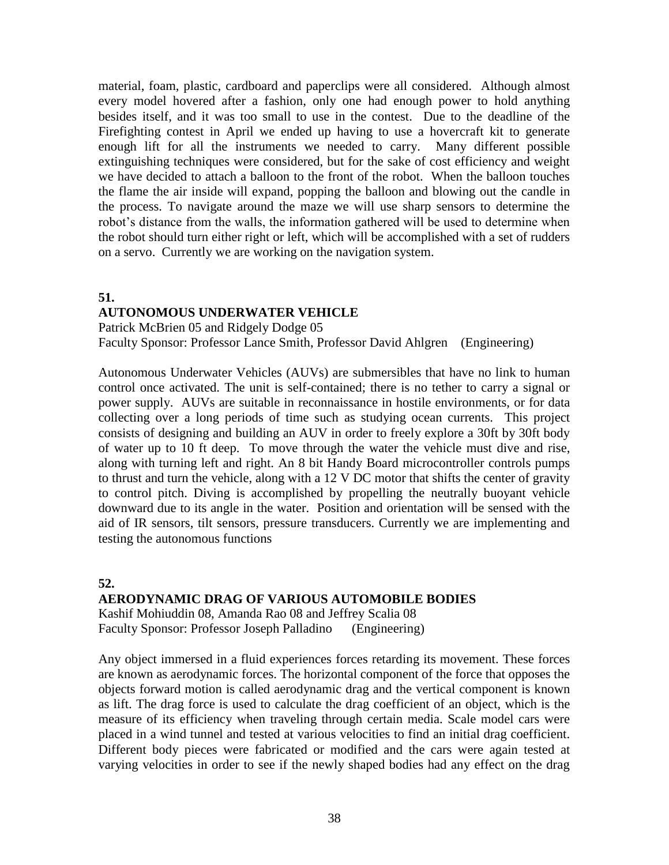material, foam, plastic, cardboard and paperclips were all considered. Although almost every model hovered after a fashion, only one had enough power to hold anything besides itself, and it was too small to use in the contest. Due to the deadline of the Firefighting contest in April we ended up having to use a hovercraft kit to generate enough lift for all the instruments we needed to carry. Many different possible extinguishing techniques were considered, but for the sake of cost efficiency and weight we have decided to attach a balloon to the front of the robot. When the balloon touches the flame the air inside will expand, popping the balloon and blowing out the candle in the process. To navigate around the maze we will use sharp sensors to determine the robot's distance from the walls, the information gathered will be used to determine when the robot should turn either right or left, which will be accomplished with a set of rudders on a servo. Currently we are working on the navigation system.

#### **51.**

## **AUTONOMOUS UNDERWATER VEHICLE**

Patrick McBrien 05 and Ridgely Dodge 05 Faculty Sponsor: Professor Lance Smith, Professor David Ahlgren (Engineering)

Autonomous Underwater Vehicles (AUVs) are submersibles that have no link to human control once activated. The unit is self-contained; there is no tether to carry a signal or power supply. AUVs are suitable in reconnaissance in hostile environments, or for data collecting over a long periods of time such as studying ocean currents. This project consists of designing and building an AUV in order to freely explore a 30ft by 30ft body of water up to 10 ft deep. To move through the water the vehicle must dive and rise, along with turning left and right. An 8 bit Handy Board microcontroller controls pumps to thrust and turn the vehicle, along with a 12 V DC motor that shifts the center of gravity to control pitch. Diving is accomplished by propelling the neutrally buoyant vehicle downward due to its angle in the water. Position and orientation will be sensed with the aid of IR sensors, tilt sensors, pressure transducers. Currently we are implementing and testing the autonomous functions

## **52.**

# **AERODYNAMIC DRAG OF VARIOUS AUTOMOBILE BODIES**

Kashif Mohiuddin 08, Amanda Rao 08 and Jeffrey Scalia 08 Faculty Sponsor: Professor Joseph Palladino (Engineering)

Any object immersed in a fluid experiences forces retarding its movement. These forces are known as aerodynamic forces. The horizontal component of the force that opposes the objects forward motion is called aerodynamic drag and the vertical component is known as lift. The drag force is used to calculate the drag coefficient of an object, which is the measure of its efficiency when traveling through certain media. Scale model cars were placed in a wind tunnel and tested at various velocities to find an initial drag coefficient. Different body pieces were fabricated or modified and the cars were again tested at varying velocities in order to see if the newly shaped bodies had any effect on the drag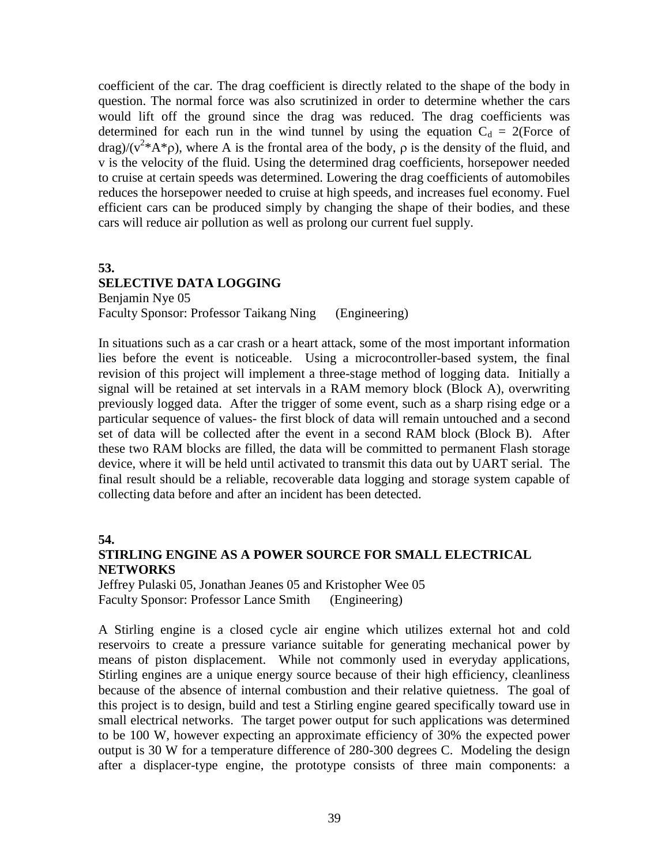coefficient of the car. The drag coefficient is directly related to the shape of the body in question. The normal force was also scrutinized in order to determine whether the cars would lift off the ground since the drag was reduced. The drag coefficients was determined for each run in the wind tunnel by using the equation  $C_d = 2$ (Force of drag)/( $v^2$ \*A\* $\rho$ ), where A is the frontal area of the body,  $\rho$  is the density of the fluid, and v is the velocity of the fluid. Using the determined drag coefficients, horsepower needed to cruise at certain speeds was determined. Lowering the drag coefficients of automobiles reduces the horsepower needed to cruise at high speeds, and increases fuel economy. Fuel efficient cars can be produced simply by changing the shape of their bodies, and these cars will reduce air pollution as well as prolong our current fuel supply.

## **53. SELECTIVE DATA LOGGING** Benjamin Nye 05

Faculty Sponsor: Professor Taikang Ning (Engineering)

In situations such as a car crash or a heart attack, some of the most important information lies before the event is noticeable. Using a microcontroller-based system, the final revision of this project will implement a three-stage method of logging data. Initially a signal will be retained at set intervals in a RAM memory block (Block A), overwriting previously logged data. After the trigger of some event, such as a sharp rising edge or a particular sequence of values- the first block of data will remain untouched and a second set of data will be collected after the event in a second RAM block (Block B). After these two RAM blocks are filled, the data will be committed to permanent Flash storage device, where it will be held until activated to transmit this data out by UART serial. The final result should be a reliable, recoverable data logging and storage system capable of collecting data before and after an incident has been detected.

## **54.**

# **STIRLING ENGINE AS A POWER SOURCE FOR SMALL ELECTRICAL NETWORKS**

Jeffrey Pulaski 05, Jonathan Jeanes 05 and Kristopher Wee 05 Faculty Sponsor: Professor Lance Smith (Engineering)

A Stirling engine is a closed cycle air engine which utilizes external hot and cold reservoirs to create a pressure variance suitable for generating mechanical power by means of piston displacement. While not commonly used in everyday applications, Stirling engines are a unique energy source because of their high efficiency, cleanliness because of the absence of internal combustion and their relative quietness. The goal of this project is to design, build and test a Stirling engine geared specifically toward use in small electrical networks. The target power output for such applications was determined to be 100 W, however expecting an approximate efficiency of 30% the expected power output is 30 W for a temperature difference of 280-300 degrees C. Modeling the design after a displacer-type engine, the prototype consists of three main components: a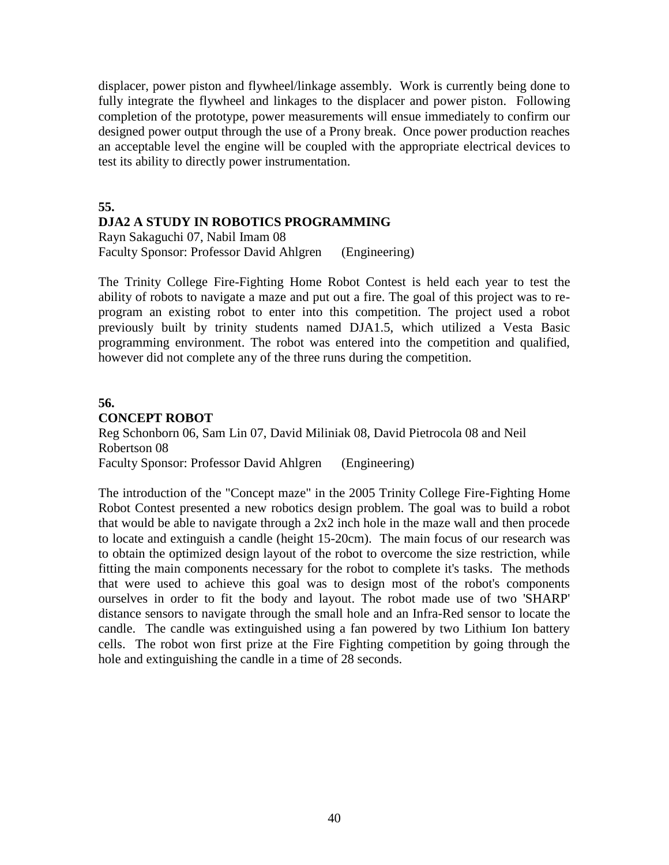displacer, power piston and flywheel/linkage assembly. Work is currently being done to fully integrate the flywheel and linkages to the displacer and power piston. Following completion of the prototype, power measurements will ensue immediately to confirm our designed power output through the use of a Prony break. Once power production reaches an acceptable level the engine will be coupled with the appropriate electrical devices to test its ability to directly power instrumentation.

# **55. DJA2 A STUDY IN ROBOTICS PROGRAMMING**

Rayn Sakaguchi 07, Nabil Imam 08 Faculty Sponsor: Professor David Ahlgren (Engineering)

The Trinity College Fire-Fighting Home Robot Contest is held each year to test the ability of robots to navigate a maze and put out a fire. The goal of this project was to reprogram an existing robot to enter into this competition. The project used a robot previously built by trinity students named DJA1.5, which utilized a Vesta Basic programming environment. The robot was entered into the competition and qualified, however did not complete any of the three runs during the competition.

## **56.**

# **CONCEPT ROBOT**

Reg Schonborn 06, Sam Lin 07, David Miliniak 08, David Pietrocola 08 and Neil Robertson 08 Faculty Sponsor: Professor David Ahlgren (Engineering)

The introduction of the "Concept maze" in the 2005 Trinity College Fire-Fighting Home Robot Contest presented a new robotics design problem. The goal was to build a robot that would be able to navigate through a  $2x2$  inch hole in the maze wall and then procede to locate and extinguish a candle (height 15-20cm). The main focus of our research was to obtain the optimized design layout of the robot to overcome the size restriction, while fitting the main components necessary for the robot to complete it's tasks. The methods that were used to achieve this goal was to design most of the robot's components ourselves in order to fit the body and layout. The robot made use of two 'SHARP' distance sensors to navigate through the small hole and an Infra-Red sensor to locate the candle. The candle was extinguished using a fan powered by two Lithium Ion battery cells. The robot won first prize at the Fire Fighting competition by going through the hole and extinguishing the candle in a time of 28 seconds.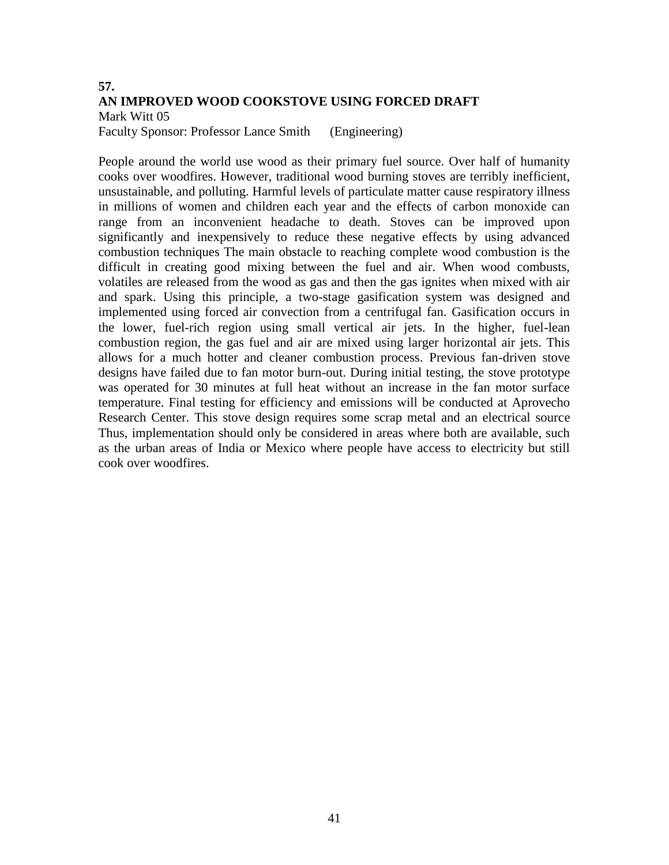# **57. AN IMPROVED WOOD COOKSTOVE USING FORCED DRAFT** Mark Witt 05

Faculty Sponsor: Professor Lance Smith (Engineering)

People around the world use wood as their primary fuel source. Over half of humanity cooks over woodfires. However, traditional wood burning stoves are terribly inefficient, unsustainable, and polluting. Harmful levels of particulate matter cause respiratory illness in millions of women and children each year and the effects of carbon monoxide can range from an inconvenient headache to death. Stoves can be improved upon significantly and inexpensively to reduce these negative effects by using advanced combustion techniques The main obstacle to reaching complete wood combustion is the difficult in creating good mixing between the fuel and air. When wood combusts, volatiles are released from the wood as gas and then the gas ignites when mixed with air and spark. Using this principle, a two-stage gasification system was designed and implemented using forced air convection from a centrifugal fan. Gasification occurs in the lower, fuel-rich region using small vertical air jets. In the higher, fuel-lean combustion region, the gas fuel and air are mixed using larger horizontal air jets. This allows for a much hotter and cleaner combustion process. Previous fan-driven stove designs have failed due to fan motor burn-out. During initial testing, the stove prototype was operated for 30 minutes at full heat without an increase in the fan motor surface temperature. Final testing for efficiency and emissions will be conducted at Aprovecho Research Center. This stove design requires some scrap metal and an electrical source Thus, implementation should only be considered in areas where both are available, such as the urban areas of India or Mexico where people have access to electricity but still cook over woodfires.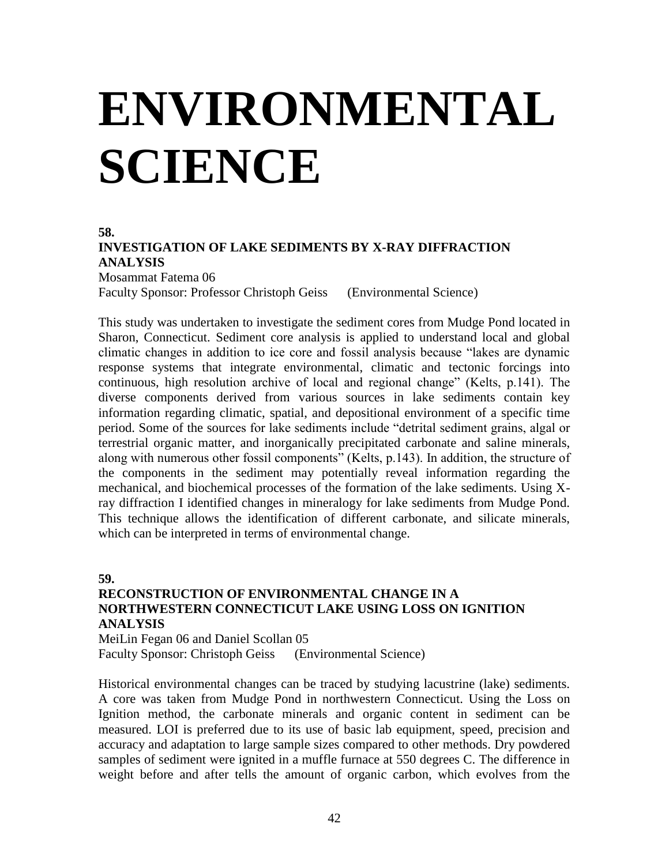# **ENVIRONMENTAL SCIENCE**

#### **58.**

# **INVESTIGATION OF LAKE SEDIMENTS BY X-RAY DIFFRACTION ANALYSIS**

Mosammat Fatema 06 Faculty Sponsor: Professor Christoph Geiss (Environmental Science)

This study was undertaken to investigate the sediment cores from Mudge Pond located in Sharon, Connecticut. Sediment core analysis is applied to understand local and global climatic changes in addition to ice core and fossil analysis because "lakes are dynamic response systems that integrate environmental, climatic and tectonic forcings into continuous, high resolution archive of local and regional change" (Kelts, p.141). The diverse components derived from various sources in lake sediments contain key information regarding climatic, spatial, and depositional environment of a specific time period. Some of the sources for lake sediments include "detrital sediment grains, algal or terrestrial organic matter, and inorganically precipitated carbonate and saline minerals, along with numerous other fossil components" (Kelts, p.143). In addition, the structure of the components in the sediment may potentially reveal information regarding the mechanical, and biochemical processes of the formation of the lake sediments. Using Xray diffraction I identified changes in mineralogy for lake sediments from Mudge Pond. This technique allows the identification of different carbonate, and silicate minerals, which can be interpreted in terms of environmental change.

**59.**

# **RECONSTRUCTION OF ENVIRONMENTAL CHANGE IN A NORTHWESTERN CONNECTICUT LAKE USING LOSS ON IGNITION ANALYSIS**

MeiLin Fegan 06 and Daniel Scollan 05 Faculty Sponsor: Christoph Geiss (Environmental Science)

Historical environmental changes can be traced by studying lacustrine (lake) sediments. A core was taken from Mudge Pond in northwestern Connecticut. Using the Loss on Ignition method, the carbonate minerals and organic content in sediment can be measured. LOI is preferred due to its use of basic lab equipment, speed, precision and accuracy and adaptation to large sample sizes compared to other methods. Dry powdered samples of sediment were ignited in a muffle furnace at 550 degrees C. The difference in weight before and after tells the amount of organic carbon, which evolves from the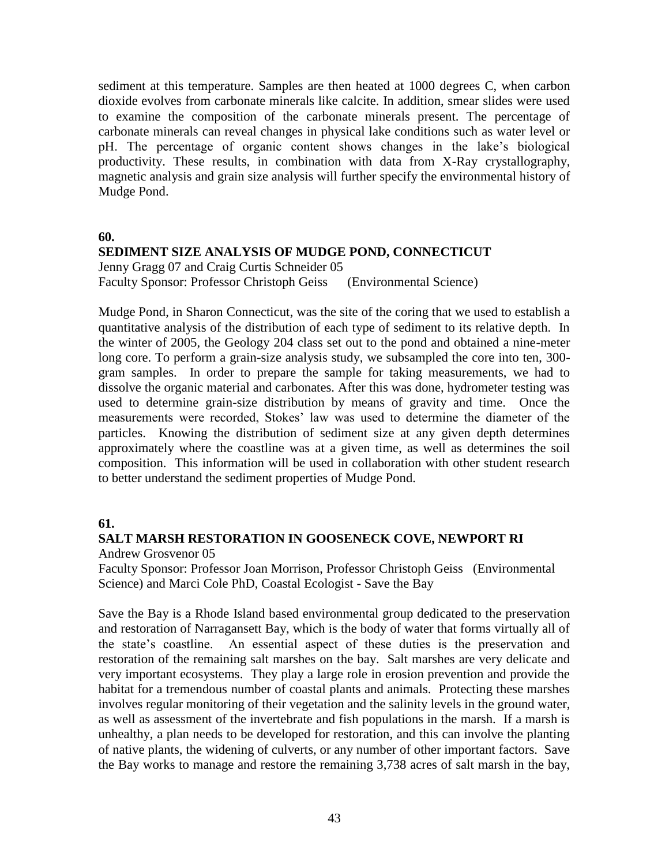sediment at this temperature. Samples are then heated at 1000 degrees C, when carbon dioxide evolves from carbonate minerals like calcite. In addition, smear slides were used to examine the composition of the carbonate minerals present. The percentage of carbonate minerals can reveal changes in physical lake conditions such as water level or pH. The percentage of organic content shows changes in the lake's biological productivity. These results, in combination with data from X-Ray crystallography, magnetic analysis and grain size analysis will further specify the environmental history of Mudge Pond.

**60.**

**SEDIMENT SIZE ANALYSIS OF MUDGE POND, CONNECTICUT** Jenny Gragg 07 and Craig Curtis Schneider 05 Faculty Sponsor: Professor Christoph Geiss (Environmental Science)

Mudge Pond, in Sharon Connecticut, was the site of the coring that we used to establish a quantitative analysis of the distribution of each type of sediment to its relative depth. In the winter of 2005, the Geology 204 class set out to the pond and obtained a nine-meter long core. To perform a grain-size analysis study, we subsampled the core into ten, 300 gram samples. In order to prepare the sample for taking measurements, we had to dissolve the organic material and carbonates. After this was done, hydrometer testing was used to determine grain-size distribution by means of gravity and time. Once the measurements were recorded, Stokes' law was used to determine the diameter of the particles. Knowing the distribution of sediment size at any given depth determines approximately where the coastline was at a given time, as well as determines the soil composition. This information will be used in collaboration with other student research to better understand the sediment properties of Mudge Pond.

## **61.**

#### **SALT MARSH RESTORATION IN GOOSENECK COVE, NEWPORT RI** Andrew Grosvenor 05

Faculty Sponsor: Professor Joan Morrison, Professor Christoph Geiss (Environmental Science) and Marci Cole PhD, Coastal Ecologist - Save the Bay

Save the Bay is a Rhode Island based environmental group dedicated to the preservation and restoration of Narragansett Bay, which is the body of water that forms virtually all of the state's coastline. An essential aspect of these duties is the preservation and restoration of the remaining salt marshes on the bay. Salt marshes are very delicate and very important ecosystems. They play a large role in erosion prevention and provide the habitat for a tremendous number of coastal plants and animals. Protecting these marshes involves regular monitoring of their vegetation and the salinity levels in the ground water, as well as assessment of the invertebrate and fish populations in the marsh. If a marsh is unhealthy, a plan needs to be developed for restoration, and this can involve the planting of native plants, the widening of culverts, or any number of other important factors. Save the Bay works to manage and restore the remaining 3,738 acres of salt marsh in the bay,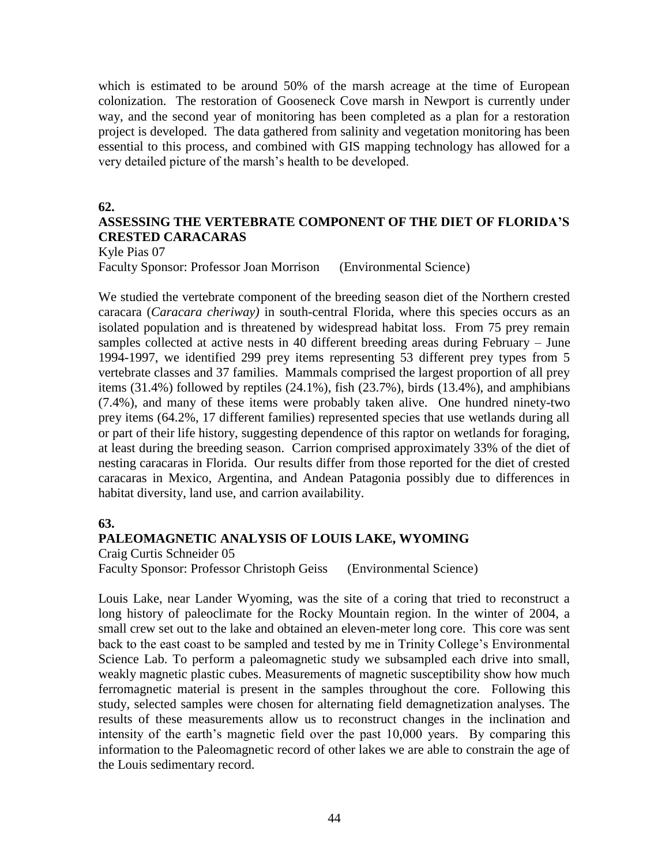which is estimated to be around 50% of the marsh acreage at the time of European colonization. The restoration of Gooseneck Cove marsh in Newport is currently under way, and the second year of monitoring has been completed as a plan for a restoration project is developed. The data gathered from salinity and vegetation monitoring has been essential to this process, and combined with GIS mapping technology has allowed for a very detailed picture of the marsh's health to be developed.

## **62.**

# **ASSESSING THE VERTEBRATE COMPONENT OF THE DIET OF FLORIDA'S CRESTED CARACARAS**

Kyle Pias 07

Faculty Sponsor: Professor Joan Morrison (Environmental Science)

We studied the vertebrate component of the breeding season diet of the Northern crested caracara (*Caracara cheriway)* in south-central Florida, where this species occurs as an isolated population and is threatened by widespread habitat loss. From 75 prey remain samples collected at active nests in 40 different breeding areas during February – June 1994-1997, we identified 299 prey items representing 53 different prey types from 5 vertebrate classes and 37 families. Mammals comprised the largest proportion of all prey items (31.4%) followed by reptiles (24.1%), fish (23.7%), birds (13.4%), and amphibians (7.4%), and many of these items were probably taken alive. One hundred ninety-two prey items (64.2%, 17 different families) represented species that use wetlands during all or part of their life history, suggesting dependence of this raptor on wetlands for foraging, at least during the breeding season. Carrion comprised approximately 33% of the diet of nesting caracaras in Florida. Our results differ from those reported for the diet of crested caracaras in Mexico, Argentina, and Andean Patagonia possibly due to differences in habitat diversity, land use, and carrion availability.

## **63.**

# **PALEOMAGNETIC ANALYSIS OF LOUIS LAKE, WYOMING**

Craig Curtis Schneider 05

Faculty Sponsor: Professor Christoph Geiss (Environmental Science)

Louis Lake, near Lander Wyoming, was the site of a coring that tried to reconstruct a long history of paleoclimate for the Rocky Mountain region. In the winter of 2004, a small crew set out to the lake and obtained an eleven-meter long core. This core was sent back to the east coast to be sampled and tested by me in Trinity College's Environmental Science Lab. To perform a paleomagnetic study we subsampled each drive into small, weakly magnetic plastic cubes. Measurements of magnetic susceptibility show how much ferromagnetic material is present in the samples throughout the core. Following this study, selected samples were chosen for alternating field demagnetization analyses. The results of these measurements allow us to reconstruct changes in the inclination and intensity of the earth's magnetic field over the past 10,000 years. By comparing this information to the Paleomagnetic record of other lakes we are able to constrain the age of the Louis sedimentary record.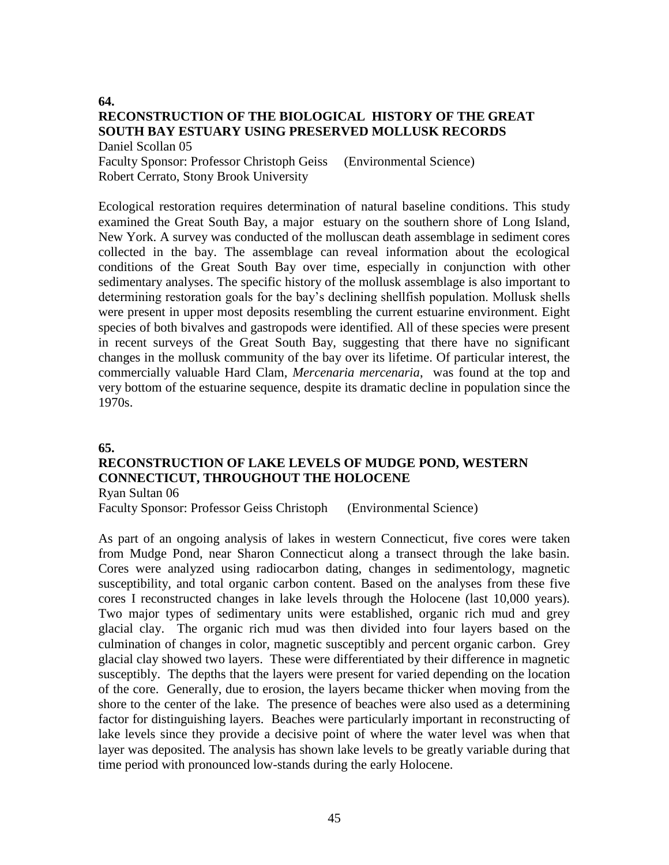#### **64.**

# **RECONSTRUCTION OF THE BIOLOGICAL HISTORY OF THE GREAT SOUTH BAY ESTUARY USING PRESERVED MOLLUSK RECORDS** Daniel Scollan 05

Faculty Sponsor: Professor Christoph Geiss (Environmental Science) Robert Cerrato, Stony Brook University

Ecological restoration requires determination of natural baseline conditions. This study examined the Great South Bay, a major estuary on the southern shore of Long Island, New York. A survey was conducted of the molluscan death assemblage in sediment cores collected in the bay. The assemblage can reveal information about the ecological conditions of the Great South Bay over time, especially in conjunction with other sedimentary analyses. The specific history of the mollusk assemblage is also important to determining restoration goals for the bay's declining shellfish population. Mollusk shells were present in upper most deposits resembling the current estuarine environment. Eight species of both bivalves and gastropods were identified. All of these species were present in recent surveys of the Great South Bay, suggesting that there have no significant changes in the mollusk community of the bay over its lifetime. Of particular interest, the commercially valuable Hard Clam, *Mercenaria mercenaria*, was found at the top and very bottom of the estuarine sequence, despite its dramatic decline in population since the 1970s.

#### **65.**

# **RECONSTRUCTION OF LAKE LEVELS OF MUDGE POND, WESTERN CONNECTICUT, THROUGHOUT THE HOLOCENE**

Ryan Sultan 06

Faculty Sponsor: Professor Geiss Christoph (Environmental Science)

As part of an ongoing analysis of lakes in western Connecticut, five cores were taken from Mudge Pond, near Sharon Connecticut along a transect through the lake basin. Cores were analyzed using radiocarbon dating, changes in sedimentology, magnetic susceptibility, and total organic carbon content. Based on the analyses from these five cores I reconstructed changes in lake levels through the Holocene (last 10,000 years). Two major types of sedimentary units were established, organic rich mud and grey glacial clay. The organic rich mud was then divided into four layers based on the culmination of changes in color, magnetic susceptibly and percent organic carbon. Grey glacial clay showed two layers. These were differentiated by their difference in magnetic susceptibly. The depths that the layers were present for varied depending on the location of the core. Generally, due to erosion, the layers became thicker when moving from the shore to the center of the lake. The presence of beaches were also used as a determining factor for distinguishing layers. Beaches were particularly important in reconstructing of lake levels since they provide a decisive point of where the water level was when that layer was deposited. The analysis has shown lake levels to be greatly variable during that time period with pronounced low-stands during the early Holocene.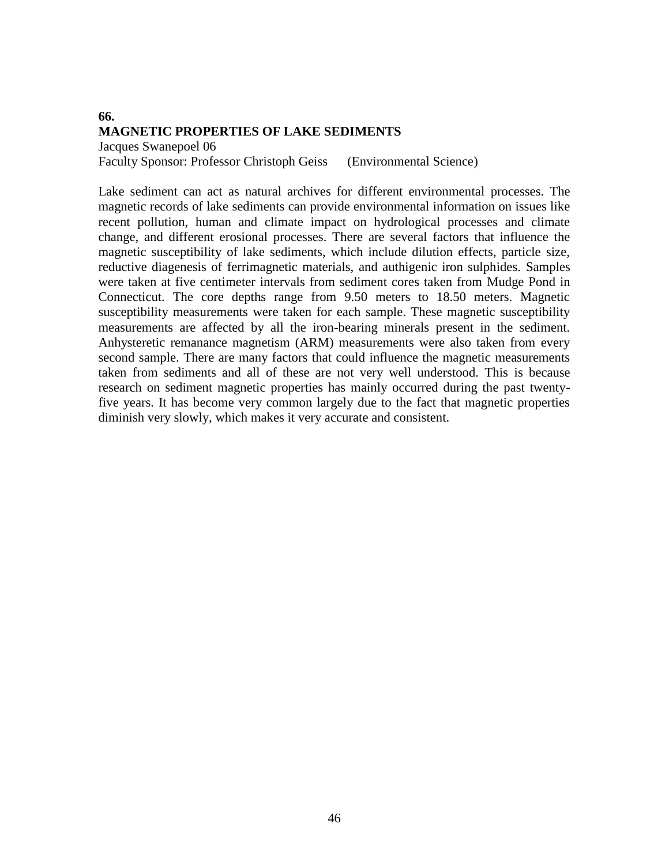#### **66. MAGNETIC PROPERTIES OF LAKE SEDIMENTS**  Jacques Swanepoel 06 Faculty Sponsor: Professor Christoph Geiss (Environmental Science)

Lake sediment can act as natural archives for different environmental processes. The magnetic records of lake sediments can provide environmental information on issues like recent pollution, human and climate impact on hydrological processes and climate change, and different erosional processes. There are several factors that influence the magnetic susceptibility of lake sediments, which include dilution effects, particle size, reductive diagenesis of ferrimagnetic materials, and authigenic iron sulphides. Samples were taken at five centimeter intervals from sediment cores taken from Mudge Pond in Connecticut. The core depths range from 9.50 meters to 18.50 meters. Magnetic susceptibility measurements were taken for each sample. These magnetic susceptibility measurements are affected by all the iron-bearing minerals present in the sediment. Anhysteretic remanance magnetism (ARM) measurements were also taken from every second sample. There are many factors that could influence the magnetic measurements taken from sediments and all of these are not very well understood. This is because research on sediment magnetic properties has mainly occurred during the past twentyfive years. It has become very common largely due to the fact that magnetic properties diminish very slowly, which makes it very accurate and consistent.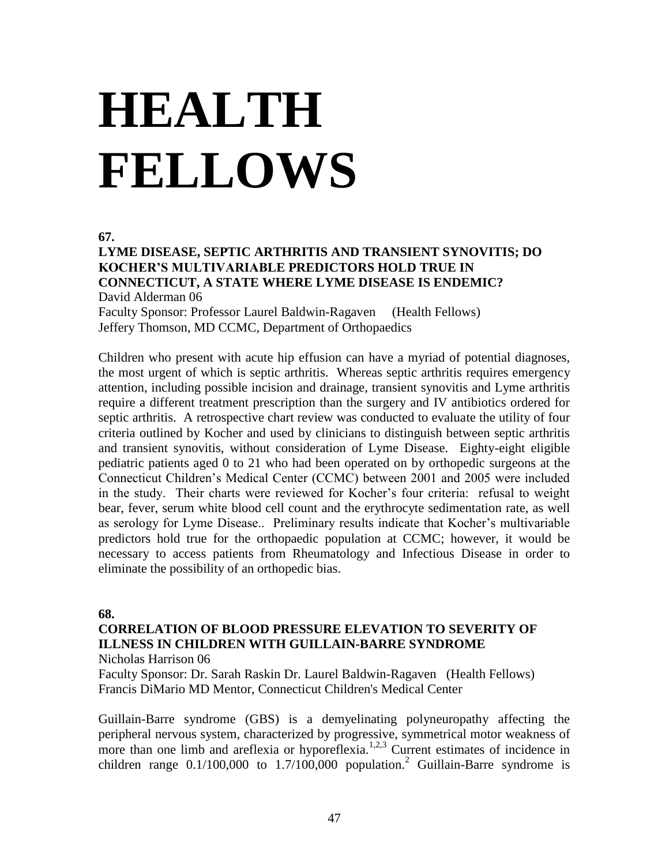# **HEALTH FELLOWS**

**67.**

# **LYME DISEASE, SEPTIC ARTHRITIS AND TRANSIENT SYNOVITIS; DO KOCHER'S MULTIVARIABLE PREDICTORS HOLD TRUE IN CONNECTICUT, A STATE WHERE LYME DISEASE IS ENDEMIC?** David Alderman 06 Faculty Sponsor: Professor Laurel Baldwin-Ragaven (Health Fellows)

Jeffery Thomson, MD CCMC, Department of Orthopaedics

Children who present with acute hip effusion can have a myriad of potential diagnoses, the most urgent of which is septic arthritis. Whereas septic arthritis requires emergency attention, including possible incision and drainage, transient synovitis and Lyme arthritis require a different treatment prescription than the surgery and IV antibiotics ordered for septic arthritis. A retrospective chart review was conducted to evaluate the utility of four criteria outlined by Kocher and used by clinicians to distinguish between septic arthritis and transient synovitis, without consideration of Lyme Disease. Eighty-eight eligible pediatric patients aged 0 to 21 who had been operated on by orthopedic surgeons at the Connecticut Children's Medical Center (CCMC) between 2001 and 2005 were included in the study. Their charts were reviewed for Kocher's four criteria: refusal to weight bear, fever, serum white blood cell count and the erythrocyte sedimentation rate, as well as serology for Lyme Disease.. Preliminary results indicate that Kocher's multivariable predictors hold true for the orthopaedic population at CCMC; however, it would be necessary to access patients from Rheumatology and Infectious Disease in order to eliminate the possibility of an orthopedic bias.

**68.**

# **CORRELATION OF BLOOD PRESSURE ELEVATION TO SEVERITY OF ILLNESS IN CHILDREN WITH GUILLAIN-BARRE SYNDROME**

Nicholas Harrison 06

Faculty Sponsor: Dr. Sarah Raskin Dr. Laurel Baldwin-Ragaven (Health Fellows) Francis DiMario MD Mentor, Connecticut Children's Medical Center

Guillain-Barre syndrome (GBS) is a demyelinating polyneuropathy affecting the peripheral nervous system, characterized by progressive, symmetrical motor weakness of more than one limb and areflexia or hyporeflexia.<sup>1,2,3</sup> Current estimates of incidence in children range  $0.1/100,000$  to  $1.7/100,000$  population.<sup>2</sup> Guillain-Barre syndrome is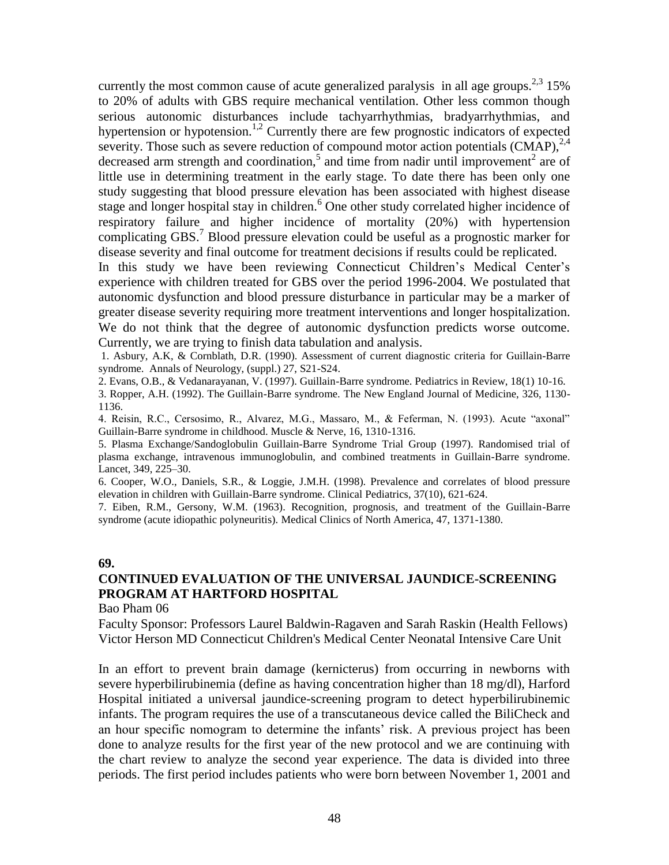currently the most common cause of acute generalized paralysis in all age groups.<sup>2,3</sup> 15% to 20% of adults with GBS require mechanical ventilation. Other less common though serious autonomic disturbances include tachyarrhythmias, bradyarrhythmias, and hypertension or hypotension.<sup>1,2</sup> Currently there are few prognostic indicators of expected severity. Those such as severe reduction of compound motor action potentials (CMAP),  $2.4$ decreased arm strength and coordination,<sup>5</sup> and time from nadir until improvement<sup>2</sup> are of little use in determining treatment in the early stage. To date there has been only one study suggesting that blood pressure elevation has been associated with highest disease stage and longer hospital stay in children.<sup>6</sup> One other study correlated higher incidence of respiratory failure and higher incidence of mortality (20%) with hypertension complicating GBS.<sup>7</sup> Blood pressure elevation could be useful as a prognostic marker for disease severity and final outcome for treatment decisions if results could be replicated.

In this study we have been reviewing Connecticut Children's Medical Center's experience with children treated for GBS over the period 1996-2004. We postulated that autonomic dysfunction and blood pressure disturbance in particular may be a marker of greater disease severity requiring more treatment interventions and longer hospitalization. We do not think that the degree of autonomic dysfunction predicts worse outcome. Currently, we are trying to finish data tabulation and analysis.

1. Asbury, A.K, & Cornblath, D.R. (1990). Assessment of current diagnostic criteria for Guillain-Barre syndrome. Annals of Neurology, (suppl.) 27, S21-S24.

2. Evans, O.B., & Vedanarayanan, V. (1997). Guillain-Barre syndrome. Pediatrics in Review, 18(1) 10-16.

3. Ropper, A.H. (1992). The Guillain-Barre syndrome. The New England Journal of Medicine, 326, 1130- 1136.

4. Reisin, R.C., Cersosimo, R., Alvarez, M.G., Massaro, M., & Feferman, N. (1993). Acute "axonal" Guillain-Barre syndrome in childhood. Muscle & Nerve, 16, 1310-1316.

5. Plasma Exchange/Sandoglobulin Guillain-Barre Syndrome Trial Group (1997). Randomised trial of plasma exchange, intravenous immunoglobulin, and combined treatments in Guillain-Barre syndrome. Lancet, 349, 225–30.

6. Cooper, W.O., Daniels, S.R., & Loggie, J.M.H. (1998). Prevalence and correlates of blood pressure elevation in children with Guillain-Barre syndrome. Clinical Pediatrics, 37(10), 621-624.

7. Eiben, R.M., Gersony, W.M. (1963). Recognition, prognosis, and treatment of the Guillain-Barre syndrome (acute idiopathic polyneuritis). Medical Clinics of North America, 47, 1371-1380.

#### **69.**

# **CONTINUED EVALUATION OF THE UNIVERSAL JAUNDICE-SCREENING PROGRAM AT HARTFORD HOSPITAL**

Bao Pham 06

Faculty Sponsor: Professors Laurel Baldwin-Ragaven and Sarah Raskin (Health Fellows) Victor Herson MD Connecticut Children's Medical Center Neonatal Intensive Care Unit

In an effort to prevent brain damage (kernicterus) from occurring in newborns with severe hyperbilirubinemia (define as having concentration higher than 18 mg/dl), Harford Hospital initiated a universal jaundice-screening program to detect hyperbilirubinemic infants. The program requires the use of a transcutaneous device called the BiliCheck and an hour specific nomogram to determine the infants' risk. A previous project has been done to analyze results for the first year of the new protocol and we are continuing with the chart review to analyze the second year experience. The data is divided into three periods. The first period includes patients who were born between November 1, 2001 and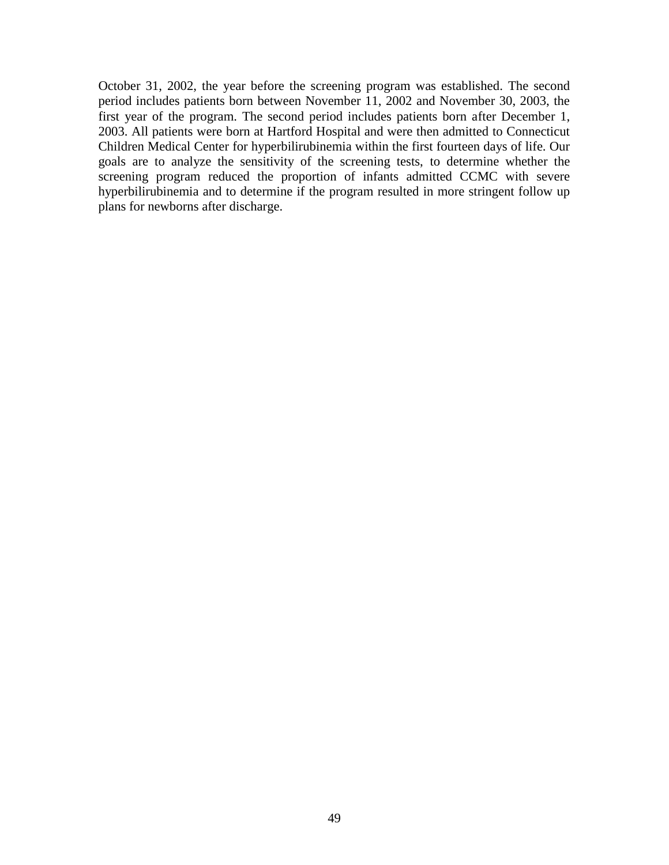October 31, 2002, the year before the screening program was established. The second period includes patients born between November 11, 2002 and November 30, 2003, the first year of the program. The second period includes patients born after December 1, 2003. All patients were born at Hartford Hospital and were then admitted to Connecticut Children Medical Center for hyperbilirubinemia within the first fourteen days of life. Our goals are to analyze the sensitivity of the screening tests, to determine whether the screening program reduced the proportion of infants admitted CCMC with severe hyperbilirubinemia and to determine if the program resulted in more stringent follow up plans for newborns after discharge.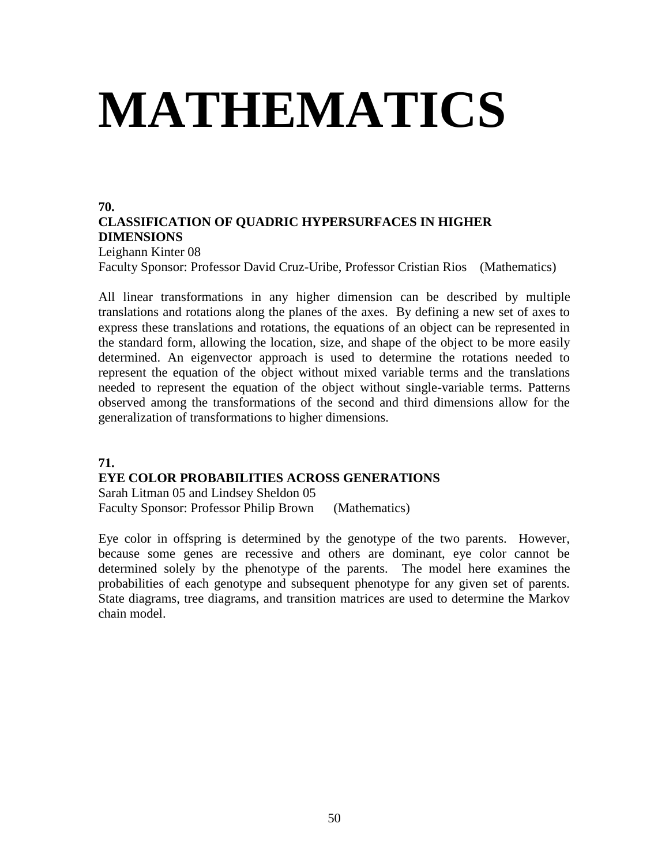# **MATHEMATICS**

# **70. CLASSIFICATION OF QUADRIC HYPERSURFACES IN HIGHER DIMENSIONS**

Leighann Kinter 08 Faculty Sponsor: Professor David Cruz-Uribe, Professor Cristian Rios (Mathematics)

All linear transformations in any higher dimension can be described by multiple translations and rotations along the planes of the axes. By defining a new set of axes to express these translations and rotations, the equations of an object can be represented in the standard form, allowing the location, size, and shape of the object to be more easily determined. An eigenvector approach is used to determine the rotations needed to represent the equation of the object without mixed variable terms and the translations needed to represent the equation of the object without single-variable terms. Patterns observed among the transformations of the second and third dimensions allow for the generalization of transformations to higher dimensions.

# **71.**

## **EYE COLOR PROBABILITIES ACROSS GENERATIONS**

Sarah Litman 05 and Lindsey Sheldon 05 Faculty Sponsor: Professor Philip Brown (Mathematics)

Eye color in offspring is determined by the genotype of the two parents. However, because some genes are recessive and others are dominant, eye color cannot be determined solely by the phenotype of the parents. The model here examines the probabilities of each genotype and subsequent phenotype for any given set of parents. State diagrams, tree diagrams, and transition matrices are used to determine the Markov chain model.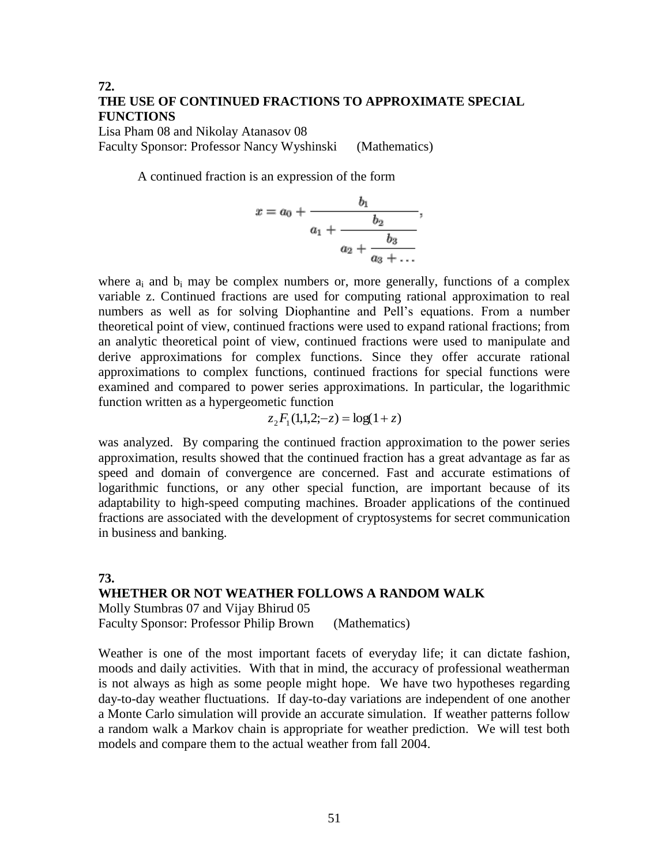# **72. THE USE OF CONTINUED FRACTIONS TO APPROXIMATE SPECIAL FUNCTIONS**

Lisa Pham 08 and Nikolay Atanasov 08 Faculty Sponsor: Professor Nancy Wyshinski (Mathematics)

A continued fraction is an expression of the form

$$
x = a_0 + \cfrac{b_1}{a_1 + \cfrac{b_2}{a_2 + \cfrac{b_3}{a_3 + \dots}}},
$$

where  $a_i$  and  $b_i$  may be complex numbers or, more generally, functions of a complex variable z. Continued fractions are used for computing rational approximation to real numbers as well as for solving Diophantine and Pell's equations. From a number theoretical point of view, continued fractions were used to expand rational fractions; from an analytic theoretical point of view, continued fractions were used to manipulate and derive approximations for complex functions. Since they offer accurate rational approximations to complex functions, continued fractions for special functions were examined and compared to power series approximations. In particular, the logarithmic function written as a hypergeometic function

$$
z_2 F_1(1,1,2;-z) = \log(1+z)
$$

was analyzed. By comparing the continued fraction approximation to the power series approximation, results showed that the continued fraction has a great advantage as far as speed and domain of convergence are concerned. Fast and accurate estimations of logarithmic functions, or any other special function, are important because of its adaptability to high-speed computing machines. Broader applications of the continued fractions are associated with the development of cryptosystems for secret communication in business and banking.

**73. WHETHER OR NOT WEATHER FOLLOWS A RANDOM WALK** Molly Stumbras 07 and Vijay Bhirud 05 Faculty Sponsor: Professor Philip Brown (Mathematics)

Weather is one of the most important facets of everyday life; it can dictate fashion, moods and daily activities. With that in mind, the accuracy of professional weatherman is not always as high as some people might hope. We have two hypotheses regarding day-to-day weather fluctuations. If day-to-day variations are independent of one another a Monte Carlo simulation will provide an accurate simulation. If weather patterns follow a random walk a Markov chain is appropriate for weather prediction. We will test both models and compare them to the actual weather from fall 2004.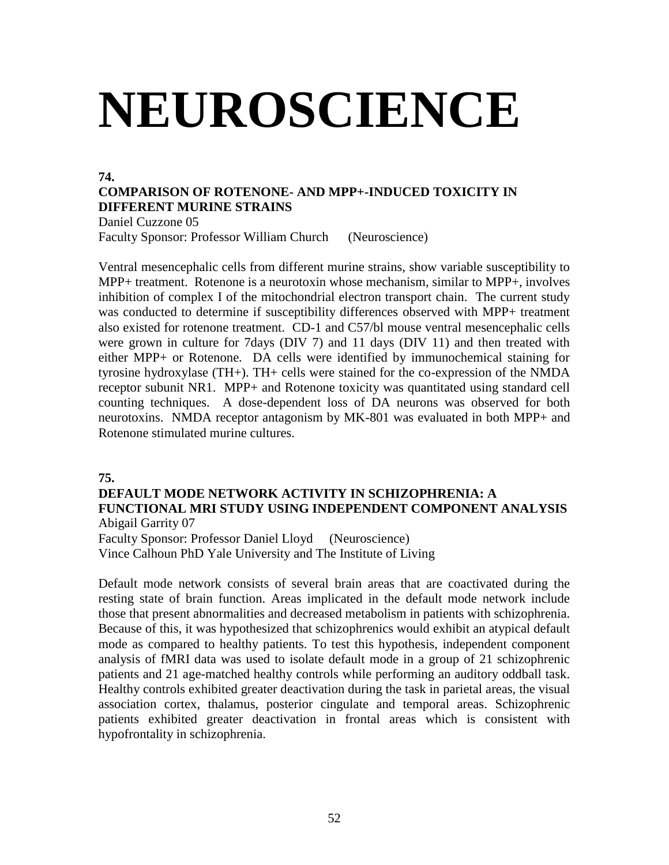# **NEUROSCIENCE**

**74.**

# **COMPARISON OF ROTENONE- AND MPP+-INDUCED TOXICITY IN DIFFERENT MURINE STRAINS**

Daniel Cuzzone 05

Faculty Sponsor: Professor William Church (Neuroscience)

Ventral mesencephalic cells from different murine strains, show variable susceptibility to MPP+ treatment. Rotenone is a neurotoxin whose mechanism, similar to MPP+, involves inhibition of complex I of the mitochondrial electron transport chain. The current study was conducted to determine if susceptibility differences observed with MPP+ treatment also existed for rotenone treatment. CD-1 and C57/bl mouse ventral mesencephalic cells were grown in culture for 7days (DIV 7) and 11 days (DIV 11) and then treated with either MPP+ or Rotenone. DA cells were identified by immunochemical staining for tyrosine hydroxylase (TH+). TH+ cells were stained for the co-expression of the NMDA receptor subunit NR1. MPP+ and Rotenone toxicity was quantitated using standard cell counting techniques. A dose-dependent loss of DA neurons was observed for both neurotoxins. NMDA receptor antagonism by MK-801 was evaluated in both MPP+ and Rotenone stimulated murine cultures.

#### **75.**

## **DEFAULT MODE NETWORK ACTIVITY IN SCHIZOPHRENIA: A FUNCTIONAL MRI STUDY USING INDEPENDENT COMPONENT ANALYSIS** Abigail Garrity 07

Faculty Sponsor: Professor Daniel Lloyd (Neuroscience) Vince Calhoun PhD Yale University and The Institute of Living

Default mode network consists of several brain areas that are coactivated during the resting state of brain function. Areas implicated in the default mode network include those that present abnormalities and decreased metabolism in patients with schizophrenia. Because of this, it was hypothesized that schizophrenics would exhibit an atypical default mode as compared to healthy patients. To test this hypothesis, independent component analysis of fMRI data was used to isolate default mode in a group of 21 schizophrenic patients and 21 age-matched healthy controls while performing an auditory oddball task. Healthy controls exhibited greater deactivation during the task in parietal areas, the visual association cortex, thalamus, posterior cingulate and temporal areas. Schizophrenic patients exhibited greater deactivation in frontal areas which is consistent with hypofrontality in schizophrenia.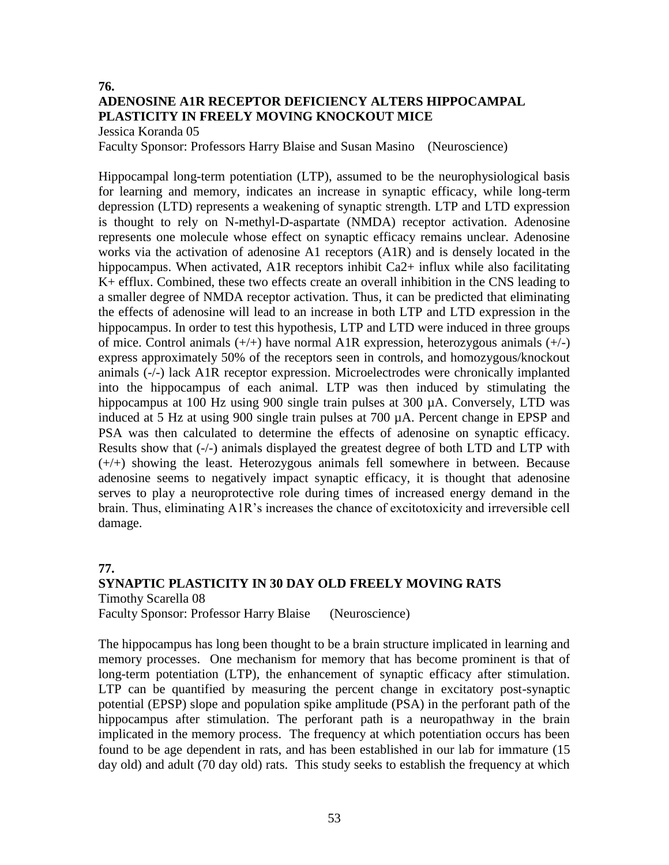# **76. ADENOSINE A1R RECEPTOR DEFICIENCY ALTERS HIPPOCAMPAL PLASTICITY IN FREELY MOVING KNOCKOUT MICE**

Jessica Koranda 05

Faculty Sponsor: Professors Harry Blaise and Susan Masino (Neuroscience)

Hippocampal long-term potentiation (LTP), assumed to be the neurophysiological basis for learning and memory, indicates an increase in synaptic efficacy, while long-term depression (LTD) represents a weakening of synaptic strength. LTP and LTD expression is thought to rely on N-methyl-D-aspartate (NMDA) receptor activation. Adenosine represents one molecule whose effect on synaptic efficacy remains unclear. Adenosine works via the activation of adenosine A1 receptors (A1R) and is densely located in the hippocampus. When activated, A1R receptors inhibit Ca2+ influx while also facilitating K+ efflux. Combined, these two effects create an overall inhibition in the CNS leading to a smaller degree of NMDA receptor activation. Thus, it can be predicted that eliminating the effects of adenosine will lead to an increase in both LTP and LTD expression in the hippocampus. In order to test this hypothesis, LTP and LTD were induced in three groups of mice. Control animals (+/+) have normal A1R expression, heterozygous animals (+/-) express approximately 50% of the receptors seen in controls, and homozygous/knockout animals (-/-) lack A1R receptor expression. Microelectrodes were chronically implanted into the hippocampus of each animal. LTP was then induced by stimulating the hippocampus at 100 Hz using 900 single train pulses at 300 µA. Conversely, LTD was induced at 5 Hz at using 900 single train pulses at 700 µA. Percent change in EPSP and PSA was then calculated to determine the effects of adenosine on synaptic efficacy. Results show that (-/-) animals displayed the greatest degree of both LTD and LTP with (+/+) showing the least. Heterozygous animals fell somewhere in between. Because adenosine seems to negatively impact synaptic efficacy, it is thought that adenosine serves to play a neuroprotective role during times of increased energy demand in the brain. Thus, eliminating A1R's increases the chance of excitotoxicity and irreversible cell damage.

# **77. SYNAPTIC PLASTICITY IN 30 DAY OLD FREELY MOVING RATS** Timothy Scarella 08

Faculty Sponsor: Professor Harry Blaise (Neuroscience)

The hippocampus has long been thought to be a brain structure implicated in learning and memory processes. One mechanism for memory that has become prominent is that of long-term potentiation (LTP), the enhancement of synaptic efficacy after stimulation. LTP can be quantified by measuring the percent change in excitatory post-synaptic potential (EPSP) slope and population spike amplitude (PSA) in the perforant path of the hippocampus after stimulation. The perforant path is a neuropathway in the brain implicated in the memory process. The frequency at which potentiation occurs has been found to be age dependent in rats, and has been established in our lab for immature (15 day old) and adult (70 day old) rats. This study seeks to establish the frequency at which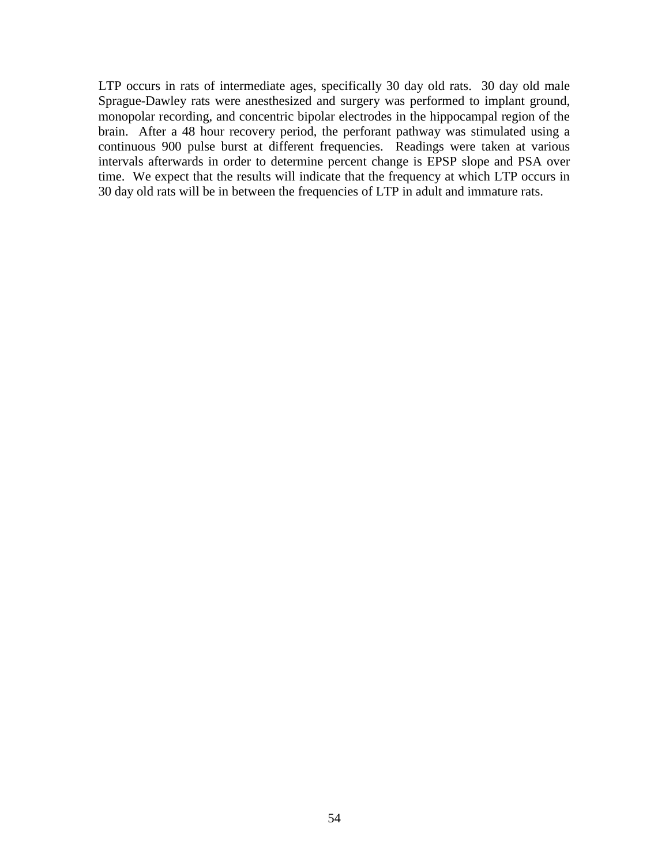LTP occurs in rats of intermediate ages, specifically 30 day old rats. 30 day old male Sprague-Dawley rats were anesthesized and surgery was performed to implant ground, monopolar recording, and concentric bipolar electrodes in the hippocampal region of the brain. After a 48 hour recovery period, the perforant pathway was stimulated using a continuous 900 pulse burst at different frequencies. Readings were taken at various intervals afterwards in order to determine percent change is EPSP slope and PSA over time. We expect that the results will indicate that the frequency at which LTP occurs in 30 day old rats will be in between the frequencies of LTP in adult and immature rats.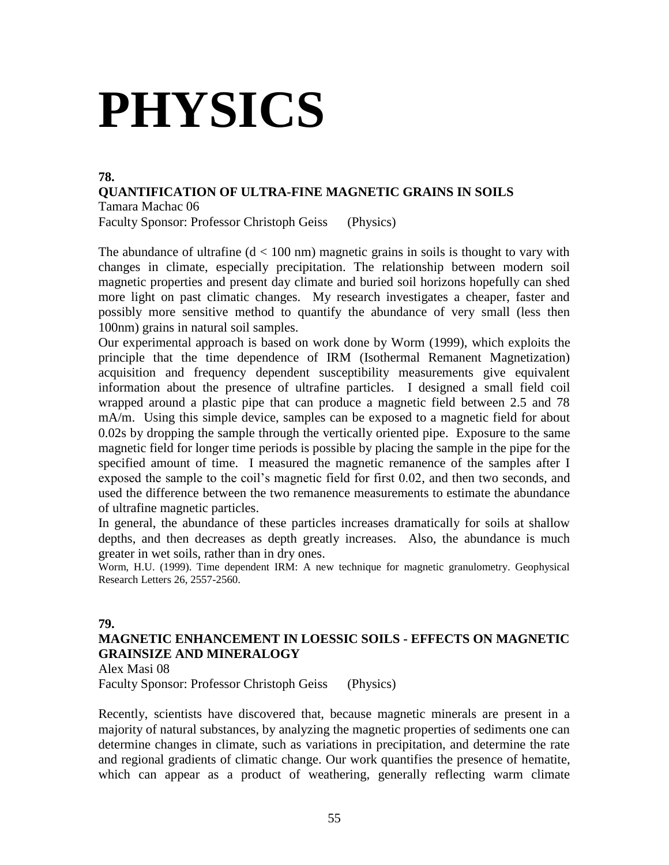# **PHYSICS**

# **78. QUANTIFICATION OF ULTRA-FINE MAGNETIC GRAINS IN SOILS**

Tamara Machac 06

Faculty Sponsor: Professor Christoph Geiss (Physics)

The abundance of ultrafine  $(d < 100 \text{ nm})$  magnetic grains in soils is thought to vary with changes in climate, especially precipitation. The relationship between modern soil magnetic properties and present day climate and buried soil horizons hopefully can shed more light on past climatic changes. My research investigates a cheaper, faster and possibly more sensitive method to quantify the abundance of very small (less then 100nm) grains in natural soil samples.

Our experimental approach is based on work done by Worm (1999), which exploits the principle that the time dependence of IRM (Isothermal Remanent Magnetization) acquisition and frequency dependent susceptibility measurements give equivalent information about the presence of ultrafine particles. I designed a small field coil wrapped around a plastic pipe that can produce a magnetic field between 2.5 and 78 mA/m. Using this simple device, samples can be exposed to a magnetic field for about 0.02s by dropping the sample through the vertically oriented pipe. Exposure to the same magnetic field for longer time periods is possible by placing the sample in the pipe for the specified amount of time. I measured the magnetic remanence of the samples after I exposed the sample to the coil's magnetic field for first 0.02, and then two seconds, and used the difference between the two remanence measurements to estimate the abundance of ultrafine magnetic particles.

In general, the abundance of these particles increases dramatically for soils at shallow depths, and then decreases as depth greatly increases. Also, the abundance is much greater in wet soils, rather than in dry ones.

Worm, H.U. (1999). Time dependent IRM: A new technique for magnetic granulometry. Geophysical Research Letters 26, 2557-2560.

#### **79.**

# **MAGNETIC ENHANCEMENT IN LOESSIC SOILS - EFFECTS ON MAGNETIC GRAINSIZE AND MINERALOGY**

Alex Masi 08

Faculty Sponsor: Professor Christoph Geiss (Physics)

Recently, scientists have discovered that, because magnetic minerals are present in a majority of natural substances, by analyzing the magnetic properties of sediments one can determine changes in climate, such as variations in precipitation, and determine the rate and regional gradients of climatic change. Our work quantifies the presence of hematite, which can appear as a product of weathering, generally reflecting warm climate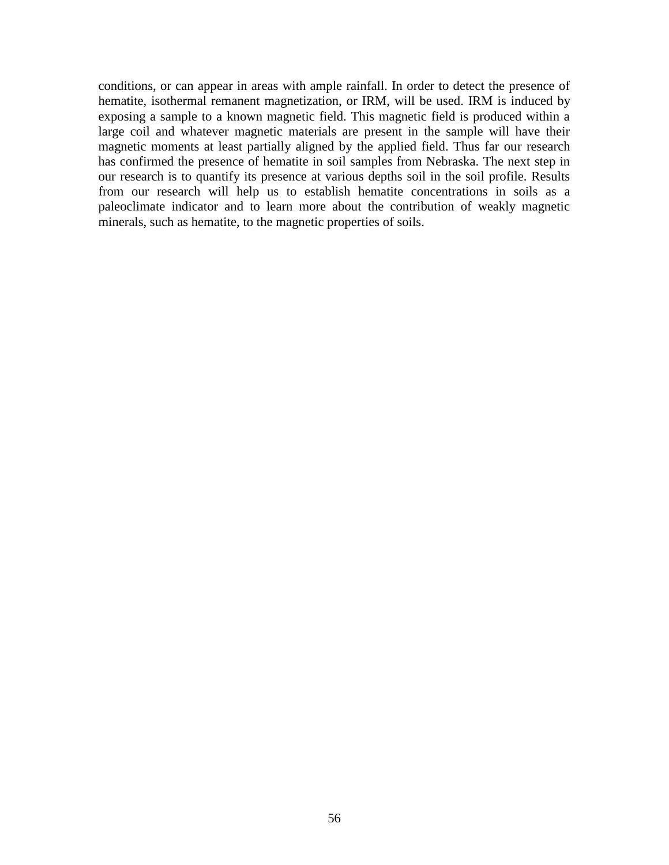conditions, or can appear in areas with ample rainfall. In order to detect the presence of hematite, isothermal remanent magnetization, or IRM, will be used. IRM is induced by exposing a sample to a known magnetic field. This magnetic field is produced within a large coil and whatever magnetic materials are present in the sample will have their magnetic moments at least partially aligned by the applied field. Thus far our research has confirmed the presence of hematite in soil samples from Nebraska. The next step in our research is to quantify its presence at various depths soil in the soil profile. Results from our research will help us to establish hematite concentrations in soils as a paleoclimate indicator and to learn more about the contribution of weakly magnetic minerals, such as hematite, to the magnetic properties of soils.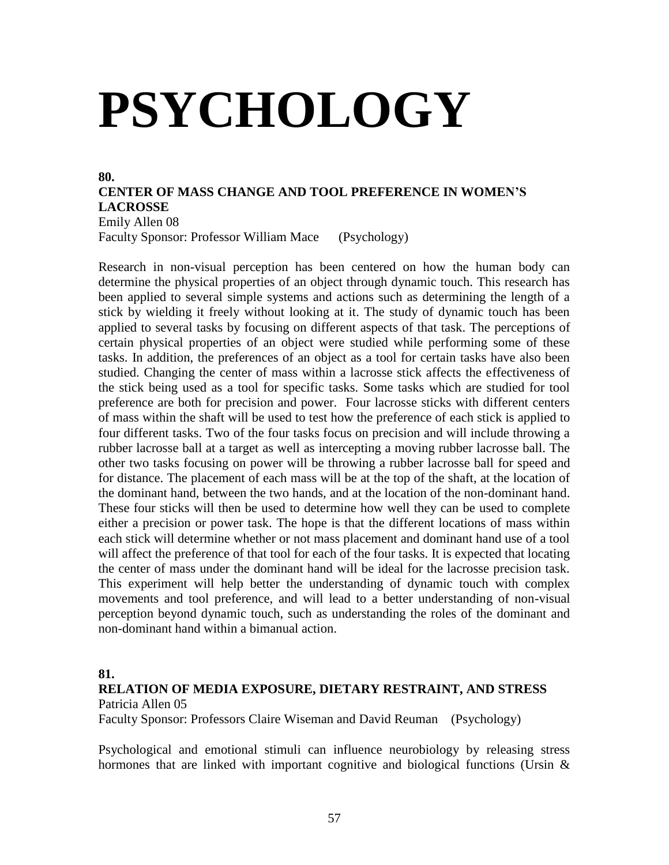# **PSYCHOLOGY**

**80.**

# **CENTER OF MASS CHANGE AND TOOL PREFERENCE IN WOMEN'S LACROSSE** Emily Allen 08

Faculty Sponsor: Professor William Mace (Psychology)

Research in non-visual perception has been centered on how the human body can determine the physical properties of an object through dynamic touch. This research has been applied to several simple systems and actions such as determining the length of a stick by wielding it freely without looking at it. The study of dynamic touch has been applied to several tasks by focusing on different aspects of that task. The perceptions of certain physical properties of an object were studied while performing some of these tasks. In addition, the preferences of an object as a tool for certain tasks have also been studied. Changing the center of mass within a lacrosse stick affects the effectiveness of the stick being used as a tool for specific tasks. Some tasks which are studied for tool preference are both for precision and power. Four lacrosse sticks with different centers of mass within the shaft will be used to test how the preference of each stick is applied to four different tasks. Two of the four tasks focus on precision and will include throwing a rubber lacrosse ball at a target as well as intercepting a moving rubber lacrosse ball. The other two tasks focusing on power will be throwing a rubber lacrosse ball for speed and for distance. The placement of each mass will be at the top of the shaft, at the location of the dominant hand, between the two hands, and at the location of the non-dominant hand. These four sticks will then be used to determine how well they can be used to complete either a precision or power task. The hope is that the different locations of mass within each stick will determine whether or not mass placement and dominant hand use of a tool will affect the preference of that tool for each of the four tasks. It is expected that locating the center of mass under the dominant hand will be ideal for the lacrosse precision task. This experiment will help better the understanding of dynamic touch with complex movements and tool preference, and will lead to a better understanding of non-visual perception beyond dynamic touch, such as understanding the roles of the dominant and non-dominant hand within a bimanual action.

#### **81.**

**RELATION OF MEDIA EXPOSURE, DIETARY RESTRAINT, AND STRESS** Patricia Allen 05

Faculty Sponsor: Professors Claire Wiseman and David Reuman (Psychology)

Psychological and emotional stimuli can influence neurobiology by releasing stress hormones that are linked with important cognitive and biological functions (Ursin &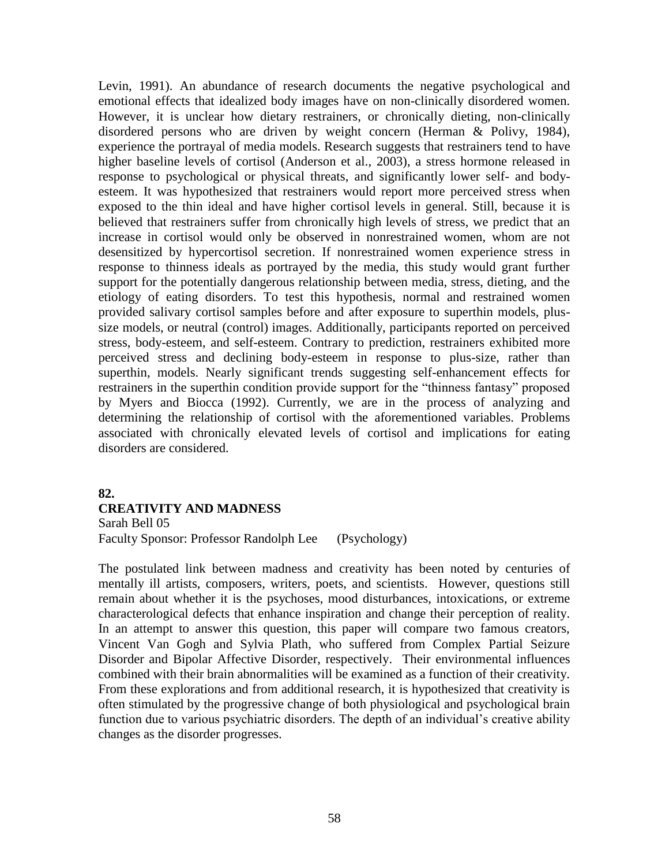Levin, 1991). An abundance of research documents the negative psychological and emotional effects that idealized body images have on non-clinically disordered women. However, it is unclear how dietary restrainers, or chronically dieting, non-clinically disordered persons who are driven by weight concern (Herman & Polivy, 1984), experience the portrayal of media models. Research suggests that restrainers tend to have higher baseline levels of cortisol (Anderson et al., 2003), a stress hormone released in response to psychological or physical threats, and significantly lower self- and bodyesteem. It was hypothesized that restrainers would report more perceived stress when exposed to the thin ideal and have higher cortisol levels in general. Still, because it is believed that restrainers suffer from chronically high levels of stress, we predict that an increase in cortisol would only be observed in nonrestrained women, whom are not desensitized by hypercortisol secretion. If nonrestrained women experience stress in response to thinness ideals as portrayed by the media, this study would grant further support for the potentially dangerous relationship between media, stress, dieting, and the etiology of eating disorders. To test this hypothesis, normal and restrained women provided salivary cortisol samples before and after exposure to superthin models, plussize models, or neutral (control) images. Additionally, participants reported on perceived stress, body-esteem, and self-esteem. Contrary to prediction, restrainers exhibited more perceived stress and declining body-esteem in response to plus-size, rather than superthin, models. Nearly significant trends suggesting self-enhancement effects for restrainers in the superthin condition provide support for the "thinness fantasy" proposed by Myers and Biocca (1992). Currently, we are in the process of analyzing and determining the relationship of cortisol with the aforementioned variables. Problems associated with chronically elevated levels of cortisol and implications for eating disorders are considered.

## **82. CREATIVITY AND MADNESS** Sarah Bell 05

Faculty Sponsor: Professor Randolph Lee (Psychology)

The postulated link between madness and creativity has been noted by centuries of mentally ill artists, composers, writers, poets, and scientists. However, questions still remain about whether it is the psychoses, mood disturbances, intoxications, or extreme characterological defects that enhance inspiration and change their perception of reality. In an attempt to answer this question, this paper will compare two famous creators, Vincent Van Gogh and Sylvia Plath, who suffered from Complex Partial Seizure Disorder and Bipolar Affective Disorder, respectively. Their environmental influences combined with their brain abnormalities will be examined as a function of their creativity. From these explorations and from additional research, it is hypothesized that creativity is often stimulated by the progressive change of both physiological and psychological brain function due to various psychiatric disorders. The depth of an individual's creative ability changes as the disorder progresses.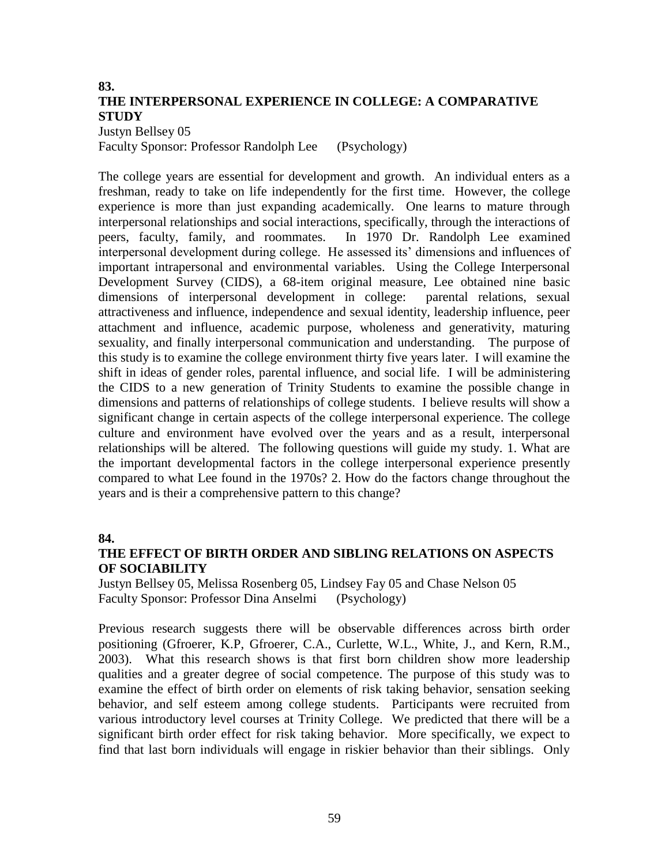# **83. THE INTERPERSONAL EXPERIENCE IN COLLEGE: A COMPARATIVE STUDY**

Justyn Bellsey 05 Faculty Sponsor: Professor Randolph Lee (Psychology)

The college years are essential for development and growth. An individual enters as a freshman, ready to take on life independently for the first time. However, the college experience is more than just expanding academically. One learns to mature through interpersonal relationships and social interactions, specifically, through the interactions of peers, faculty, family, and roommates. In 1970 Dr. Randolph Lee examined interpersonal development during college. He assessed its' dimensions and influences of important intrapersonal and environmental variables. Using the College Interpersonal Development Survey (CIDS), a 68-item original measure, Lee obtained nine basic dimensions of interpersonal development in college: parental relations, sexual attractiveness and influence, independence and sexual identity, leadership influence, peer attachment and influence, academic purpose, wholeness and generativity, maturing sexuality, and finally interpersonal communication and understanding. The purpose of this study is to examine the college environment thirty five years later. I will examine the shift in ideas of gender roles, parental influence, and social life. I will be administering the CIDS to a new generation of Trinity Students to examine the possible change in dimensions and patterns of relationships of college students. I believe results will show a significant change in certain aspects of the college interpersonal experience. The college culture and environment have evolved over the years and as a result, interpersonal relationships will be altered. The following questions will guide my study. 1. What are the important developmental factors in the college interpersonal experience presently compared to what Lee found in the 1970s? 2. How do the factors change throughout the years and is their a comprehensive pattern to this change?

#### **84.**

# **THE EFFECT OF BIRTH ORDER AND SIBLING RELATIONS ON ASPECTS OF SOCIABILITY**

Justyn Bellsey 05, Melissa Rosenberg 05, Lindsey Fay 05 and Chase Nelson 05 Faculty Sponsor: Professor Dina Anselmi (Psychology)

Previous research suggests there will be observable differences across birth order positioning (Gfroerer, K.P, Gfroerer, C.A., Curlette, W.L., White, J., and Kern, R.M., 2003). What this research shows is that first born children show more leadership qualities and a greater degree of social competence. The purpose of this study was to examine the effect of birth order on elements of risk taking behavior, sensation seeking behavior, and self esteem among college students. Participants were recruited from various introductory level courses at Trinity College. We predicted that there will be a significant birth order effect for risk taking behavior. More specifically, we expect to find that last born individuals will engage in riskier behavior than their siblings. Only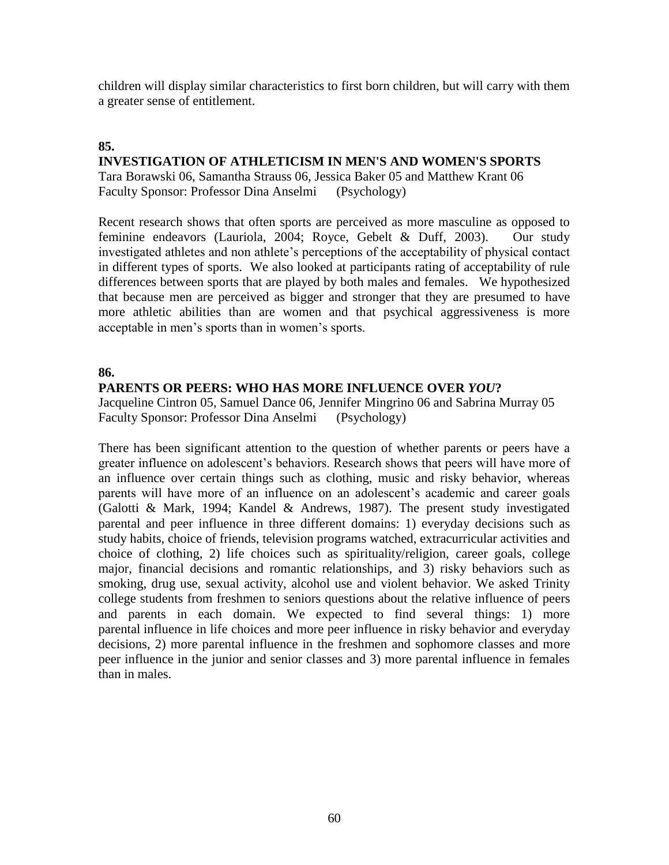children will display similar characteristics to first born children, but will carry with them a greater sense of entitlement.

# **85.**

# **INVESTIGATION OF ATHLETICISM IN MEN'S AND WOMEN'S SPORTS**

Tara Borawski 06, Samantha Strauss 06, Jessica Baker 05 and Matthew Krant 06 Faculty Sponsor: Professor Dina Anselmi (Psychology)

Recent research shows that often sports are perceived as more masculine as opposed to feminine endeavors (Lauriola, 2004; Royce, Gebelt & Duff, 2003). Our study investigated athletes and non athlete's perceptions of the acceptability of physical contact in different types of sports. We also looked at participants rating of acceptability of rule differences between sports that are played by both males and females. We hypothesized that because men are perceived as bigger and stronger that they are presumed to have more athletic abilities than are women and that psychical aggressiveness is more acceptable in men's sports than in women's sports.

## **86.**

# **PARENTS OR PEERS: WHO HAS MORE INFLUENCE OVER** *YOU***?**

Jacqueline Cintron 05, Samuel Dance 06, Jennifer Mingrino 06 and Sabrina Murray 05 Faculty Sponsor: Professor Dina Anselmi (Psychology)

There has been significant attention to the question of whether parents or peers have a greater influence on adolescent's behaviors. Research shows that peers will have more of an influence over certain things such as clothing, music and risky behavior, whereas parents will have more of an influence on an adolescent's academic and career goals (Galotti & Mark, 1994; Kandel & Andrews, 1987). The present study investigated parental and peer influence in three different domains: 1) everyday decisions such as study habits, choice of friends, television programs watched, extracurricular activities and choice of clothing, 2) life choices such as spirituality/religion, career goals, college major, financial decisions and romantic relationships, and 3) risky behaviors such as smoking, drug use, sexual activity, alcohol use and violent behavior. We asked Trinity college students from freshmen to seniors questions about the relative influence of peers and parents in each domain. We expected to find several things: 1) more parental influence in life choices and more peer influence in risky behavior and everyday decisions, 2) more parental influence in the freshmen and sophomore classes and more peer influence in the junior and senior classes and 3) more parental influence in females than in males.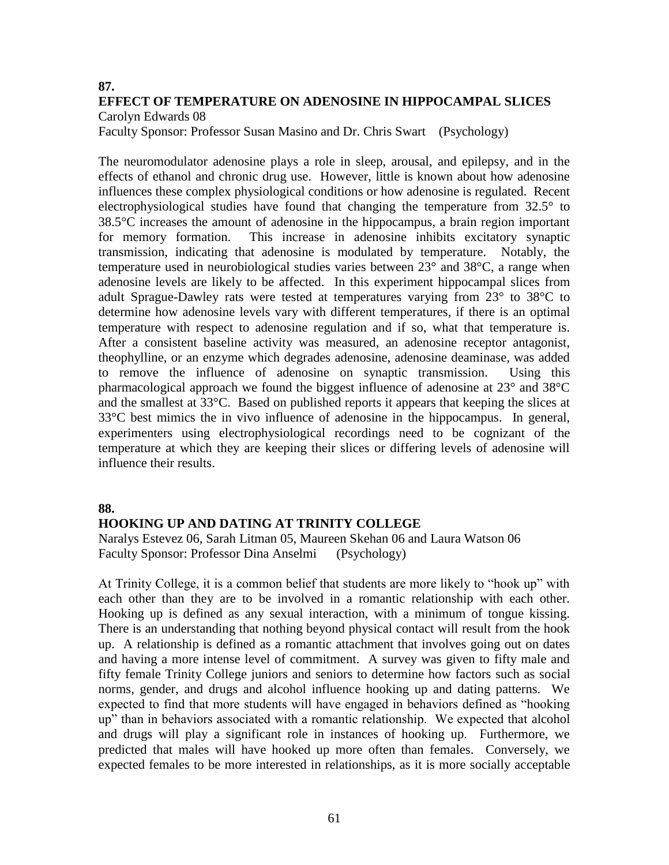#### **87. EFFECT OF TEMPERATURE ON ADENOSINE IN HIPPOCAMPAL SLICES** Carolyn Edwards 08

Faculty Sponsor: Professor Susan Masino and Dr. Chris Swart (Psychology)

The neuromodulator adenosine plays a role in sleep, arousal, and epilepsy, and in the effects of ethanol and chronic drug use. However, little is known about how adenosine influences these complex physiological conditions or how adenosine is regulated. Recent electrophysiological studies have found that changing the temperature from 32.5° to 38.5°C increases the amount of adenosine in the hippocampus, a brain region important for memory formation. This increase in adenosine inhibits excitatory synaptic transmission, indicating that adenosine is modulated by temperature. Notably, the temperature used in neurobiological studies varies between 23° and 38°C, a range when adenosine levels are likely to be affected. In this experiment hippocampal slices from adult Sprague-Dawley rats were tested at temperatures varying from 23° to 38°C to determine how adenosine levels vary with different temperatures, if there is an optimal temperature with respect to adenosine regulation and if so, what that temperature is. After a consistent baseline activity was measured, an adenosine receptor antagonist, theophylline, or an enzyme which degrades adenosine, adenosine deaminase, was added to remove the influence of adenosine on synaptic transmission. Using this pharmacological approach we found the biggest influence of adenosine at 23° and 38°C and the smallest at 33°C. Based on published reports it appears that keeping the slices at 33°C best mimics the in vivo influence of adenosine in the hippocampus. In general, experimenters using electrophysiological recordings need to be cognizant of the temperature at which they are keeping their slices or differing levels of adenosine will influence their results.

## **88.**

# **HOOKING UP AND DATING AT TRINITY COLLEGE**

Naralys Estevez 06, Sarah Litman 05, Maureen Skehan 06 and Laura Watson 06 Faculty Sponsor: Professor Dina Anselmi (Psychology)

At Trinity College, it is a common belief that students are more likely to "hook up" with each other than they are to be involved in a romantic relationship with each other. Hooking up is defined as any sexual interaction, with a minimum of tongue kissing. There is an understanding that nothing beyond physical contact will result from the hook up. A relationship is defined as a romantic attachment that involves going out on dates and having a more intense level of commitment. A survey was given to fifty male and fifty female Trinity College juniors and seniors to determine how factors such as social norms, gender, and drugs and alcohol influence hooking up and dating patterns. We expected to find that more students will have engaged in behaviors defined as "hooking up" than in behaviors associated with a romantic relationship. We expected that alcohol and drugs will play a significant role in instances of hooking up. Furthermore, we predicted that males will have hooked up more often than females. Conversely, we expected females to be more interested in relationships, as it is more socially acceptable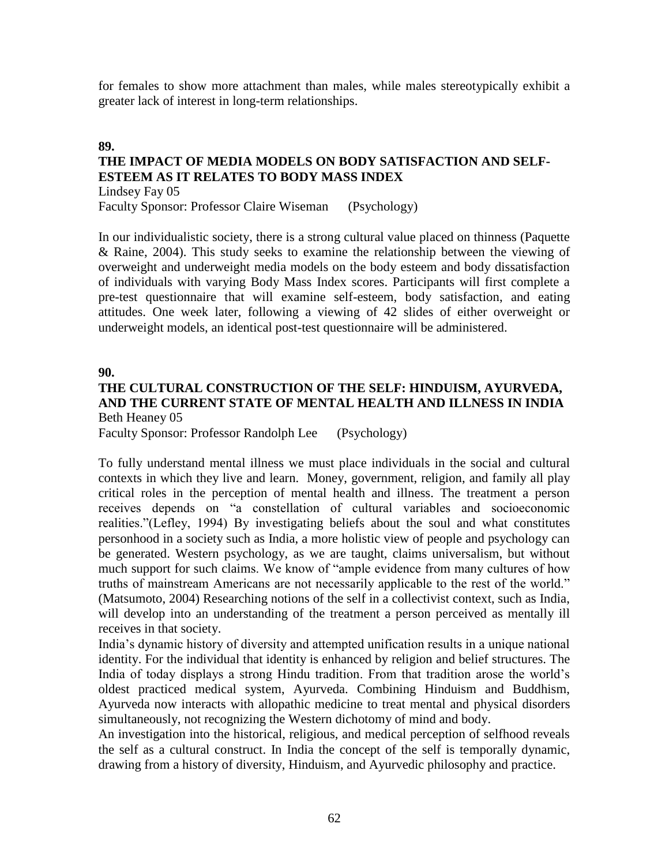for females to show more attachment than males, while males stereotypically exhibit a greater lack of interest in long-term relationships.

#### **89.**

# **THE IMPACT OF MEDIA MODELS ON BODY SATISFACTION AND SELF-ESTEEM AS IT RELATES TO BODY MASS INDEX**

Lindsey Fay 05 Faculty Sponsor: Professor Claire Wiseman (Psychology)

In our individualistic society, there is a strong cultural value placed on thinness (Paquette & Raine, 2004). This study seeks to examine the relationship between the viewing of overweight and underweight media models on the body esteem and body dissatisfaction of individuals with varying Body Mass Index scores. Participants will first complete a pre-test questionnaire that will examine self-esteem, body satisfaction, and eating attitudes. One week later, following a viewing of 42 slides of either overweight or underweight models, an identical post-test questionnaire will be administered.

#### **90.**

# **THE CULTURAL CONSTRUCTION OF THE SELF: HINDUISM, AYURVEDA, AND THE CURRENT STATE OF MENTAL HEALTH AND ILLNESS IN INDIA** Beth Heaney 05

Faculty Sponsor: Professor Randolph Lee (Psychology)

To fully understand mental illness we must place individuals in the social and cultural contexts in which they live and learn. Money, government, religion, and family all play critical roles in the perception of mental health and illness. The treatment a person receives depends on "a constellation of cultural variables and socioeconomic realities."(Lefley, 1994) By investigating beliefs about the soul and what constitutes personhood in a society such as India, a more holistic view of people and psychology can be generated. Western psychology, as we are taught, claims universalism, but without much support for such claims. We know of "ample evidence from many cultures of how truths of mainstream Americans are not necessarily applicable to the rest of the world." (Matsumoto, 2004) Researching notions of the self in a collectivist context, such as India, will develop into an understanding of the treatment a person perceived as mentally ill receives in that society.

India's dynamic history of diversity and attempted unification results in a unique national identity. For the individual that identity is enhanced by religion and belief structures. The India of today displays a strong Hindu tradition. From that tradition arose the world's oldest practiced medical system, Ayurveda. Combining Hinduism and Buddhism, Ayurveda now interacts with allopathic medicine to treat mental and physical disorders simultaneously, not recognizing the Western dichotomy of mind and body.

An investigation into the historical, religious, and medical perception of selfhood reveals the self as a cultural construct. In India the concept of the self is temporally dynamic, drawing from a history of diversity, Hinduism, and Ayurvedic philosophy and practice.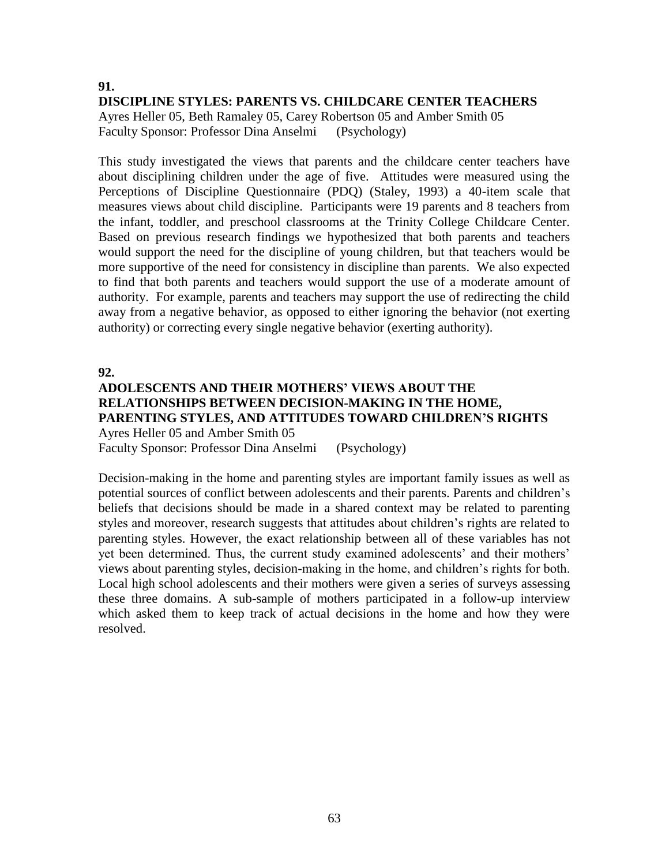# **91. DISCIPLINE STYLES: PARENTS VS. CHILDCARE CENTER TEACHERS** Ayres Heller 05, Beth Ramaley 05, Carey Robertson 05 and Amber Smith 05

Faculty Sponsor: Professor Dina Anselmi (Psychology)

This study investigated the views that parents and the childcare center teachers have about disciplining children under the age of five. Attitudes were measured using the Perceptions of Discipline Questionnaire (PDQ) (Staley, 1993) a 40-item scale that measures views about child discipline. Participants were 19 parents and 8 teachers from the infant, toddler, and preschool classrooms at the Trinity College Childcare Center. Based on previous research findings we hypothesized that both parents and teachers would support the need for the discipline of young children, but that teachers would be more supportive of the need for consistency in discipline than parents. We also expected to find that both parents and teachers would support the use of a moderate amount of authority. For example, parents and teachers may support the use of redirecting the child away from a negative behavior, as opposed to either ignoring the behavior (not exerting authority) or correcting every single negative behavior (exerting authority).

**92.**

# **ADOLESCENTS AND THEIR MOTHERS' VIEWS ABOUT THE RELATIONSHIPS BETWEEN DECISION-MAKING IN THE HOME, PARENTING STYLES, AND ATTITUDES TOWARD CHILDREN'S RIGHTS** Ayres Heller 05 and Amber Smith 05 Faculty Sponsor: Professor Dina Anselmi (Psychology)

Decision-making in the home and parenting styles are important family issues as well as potential sources of conflict between adolescents and their parents. Parents and children's beliefs that decisions should be made in a shared context may be related to parenting styles and moreover, research suggests that attitudes about children's rights are related to parenting styles. However, the exact relationship between all of these variables has not yet been determined. Thus, the current study examined adolescents' and their mothers' views about parenting styles, decision-making in the home, and children's rights for both. Local high school adolescents and their mothers were given a series of surveys assessing these three domains. A sub-sample of mothers participated in a follow-up interview which asked them to keep track of actual decisions in the home and how they were resolved.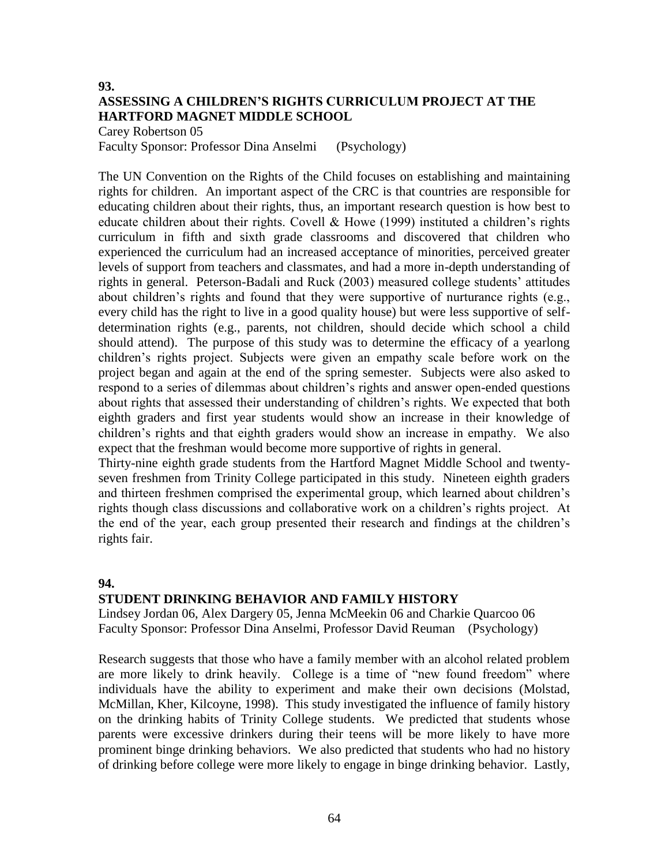# **93. ASSESSING A CHILDREN'S RIGHTS CURRICULUM PROJECT AT THE HARTFORD MAGNET MIDDLE SCHOOL**

Carey Robertson 05 Faculty Sponsor: Professor Dina Anselmi (Psychology)

The UN Convention on the Rights of the Child focuses on establishing and maintaining rights for children. An important aspect of the CRC is that countries are responsible for educating children about their rights, thus, an important research question is how best to educate children about their rights. Covell & Howe (1999) instituted a children's rights curriculum in fifth and sixth grade classrooms and discovered that children who experienced the curriculum had an increased acceptance of minorities, perceived greater levels of support from teachers and classmates, and had a more in-depth understanding of rights in general. Peterson-Badali and Ruck (2003) measured college students' attitudes about children's rights and found that they were supportive of nurturance rights (e.g., every child has the right to live in a good quality house) but were less supportive of selfdetermination rights (e.g., parents, not children, should decide which school a child should attend). The purpose of this study was to determine the efficacy of a yearlong children's rights project. Subjects were given an empathy scale before work on the project began and again at the end of the spring semester. Subjects were also asked to respond to a series of dilemmas about children's rights and answer open-ended questions about rights that assessed their understanding of children's rights. We expected that both eighth graders and first year students would show an increase in their knowledge of children's rights and that eighth graders would show an increase in empathy. We also expect that the freshman would become more supportive of rights in general.

Thirty-nine eighth grade students from the Hartford Magnet Middle School and twentyseven freshmen from Trinity College participated in this study. Nineteen eighth graders and thirteen freshmen comprised the experimental group, which learned about children's rights though class discussions and collaborative work on a children's rights project. At the end of the year, each group presented their research and findings at the children's rights fair.

**94.**

# **STUDENT DRINKING BEHAVIOR AND FAMILY HISTORY**

Lindsey Jordan 06, Alex Dargery 05, Jenna McMeekin 06 and Charkie Quarcoo 06 Faculty Sponsor: Professor Dina Anselmi, Professor David Reuman (Psychology)

Research suggests that those who have a family member with an alcohol related problem are more likely to drink heavily. College is a time of "new found freedom" where individuals have the ability to experiment and make their own decisions (Molstad, McMillan, Kher, Kilcoyne, 1998). This study investigated the influence of family history on the drinking habits of Trinity College students. We predicted that students whose parents were excessive drinkers during their teens will be more likely to have more prominent binge drinking behaviors. We also predicted that students who had no history of drinking before college were more likely to engage in binge drinking behavior. Lastly,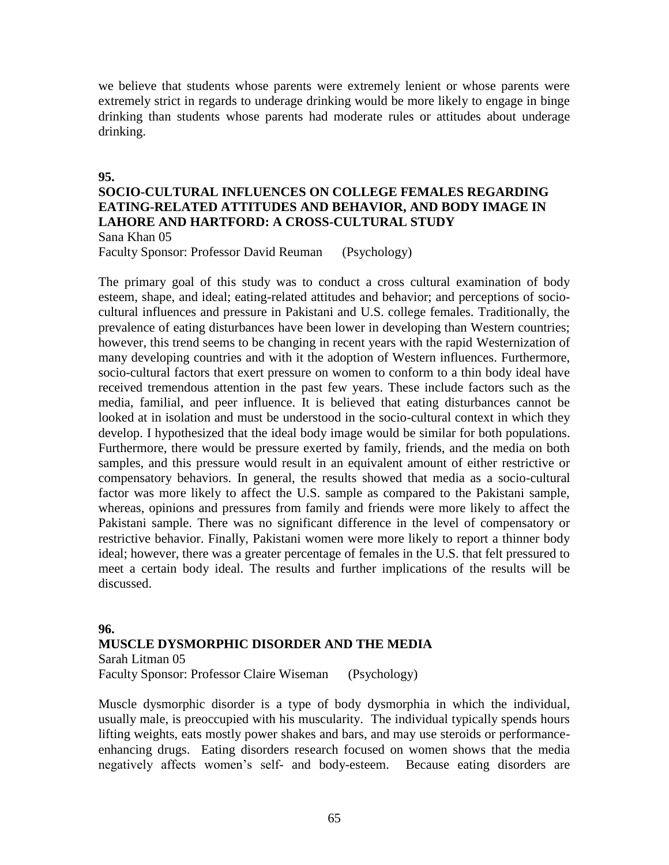we believe that students whose parents were extremely lenient or whose parents were extremely strict in regards to underage drinking would be more likely to engage in binge drinking than students whose parents had moderate rules or attitudes about underage drinking.

## **95.**

#### **SOCIO-CULTURAL INFLUENCES ON COLLEGE FEMALES REGARDING EATING-RELATED ATTITUDES AND BEHAVIOR, AND BODY IMAGE IN LAHORE AND HARTFORD: A CROSS-CULTURAL STUDY** Sana Khan 05

Faculty Sponsor: Professor David Reuman (Psychology)

The primary goal of this study was to conduct a cross cultural examination of body esteem, shape, and ideal; eating-related attitudes and behavior; and perceptions of sociocultural influences and pressure in Pakistani and U.S. college females. Traditionally, the prevalence of eating disturbances have been lower in developing than Western countries; however, this trend seems to be changing in recent years with the rapid Westernization of many developing countries and with it the adoption of Western influences. Furthermore, socio-cultural factors that exert pressure on women to conform to a thin body ideal have received tremendous attention in the past few years. These include factors such as the media, familial, and peer influence. It is believed that eating disturbances cannot be looked at in isolation and must be understood in the socio-cultural context in which they develop. I hypothesized that the ideal body image would be similar for both populations. Furthermore, there would be pressure exerted by family, friends, and the media on both samples, and this pressure would result in an equivalent amount of either restrictive or compensatory behaviors. In general, the results showed that media as a socio-cultural factor was more likely to affect the U.S. sample as compared to the Pakistani sample, whereas, opinions and pressures from family and friends were more likely to affect the Pakistani sample. There was no significant difference in the level of compensatory or restrictive behavior. Finally, Pakistani women were more likely to report a thinner body ideal; however, there was a greater percentage of females in the U.S. that felt pressured to meet a certain body ideal. The results and further implications of the results will be discussed.

## **96.**

# **MUSCLE DYSMORPHIC DISORDER AND THE MEDIA** Sarah Litman 05

Faculty Sponsor: Professor Claire Wiseman (Psychology)

Muscle dysmorphic disorder is a type of body dysmorphia in which the individual, usually male, is preoccupied with his muscularity. The individual typically spends hours lifting weights, eats mostly power shakes and bars, and may use steroids or performanceenhancing drugs. Eating disorders research focused on women shows that the media negatively affects women's self- and body-esteem. Because eating disorders are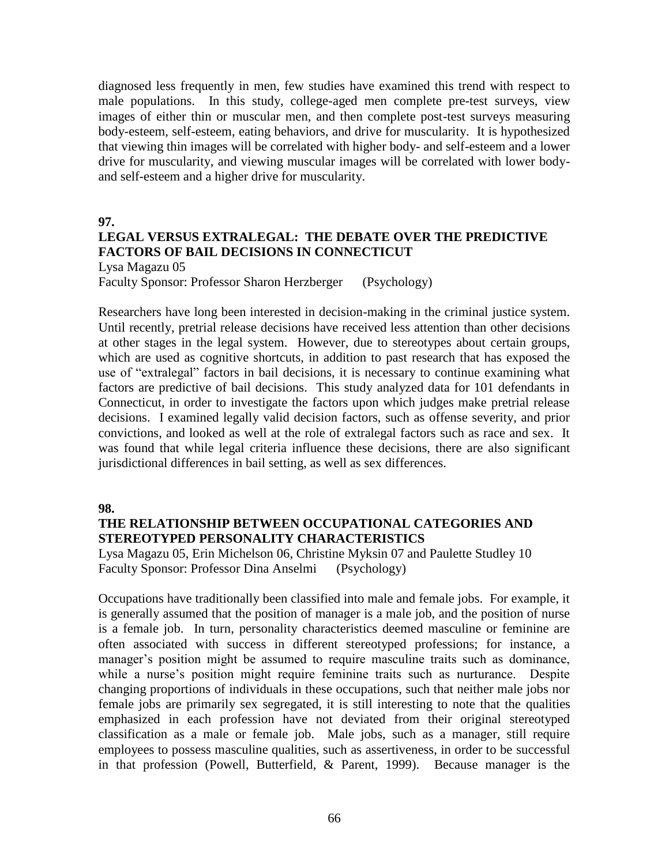diagnosed less frequently in men, few studies have examined this trend with respect to male populations. In this study, college-aged men complete pre-test surveys, view images of either thin or muscular men, and then complete post-test surveys measuring body-esteem, self-esteem, eating behaviors, and drive for muscularity. It is hypothesized that viewing thin images will be correlated with higher body- and self-esteem and a lower drive for muscularity, and viewing muscular images will be correlated with lower bodyand self-esteem and a higher drive for muscularity.

**97.**

# **LEGAL VERSUS EXTRALEGAL: THE DEBATE OVER THE PREDICTIVE FACTORS OF BAIL DECISIONS IN CONNECTICUT**

Lysa Magazu 05

Faculty Sponsor: Professor Sharon Herzberger (Psychology)

Researchers have long been interested in decision-making in the criminal justice system. Until recently, pretrial release decisions have received less attention than other decisions at other stages in the legal system. However, due to stereotypes about certain groups, which are used as cognitive shortcuts, in addition to past research that has exposed the use of "extralegal" factors in bail decisions, it is necessary to continue examining what factors are predictive of bail decisions. This study analyzed data for 101 defendants in Connecticut, in order to investigate the factors upon which judges make pretrial release decisions. I examined legally valid decision factors, such as offense severity, and prior convictions, and looked as well at the role of extralegal factors such as race and sex. It was found that while legal criteria influence these decisions, there are also significant jurisdictional differences in bail setting, as well as sex differences.

**98.**

# **THE RELATIONSHIP BETWEEN OCCUPATIONAL CATEGORIES AND STEREOTYPED PERSONALITY CHARACTERISTICS**

Lysa Magazu 05, Erin Michelson 06, Christine Myksin 07 and Paulette Studley 10 Faculty Sponsor: Professor Dina Anselmi (Psychology)

Occupations have traditionally been classified into male and female jobs. For example, it is generally assumed that the position of manager is a male job, and the position of nurse is a female job. In turn, personality characteristics deemed masculine or feminine are often associated with success in different stereotyped professions; for instance, a manager's position might be assumed to require masculine traits such as dominance, while a nurse's position might require feminine traits such as nurturance. Despite changing proportions of individuals in these occupations, such that neither male jobs nor female jobs are primarily sex segregated, it is still interesting to note that the qualities emphasized in each profession have not deviated from their original stereotyped classification as a male or female job. Male jobs, such as a manager, still require employees to possess masculine qualities, such as assertiveness, in order to be successful in that profession (Powell, Butterfield, & Parent, 1999). Because manager is the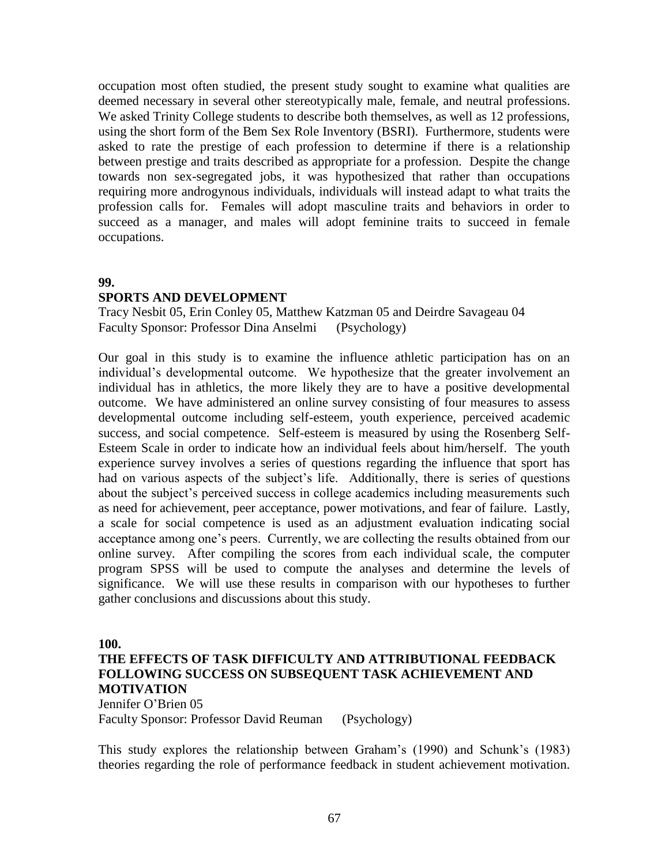occupation most often studied, the present study sought to examine what qualities are deemed necessary in several other stereotypically male, female, and neutral professions. We asked Trinity College students to describe both themselves, as well as 12 professions, using the short form of the Bem Sex Role Inventory (BSRI). Furthermore, students were asked to rate the prestige of each profession to determine if there is a relationship between prestige and traits described as appropriate for a profession. Despite the change towards non sex-segregated jobs, it was hypothesized that rather than occupations requiring more androgynous individuals, individuals will instead adapt to what traits the profession calls for. Females will adopt masculine traits and behaviors in order to succeed as a manager, and males will adopt feminine traits to succeed in female occupations.

## **99.**

# **SPORTS AND DEVELOPMENT**

Tracy Nesbit 05, Erin Conley 05, Matthew Katzman 05 and Deirdre Savageau 04 Faculty Sponsor: Professor Dina Anselmi (Psychology)

Our goal in this study is to examine the influence athletic participation has on an individual's developmental outcome. We hypothesize that the greater involvement an individual has in athletics, the more likely they are to have a positive developmental outcome. We have administered an online survey consisting of four measures to assess developmental outcome including self-esteem, youth experience, perceived academic success, and social competence. Self-esteem is measured by using the Rosenberg Self-Esteem Scale in order to indicate how an individual feels about him/herself. The youth experience survey involves a series of questions regarding the influence that sport has had on various aspects of the subject's life. Additionally, there is series of questions about the subject's perceived success in college academics including measurements such as need for achievement, peer acceptance, power motivations, and fear of failure. Lastly, a scale for social competence is used as an adjustment evaluation indicating social acceptance among one's peers. Currently, we are collecting the results obtained from our online survey. After compiling the scores from each individual scale, the computer program SPSS will be used to compute the analyses and determine the levels of significance. We will use these results in comparison with our hypotheses to further gather conclusions and discussions about this study.

#### **100.**

# **THE EFFECTS OF TASK DIFFICULTY AND ATTRIBUTIONAL FEEDBACK FOLLOWING SUCCESS ON SUBSEQUENT TASK ACHIEVEMENT AND MOTIVATION**

Jennifer O'Brien 05 Faculty Sponsor: Professor David Reuman (Psychology)

This study explores the relationship between Graham's (1990) and Schunk's (1983) theories regarding the role of performance feedback in student achievement motivation.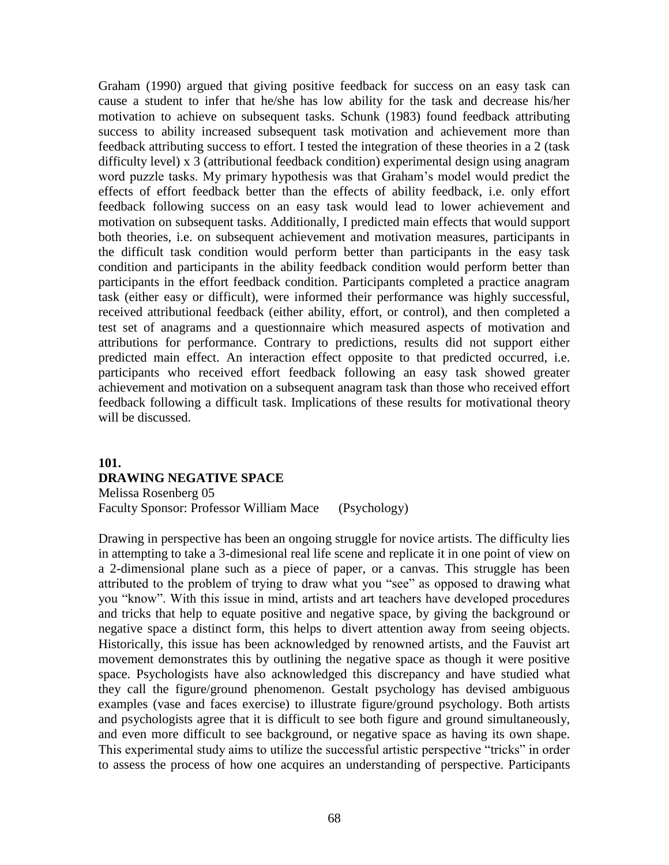Graham (1990) argued that giving positive feedback for success on an easy task can cause a student to infer that he/she has low ability for the task and decrease his/her motivation to achieve on subsequent tasks. Schunk (1983) found feedback attributing success to ability increased subsequent task motivation and achievement more than feedback attributing success to effort. I tested the integration of these theories in a 2 (task difficulty level) x 3 (attributional feedback condition) experimental design using anagram word puzzle tasks. My primary hypothesis was that Graham's model would predict the effects of effort feedback better than the effects of ability feedback, i.e. only effort feedback following success on an easy task would lead to lower achievement and motivation on subsequent tasks. Additionally, I predicted main effects that would support both theories, i.e. on subsequent achievement and motivation measures, participants in the difficult task condition would perform better than participants in the easy task condition and participants in the ability feedback condition would perform better than participants in the effort feedback condition. Participants completed a practice anagram task (either easy or difficult), were informed their performance was highly successful, received attributional feedback (either ability, effort, or control), and then completed a test set of anagrams and a questionnaire which measured aspects of motivation and attributions for performance. Contrary to predictions, results did not support either predicted main effect. An interaction effect opposite to that predicted occurred, i.e. participants who received effort feedback following an easy task showed greater achievement and motivation on a subsequent anagram task than those who received effort feedback following a difficult task. Implications of these results for motivational theory will be discussed.

**101. DRAWING NEGATIVE SPACE** Melissa Rosenberg 05 Faculty Sponsor: Professor William Mace (Psychology)

Drawing in perspective has been an ongoing struggle for novice artists. The difficulty lies in attempting to take a 3-dimesional real life scene and replicate it in one point of view on a 2-dimensional plane such as a piece of paper, or a canvas. This struggle has been attributed to the problem of trying to draw what you "see" as opposed to drawing what you "know". With this issue in mind, artists and art teachers have developed procedures and tricks that help to equate positive and negative space, by giving the background or negative space a distinct form, this helps to divert attention away from seeing objects. Historically, this issue has been acknowledged by renowned artists, and the Fauvist art movement demonstrates this by outlining the negative space as though it were positive space. Psychologists have also acknowledged this discrepancy and have studied what they call the figure/ground phenomenon. Gestalt psychology has devised ambiguous examples (vase and faces exercise) to illustrate figure/ground psychology. Both artists and psychologists agree that it is difficult to see both figure and ground simultaneously, and even more difficult to see background, or negative space as having its own shape. This experimental study aims to utilize the successful artistic perspective "tricks" in order to assess the process of how one acquires an understanding of perspective. Participants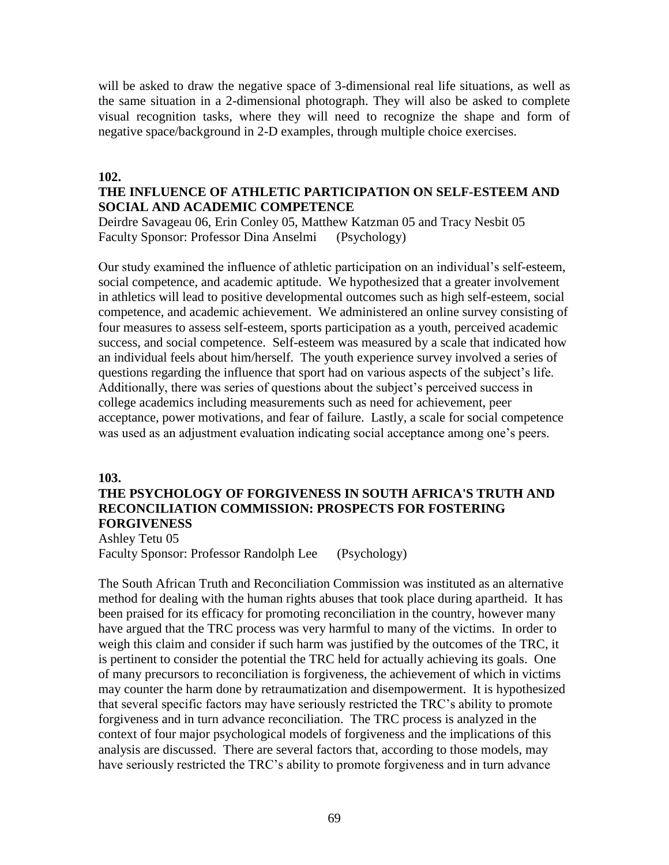will be asked to draw the negative space of 3-dimensional real life situations, as well as the same situation in a 2-dimensional photograph. They will also be asked to complete visual recognition tasks, where they will need to recognize the shape and form of negative space/background in 2-D examples, through multiple choice exercises.

# **102.**

# **THE INFLUENCE OF ATHLETIC PARTICIPATION ON SELF-ESTEEM AND SOCIAL AND ACADEMIC COMPETENCE**

Deirdre Savageau 06, Erin Conley 05, Matthew Katzman 05 and Tracy Nesbit 05 Faculty Sponsor: Professor Dina Anselmi (Psychology)

Our study examined the influence of athletic participation on an individual's self-esteem, social competence, and academic aptitude. We hypothesized that a greater involvement in athletics will lead to positive developmental outcomes such as high self-esteem, social competence, and academic achievement. We administered an online survey consisting of four measures to assess self-esteem, sports participation as a youth, perceived academic success, and social competence. Self-esteem was measured by a scale that indicated how an individual feels about him/herself. The youth experience survey involved a series of questions regarding the influence that sport had on various aspects of the subject's life. Additionally, there was series of questions about the subject's perceived success in college academics including measurements such as need for achievement, peer acceptance, power motivations, and fear of failure. Lastly, a scale for social competence was used as an adjustment evaluation indicating social acceptance among one's peers.

#### **103.**

# **THE PSYCHOLOGY OF FORGIVENESS IN SOUTH AFRICA'S TRUTH AND RECONCILIATION COMMISSION: PROSPECTS FOR FOSTERING FORGIVENESS**

Ashley Tetu 05 Faculty Sponsor: Professor Randolph Lee (Psychology)

The South African Truth and Reconciliation Commission was instituted as an alternative method for dealing with the human rights abuses that took place during apartheid. It has been praised for its efficacy for promoting reconciliation in the country, however many have argued that the TRC process was very harmful to many of the victims. In order to weigh this claim and consider if such harm was justified by the outcomes of the TRC, it is pertinent to consider the potential the TRC held for actually achieving its goals. One of many precursors to reconciliation is forgiveness, the achievement of which in victims may counter the harm done by retraumatization and disempowerment. It is hypothesized that several specific factors may have seriously restricted the TRC's ability to promote forgiveness and in turn advance reconciliation. The TRC process is analyzed in the context of four major psychological models of forgiveness and the implications of this analysis are discussed. There are several factors that, according to those models, may have seriously restricted the TRC's ability to promote forgiveness and in turn advance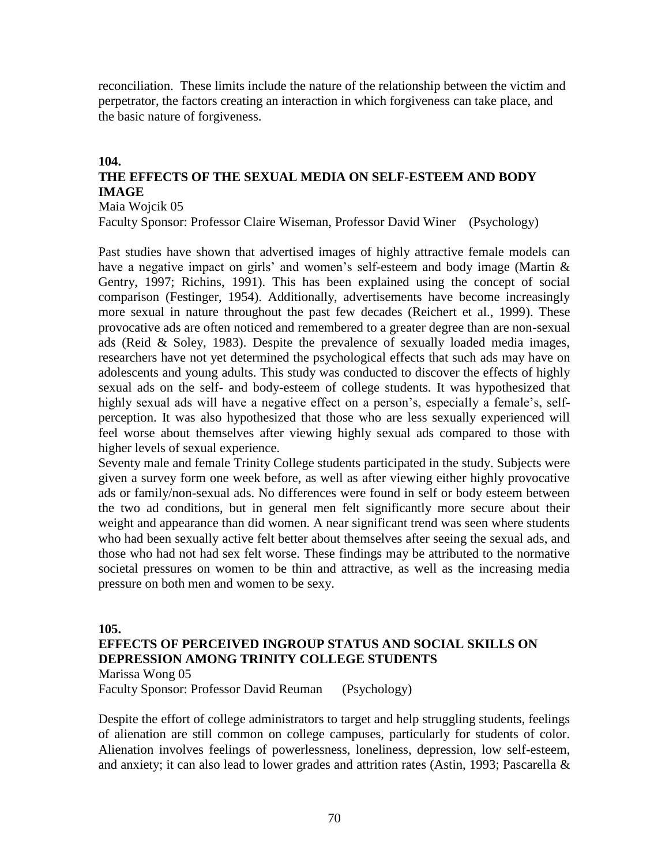reconciliation. These limits include the nature of the relationship between the victim and perpetrator, the factors creating an interaction in which forgiveness can take place, and the basic nature of forgiveness.

# **104.**

# **THE EFFECTS OF THE SEXUAL MEDIA ON SELF-ESTEEM AND BODY IMAGE**

Maia Wojcik 05

Faculty Sponsor: Professor Claire Wiseman, Professor David Winer (Psychology)

Past studies have shown that advertised images of highly attractive female models can have a negative impact on girls' and women's self-esteem and body image (Martin & Gentry, 1997; Richins, 1991). This has been explained using the concept of social comparison (Festinger, 1954). Additionally, advertisements have become increasingly more sexual in nature throughout the past few decades (Reichert et al., 1999). These provocative ads are often noticed and remembered to a greater degree than are non-sexual ads (Reid & Soley, 1983). Despite the prevalence of sexually loaded media images, researchers have not yet determined the psychological effects that such ads may have on adolescents and young adults. This study was conducted to discover the effects of highly sexual ads on the self- and body-esteem of college students. It was hypothesized that highly sexual ads will have a negative effect on a person's, especially a female's, selfperception. It was also hypothesized that those who are less sexually experienced will feel worse about themselves after viewing highly sexual ads compared to those with higher levels of sexual experience.

Seventy male and female Trinity College students participated in the study. Subjects were given a survey form one week before, as well as after viewing either highly provocative ads or family/non-sexual ads. No differences were found in self or body esteem between the two ad conditions, but in general men felt significantly more secure about their weight and appearance than did women. A near significant trend was seen where students who had been sexually active felt better about themselves after seeing the sexual ads, and those who had not had sex felt worse. These findings may be attributed to the normative societal pressures on women to be thin and attractive, as well as the increasing media pressure on both men and women to be sexy.

#### **105.**

# **EFFECTS OF PERCEIVED INGROUP STATUS AND SOCIAL SKILLS ON DEPRESSION AMONG TRINITY COLLEGE STUDENTS**

Marissa Wong 05

Faculty Sponsor: Professor David Reuman (Psychology)

Despite the effort of college administrators to target and help struggling students, feelings of alienation are still common on college campuses, particularly for students of color. Alienation involves feelings of powerlessness, loneliness, depression, low self-esteem, and anxiety; it can also lead to lower grades and attrition rates (Astin, 1993; Pascarella &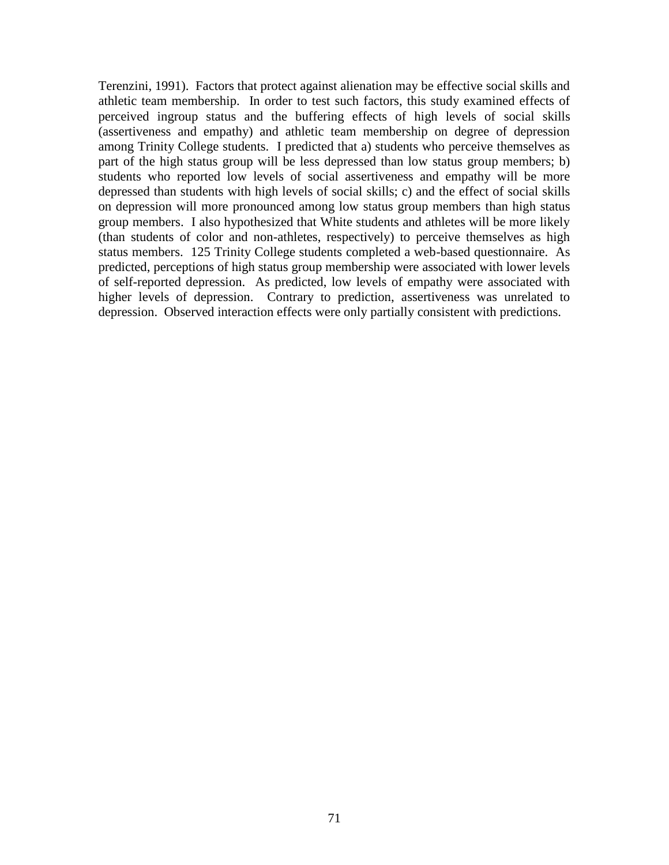Terenzini, 1991). Factors that protect against alienation may be effective social skills and athletic team membership. In order to test such factors, this study examined effects of perceived ingroup status and the buffering effects of high levels of social skills (assertiveness and empathy) and athletic team membership on degree of depression among Trinity College students. I predicted that a) students who perceive themselves as part of the high status group will be less depressed than low status group members; b) students who reported low levels of social assertiveness and empathy will be more depressed than students with high levels of social skills; c) and the effect of social skills on depression will more pronounced among low status group members than high status group members. I also hypothesized that White students and athletes will be more likely (than students of color and non-athletes, respectively) to perceive themselves as high status members. 125 Trinity College students completed a web-based questionnaire. As predicted, perceptions of high status group membership were associated with lower levels of self-reported depression. As predicted, low levels of empathy were associated with higher levels of depression. Contrary to prediction, assertiveness was unrelated to depression. Observed interaction effects were only partially consistent with predictions.